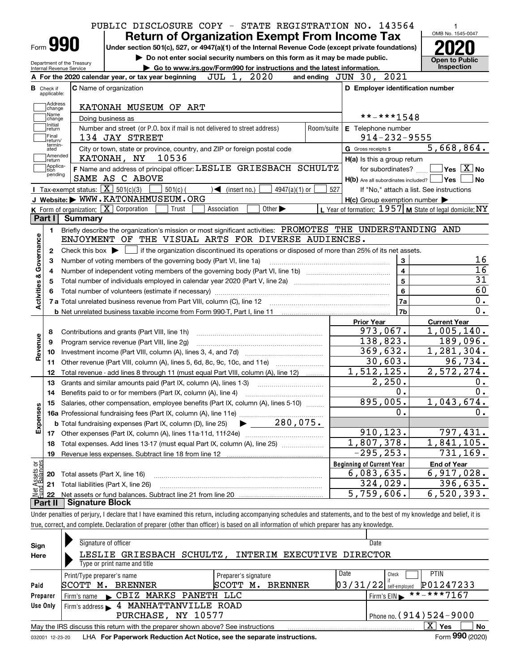|                                                             | PUBLIC DISCLOSURE COPY - STATE REGISTRATION NO. 143564                                                                                                        |            |                                                         |                                                                                                                                                                      |
|-------------------------------------------------------------|---------------------------------------------------------------------------------------------------------------------------------------------------------------|------------|---------------------------------------------------------|----------------------------------------------------------------------------------------------------------------------------------------------------------------------|
|                                                             | <b>Return of Organization Exempt From Income Tax</b>                                                                                                          |            |                                                         | OMB No. 1545-0047                                                                                                                                                    |
| Form 990                                                    | Under section 501(c), 527, or 4947(a)(1) of the Internal Revenue Code (except private foundations)                                                            |            |                                                         |                                                                                                                                                                      |
| Department of the Treasury                                  | Do not enter social security numbers on this form as it may be made public.                                                                                   |            |                                                         | <b>Open to Public</b>                                                                                                                                                |
| Internal Revenue Service                                    | Go to www.irs.gov/Form990 for instructions and the latest information.<br>A For the 2020 calendar year, or tax year beginning $JUL$ 1, $2020$                 |            | and ending JUN 30, 2021                                 | Inspection                                                                                                                                                           |
|                                                             | <b>C</b> Name of organization                                                                                                                                 |            | D Employer identification number                        |                                                                                                                                                                      |
| <b>B</b> Check if<br>applicable:                            |                                                                                                                                                               |            |                                                         |                                                                                                                                                                      |
| Address<br>change                                           | KATONAH MUSEUM OF ART                                                                                                                                         |            |                                                         |                                                                                                                                                                      |
| Name<br>change                                              | Doing business as                                                                                                                                             |            | **-***1548                                              |                                                                                                                                                                      |
| Initial<br>return                                           | Number and street (or P.O. box if mail is not delivered to street address)                                                                                    | Room/suite | E Telephone number                                      |                                                                                                                                                                      |
| Final<br>return/                                            | 134 JAY STREET                                                                                                                                                |            | $914 - 232 - 9555$                                      |                                                                                                                                                                      |
| termin-<br>ated                                             | City or town, state or province, country, and ZIP or foreign postal code                                                                                      |            | G Gross receipts \$                                     | 5,668,864.                                                                                                                                                           |
| Amended<br> return                                          | KATONAH, NY 10536                                                                                                                                             |            | H(a) Is this a group return                             |                                                                                                                                                                      |
| Applica-<br>tion                                            | F Name and address of principal officer: LESLIE GRIESBACH SCHULTZ                                                                                             |            | for subordinates?                                       | $\overline{\ }$ Yes $\overline{\phantom{a}X}$ No                                                                                                                     |
| pending                                                     | SAME AS C ABOVE                                                                                                                                               |            | $H(b)$ Are all subordinates included? $\Box$ Yes $\Box$ | No                                                                                                                                                                   |
|                                                             | <b>I</b> Tax-exempt status: $\boxed{\mathbf{X}}$ 501(c)(3)<br>$501(c)$ (<br>$\blacktriangleleft$ (insert no.)<br>4947(a)(1) or                                | 527        |                                                         | If "No," attach a list. See instructions                                                                                                                             |
|                                                             | J Website: WWW.KATONAHMUSEUM.ORG                                                                                                                              |            | $H(c)$ Group exemption number $\blacktriangleright$     |                                                                                                                                                                      |
|                                                             | K Form of organization: $\boxed{\mathbf{X}}$ Corporation<br>Trust<br>Association<br>Other $\blacktriangleright$                                               |            |                                                         | L Year of formation: 1957   M State of legal domicile: NY                                                                                                            |
|                                                             | Part I Summary                                                                                                                                                |            |                                                         |                                                                                                                                                                      |
| 1.                                                          | Briefly describe the organization's mission or most significant activities: PROMOTES THE UNDERSTANDING AND                                                    |            |                                                         |                                                                                                                                                                      |
|                                                             | ENJOYMENT OF THE VISUAL ARTS FOR DIVERSE AUDIENCES.                                                                                                           |            |                                                         |                                                                                                                                                                      |
| 2                                                           | Check this box $\blacktriangleright$ $\Box$ if the organization discontinued its operations or disposed of more than 25% of its net assets.                   |            |                                                         |                                                                                                                                                                      |
| Activities & Governance                                     | Number of voting members of the governing body (Part VI, line 1a)                                                                                             |            | 3                                                       | 16<br>$\overline{16}$                                                                                                                                                |
|                                                             |                                                                                                                                                               |            | $\overline{4}$<br>$\overline{5}$                        | $\overline{31}$                                                                                                                                                      |
|                                                             | Total number of individuals employed in calendar year 2020 (Part V, line 2a) manufacture controller to intervent                                              |            | $6\phantom{a}$                                          | $\overline{60}$                                                                                                                                                      |
|                                                             |                                                                                                                                                               |            | 7a                                                      |                                                                                                                                                                      |
|                                                             |                                                                                                                                                               |            |                                                         |                                                                                                                                                                      |
|                                                             |                                                                                                                                                               |            |                                                         |                                                                                                                                                                      |
|                                                             |                                                                                                                                                               |            | 7b                                                      |                                                                                                                                                                      |
| 8<br>9                                                      |                                                                                                                                                               |            | <b>Prior Year</b>                                       | <b>Current Year</b>                                                                                                                                                  |
| 10                                                          | Contributions and grants (Part VIII, line 1h)                                                                                                                 |            | 973,067.                                                |                                                                                                                                                                      |
|                                                             | Program service revenue (Part VIII, line 2g)                                                                                                                  |            | 138,823.                                                |                                                                                                                                                                      |
|                                                             |                                                                                                                                                               |            | 369,632.                                                |                                                                                                                                                                      |
| 11                                                          | Other revenue (Part VIII, column (A), lines 5, 6d, 8c, 9c, 10c, and 11e)                                                                                      |            | 30,603.                                                 |                                                                                                                                                                      |
| 12                                                          | Total revenue - add lines 8 through 11 (must equal Part VIII, column (A), line 12)                                                                            |            | 1,512,125.                                              |                                                                                                                                                                      |
| 13                                                          | Grants and similar amounts paid (Part IX, column (A), lines 1-3)                                                                                              |            | 2,250.                                                  |                                                                                                                                                                      |
| 14                                                          | Benefits paid to or for members (Part IX, column (A), line 4)                                                                                                 |            | 0.                                                      |                                                                                                                                                                      |
|                                                             | 15 Salaries, other compensation, employee benefits (Part IX, column (A), lines 5-10)                                                                          |            | 895,005.                                                |                                                                                                                                                                      |
|                                                             |                                                                                                                                                               |            | 0.                                                      |                                                                                                                                                                      |
|                                                             | 15 Salaries, other components,<br>16a Professional fundraising fees (Part IX, column (A), line 11e)<br>The Contraction overlaps (Part IX, column (D), line 25 |            |                                                         |                                                                                                                                                                      |
|                                                             |                                                                                                                                                               |            | 910,123.                                                |                                                                                                                                                                      |
| 18                                                          | Total expenses. Add lines 13-17 (must equal Part IX, column (A), line 25)                                                                                     |            | $\overline{1,807}$ , 378.                               |                                                                                                                                                                      |
| 19                                                          |                                                                                                                                                               |            | $-295, 253.$                                            |                                                                                                                                                                      |
| 20                                                          |                                                                                                                                                               |            | <b>Beginning of Current Year</b>                        | <b>End of Year</b>                                                                                                                                                   |
|                                                             | Total assets (Part X, line 16)                                                                                                                                |            | 6,083,635.                                              | $0$ .<br>0.<br>1,005,140.<br>189,096.<br>1,281,304.<br>96,734.<br>2,572,274.<br>0.<br>$0$ .<br>1,043,674.<br>0.<br>797, 431.<br>1,841,105.<br>731,169.<br>6,917,028. |
| Revenue<br>Expenses<br>: Assets or<br>dBalances<br>21<br>22 | Total liabilities (Part X, line 26)                                                                                                                           |            | 324,029.<br>5,759,606.                                  | 396,635.<br>$\overline{6}$ , 520, 393.                                                                                                                               |

true, correct, and complete. Declaration of preparer (other than officer) is based on all information of which preparer has any knowledge.

| Sign     | Signature of officer                                                                                         |                            | Date                                  |  |  |  |  |  |  |
|----------|--------------------------------------------------------------------------------------------------------------|----------------------------|---------------------------------------|--|--|--|--|--|--|
| Here     | LESLIE GRIESBACH SCHULTZ. INTERIM EXECUTIVE DIRECTOR<br>Type or print name and title                         |                            |                                       |  |  |  |  |  |  |
|          | Print/Type preparer's name                                                                                   | Preparer's signature       | Date<br><b>PTIN</b><br>Check          |  |  |  |  |  |  |
| Paid     | SCOTT M.<br>BRENNER                                                                                          | <b>BRENNER</b><br>SCOTT M. | P01247233<br>$03/31/22$ self-employed |  |  |  |  |  |  |
| Preparer | CBIZ MARKS PANETH LLC<br>Firm's name                                                                         |                            | **-***7167<br>Firm's EIN              |  |  |  |  |  |  |
| Use Only | 4 MANHATTANVILLE ROAD<br>Firm's address $\blacktriangleright$                                                |                            |                                       |  |  |  |  |  |  |
|          | Phone no. $(914)$ 524 - 9000<br>PURCHASE, NY 10577                                                           |                            |                                       |  |  |  |  |  |  |
|          | X l<br>No<br><b>Yes</b><br>May the IRS discuss this return with the preparer shown above? See instructions   |                            |                                       |  |  |  |  |  |  |
|          | Form 990 (2020)<br>LHA For Paperwork Reduction Act Notice, see the separate instructions.<br>032001 12-23-20 |                            |                                       |  |  |  |  |  |  |

032001 12-23-20 LHA **For Paperwork Reduction Act Notice, see the separate instructions.**<br>032001 12-23-20 LHA **For Paperwork Reduction Act Notice, see the separate instructions.**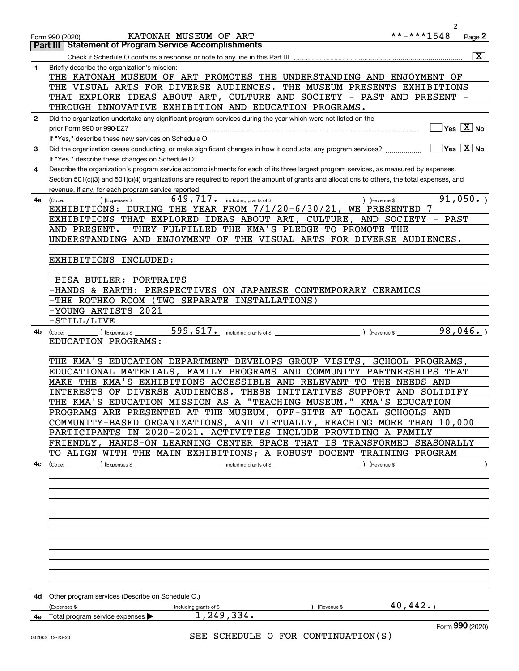|              | KATONAH MUSEUM OF ART<br>Form 990 (2020)                                                                                                                        | **-***1548           | 2<br>Page 2                                           |
|--------------|-----------------------------------------------------------------------------------------------------------------------------------------------------------------|----------------------|-------------------------------------------------------|
|              | Part III   Statement of Program Service Accomplishments                                                                                                         |                      |                                                       |
|              |                                                                                                                                                                 |                      | $\overline{\mathbf{x}}$                               |
| 1            | Briefly describe the organization's mission:<br>THE KATONAH MUSEUM OF ART PROMOTES THE UNDERSTANDING AND ENJOYMENT OF                                           |                      |                                                       |
|              | THE VISUAL ARTS FOR DIVERSE AUDIENCES. THE MUSEUM PRESENTS EXHIBITIONS                                                                                          |                      |                                                       |
|              | THAT EXPLORE IDEAS ABOUT ART, CULTURE AND SOCIETY - PAST AND PRESENT -                                                                                          |                      |                                                       |
|              | THROUGH INNOVATIVE EXHIBITION AND EDUCATION PROGRAMS.                                                                                                           |                      |                                                       |
| $\mathbf{2}$ | Did the organization undertake any significant program services during the year which were not listed on the                                                    |                      |                                                       |
|              | prior Form 990 or 990-EZ?                                                                                                                                       |                      | $\overline{\mathsf{Y}}$ es $\overline{\mathsf{X}}$ No |
|              | If "Yes," describe these new services on Schedule O.                                                                                                            |                      | $\Box$ Yes $\Box$ No                                  |
| 3            | Did the organization cease conducting, or make significant changes in how it conducts, any program services?<br>If "Yes," describe these changes on Schedule O. |                      |                                                       |
| 4            | Describe the organization's program service accomplishments for each of its three largest program services, as measured by expenses.                            |                      |                                                       |
|              | Section 501(c)(3) and 501(c)(4) organizations are required to report the amount of grants and allocations to others, the total expenses, and                    |                      |                                                       |
|              | revenue, if any, for each program service reported.                                                                                                             |                      |                                                       |
|              | $649$ , $717$ . including grants of \$<br>(Expenses \$<br>) (Revenue \$<br>4a (Code:                                                                            |                      | 91,050.                                               |
|              | EXHIBITIONS: DURING THE YEAR FROM 7/1/20-6/30/21, WE PRESENTED 7                                                                                                |                      |                                                       |
|              | EXHIBITIONS THAT EXPLORED IDEAS ABOUT ART, CULTURE, AND SOCIETY - PAST                                                                                          |                      |                                                       |
|              | THEY FULFILLED THE KMA'S PLEDGE TO PROMOTE THE<br>AND PRESENT.                                                                                                  |                      |                                                       |
|              | UNDERSTANDING AND ENJOYMENT OF THE VISUAL ARTS FOR DIVERSE AUDIENCES.                                                                                           |                      |                                                       |
|              | EXHIBITIONS INCLUDED:                                                                                                                                           |                      |                                                       |
|              |                                                                                                                                                                 |                      |                                                       |
|              | -BISA BUTLER: PORTRAITS                                                                                                                                         |                      |                                                       |
|              | -HANDS & EARTH: PERSPECTIVES ON JAPANESE CONTEMPORARY CERAMICS                                                                                                  |                      |                                                       |
|              | -THE ROTHKO ROOM (TWO SEPARATE INSTALLATIONS)                                                                                                                   |                      |                                                       |
|              | -YOUNG ARTISTS 2021                                                                                                                                             |                      |                                                       |
|              | -STILL/LIVE                                                                                                                                                     |                      |                                                       |
|              | $599,617$ and $100$ including grants of \$ $\,$ (Revenue \$ $\,$ $\,$ 98,046.)<br>$\overline{)}$ (Expenses \$ $\overline{ }$<br>4b (Code:                       |                      |                                                       |
|              | EDUCATION PROGRAMS:                                                                                                                                             |                      |                                                       |
|              |                                                                                                                                                                 |                      |                                                       |
|              | THE KMA'S EDUCATION DEPARTMENT DEVELOPS GROUP VISITS, SCHOOL PROGRAMS,<br>EDUCATIONAL MATERIALS, FAMILY PROGRAMS AND COMMUNITY PARTNERSHIPS THAT                |                      |                                                       |
|              | MAKE THE KMA'S EXHIBITIONS ACCESSIBLE AND RELEVANT TO THE NEEDS AND                                                                                             |                      |                                                       |
|              | INTERESTS OF DIVERSE AUDIENCES. THESE INITIATIVES SUPPORT AND SOLIDIFY                                                                                          |                      |                                                       |
|              | THE KMA'S EDUCATION MISSION AS A "TEACHING MUSEUM." KMA'S EDUCATION                                                                                             |                      |                                                       |
|              | PROGRAMS ARE PRESENTED AT THE MUSEUM, OFF-SITE AT LOCAL SCHOOLS AND                                                                                             |                      |                                                       |
|              | COMMUNITY-BASED ORGANIZATIONS, AND VIRTUALLY, REACHING MORE THAN 10,000                                                                                         |                      |                                                       |
|              | PARTICIPANTS IN 2020-2021. ACTIVITIES INCLUDE PROVIDING A FAMILY                                                                                                |                      |                                                       |
|              | FRIENDLY, HANDS-ON LEARNING CENTER SPACE THAT IS TRANSFORMED SEASONALLY                                                                                         |                      |                                                       |
|              | TO ALIGN WITH THE MAIN EXHIBITIONS; A ROBUST DOCENT TRAINING PROGRAM                                                                                            |                      |                                                       |
| 4с           |                                                                                                                                                                 | $\sqrt{$ (Revenue \$ |                                                       |
|              |                                                                                                                                                                 |                      |                                                       |
|              |                                                                                                                                                                 |                      |                                                       |
|              |                                                                                                                                                                 |                      |                                                       |
|              |                                                                                                                                                                 |                      |                                                       |
|              |                                                                                                                                                                 |                      |                                                       |
|              |                                                                                                                                                                 |                      |                                                       |
|              |                                                                                                                                                                 |                      |                                                       |
|              |                                                                                                                                                                 |                      |                                                       |
|              |                                                                                                                                                                 |                      |                                                       |
|              |                                                                                                                                                                 |                      |                                                       |
|              |                                                                                                                                                                 |                      |                                                       |
|              | 4d Other program services (Describe on Schedule O.)                                                                                                             |                      |                                                       |
|              | (Expenses \$<br>(Revenue \$<br>including grants of \$                                                                                                           | 40, 442.             |                                                       |
| 4е           | 1,249,334.<br>Total program service expenses                                                                                                                    |                      |                                                       |
|              | SEE SCHEDIILE O FOR CONTINUATION(S)                                                                                                                             |                      | Form 990 (2020)                                       |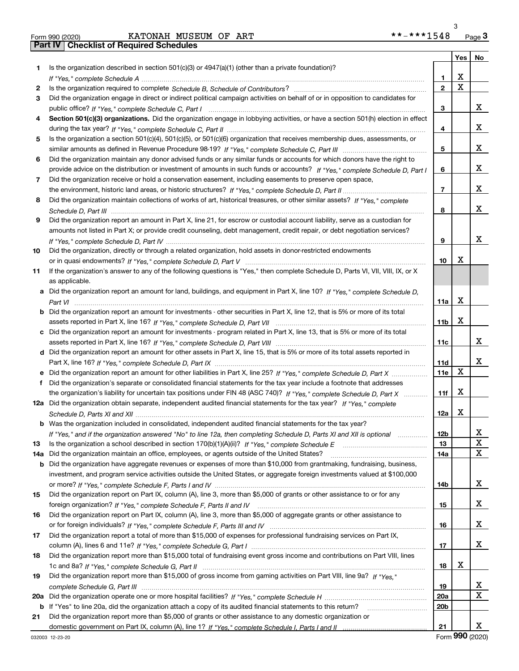|  | Form 990 (2020) |
|--|-----------------|
|  |                 |

Form 990 (2020) KATONAH MUSEUM OF ART \*\*-\*\*\*1548 <sub>Page</sub> 3<br>**Part IV** | Checklist of Required Schedules

|         |                                                                                                                                                                                                                                |                        | Yes | No           |
|---------|--------------------------------------------------------------------------------------------------------------------------------------------------------------------------------------------------------------------------------|------------------------|-----|--------------|
| 1       | Is the organization described in section $501(c)(3)$ or $4947(a)(1)$ (other than a private foundation)?                                                                                                                        |                        |     |              |
|         |                                                                                                                                                                                                                                | 1                      | х   |              |
| 2       | Is the organization required to complete Schedule B, Schedule of Contributors? [11] The organization required to complete Schedule B, Schedule of Contributors? [11] The organization required to complete Schedule B, Schedul | $\mathbf{2}$           | X   |              |
| 3       | Did the organization engage in direct or indirect political campaign activities on behalf of or in opposition to candidates for                                                                                                |                        |     |              |
|         |                                                                                                                                                                                                                                | 3                      |     | X.           |
| 4       | Section 501(c)(3) organizations. Did the organization engage in lobbying activities, or have a section 501(h) election in effect                                                                                               |                        |     |              |
|         |                                                                                                                                                                                                                                | 4                      |     | X.           |
| 5       | Is the organization a section 501(c)(4), 501(c)(5), or 501(c)(6) organization that receives membership dues, assessments, or                                                                                                   |                        |     |              |
|         |                                                                                                                                                                                                                                | 5                      |     | x            |
| 6       | Did the organization maintain any donor advised funds or any similar funds or accounts for which donors have the right to                                                                                                      |                        |     |              |
|         | provide advice on the distribution or investment of amounts in such funds or accounts? If "Yes," complete Schedule D, Part I                                                                                                   | 6                      |     | x            |
| 7       | Did the organization receive or hold a conservation easement, including easements to preserve open space,                                                                                                                      |                        |     |              |
|         |                                                                                                                                                                                                                                | 7                      |     | x            |
| 8       | Did the organization maintain collections of works of art, historical treasures, or other similar assets? If "Yes," complete                                                                                                   |                        |     |              |
|         |                                                                                                                                                                                                                                | 8                      |     | x            |
| 9       | Did the organization report an amount in Part X, line 21, for escrow or custodial account liability, serve as a custodian for                                                                                                  |                        |     |              |
|         | amounts not listed in Part X; or provide credit counseling, debt management, credit repair, or debt negotiation services?                                                                                                      |                        |     | x            |
|         |                                                                                                                                                                                                                                | 9                      |     |              |
| 10      | Did the organization, directly or through a related organization, hold assets in donor-restricted endowments                                                                                                                   | 10                     | х   |              |
|         |                                                                                                                                                                                                                                |                        |     |              |
| 11      | If the organization's answer to any of the following questions is "Yes," then complete Schedule D, Parts VI, VIII, VIII, IX, or X<br>as applicable.                                                                            |                        |     |              |
| а       | Did the organization report an amount for land, buildings, and equipment in Part X, line 10? If "Yes," complete Schedule D,                                                                                                    |                        |     |              |
|         |                                                                                                                                                                                                                                | 11a                    | х   |              |
| b       | Did the organization report an amount for investments - other securities in Part X, line 12, that is 5% or more of its total                                                                                                   |                        |     |              |
|         |                                                                                                                                                                                                                                | 11b                    | х   |              |
| с       | Did the organization report an amount for investments - program related in Part X, line 13, that is 5% or more of its total                                                                                                    |                        |     |              |
|         |                                                                                                                                                                                                                                | 11c                    |     | X.           |
| d       | Did the organization report an amount for other assets in Part X, line 15, that is 5% or more of its total assets reported in                                                                                                  |                        |     |              |
|         |                                                                                                                                                                                                                                | 11d                    |     | X.           |
| е       | Did the organization report an amount for other liabilities in Part X, line 25? If "Yes," complete Schedule D, Part X                                                                                                          | 11e                    | х   |              |
| f       | Did the organization's separate or consolidated financial statements for the tax year include a footnote that addresses                                                                                                        |                        |     |              |
|         | the organization's liability for uncertain tax positions under FIN 48 (ASC 740)? If "Yes," complete Schedule D, Part X                                                                                                         | 11f                    | х   |              |
|         | 12a Did the organization obtain separate, independent audited financial statements for the tax year? If "Yes," complete                                                                                                        |                        |     |              |
|         |                                                                                                                                                                                                                                | 12a                    | x   |              |
| b       | Was the organization included in consolidated, independent audited financial statements for the tax year?                                                                                                                      |                        |     |              |
|         | If "Yes," and if the organization answered "No" to line 12a, then completing Schedule D, Parts XI and XII is optional                                                                                                          | 12 <sub>b</sub>        |     |              |
| 13      | Is the organization a school described in section $170(b)(1)(A)(ii)?$ If "Yes," complete Schedule E                                                                                                                            | 13                     |     | X            |
| 14a     | Did the organization maintain an office, employees, or agents outside of the United States?                                                                                                                                    | 14a                    |     | x            |
| b       | Did the organization have aggregate revenues or expenses of more than \$10,000 from grantmaking, fundraising, business,                                                                                                        |                        |     |              |
|         | investment, and program service activities outside the United States, or aggregate foreign investments valued at \$100,000                                                                                                     |                        |     |              |
|         |                                                                                                                                                                                                                                | 14b                    |     | X.           |
| 15      | Did the organization report on Part IX, column (A), line 3, more than \$5,000 of grants or other assistance to or for any                                                                                                      |                        |     |              |
|         |                                                                                                                                                                                                                                | 15                     |     | X.           |
| 16      | Did the organization report on Part IX, column (A), line 3, more than \$5,000 of aggregate grants or other assistance to                                                                                                       |                        |     |              |
|         |                                                                                                                                                                                                                                | 16                     |     | X.           |
| 17      | Did the organization report a total of more than \$15,000 of expenses for professional fundraising services on Part IX,                                                                                                        |                        |     |              |
|         |                                                                                                                                                                                                                                | 17                     |     | X.           |
| 18      | Did the organization report more than \$15,000 total of fundraising event gross income and contributions on Part VIII, lines                                                                                                   |                        | х   |              |
|         |                                                                                                                                                                                                                                | 18                     |     |              |
| 19      | Did the organization report more than \$15,000 of gross income from gaming activities on Part VIII, line 9a? If "Yes."                                                                                                         |                        |     | X.           |
|         |                                                                                                                                                                                                                                | 19                     |     | $\mathbf{X}$ |
| 20a     |                                                                                                                                                                                                                                | 20a<br>20 <sub>b</sub> |     |              |
| b<br>21 | If "Yes" to line 20a, did the organization attach a copy of its audited financial statements to this return?<br>Did the organization report more than \$5,000 of grants or other assistance to any domestic organization or    |                        |     |              |
|         |                                                                                                                                                                                                                                | 21                     |     | x            |
|         |                                                                                                                                                                                                                                |                        |     |              |

Form (2020) **990**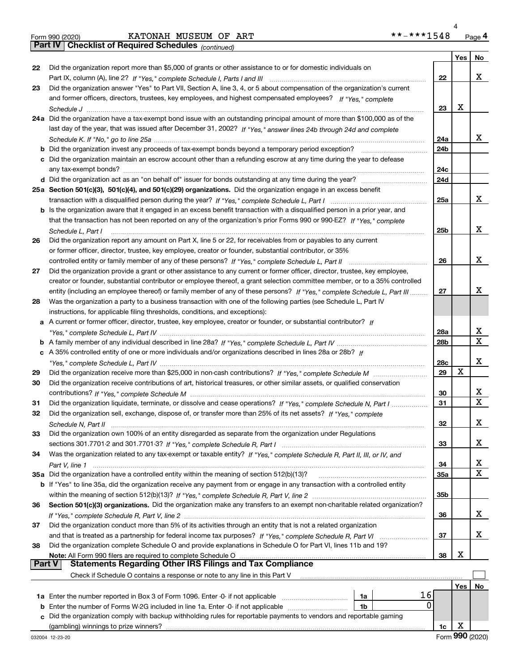|  | Form 990 (2020) |
|--|-----------------|

Form 990 (2020) KATONAH MUSEUM OF ART \*\*-\*\*\*1548 <sub>Page</sub> 4<br>**Part IV** | Checklist of Required Schedules <sub>(continued)</sub>

*(continued)*

|          |                                                                                                                                                                                                                                   |                 | Yes | No          |
|----------|-----------------------------------------------------------------------------------------------------------------------------------------------------------------------------------------------------------------------------------|-----------------|-----|-------------|
| 22       | Did the organization report more than \$5,000 of grants or other assistance to or for domestic individuals on                                                                                                                     |                 |     |             |
|          |                                                                                                                                                                                                                                   | 22              |     | x           |
| 23       | Did the organization answer "Yes" to Part VII, Section A, line 3, 4, or 5 about compensation of the organization's current                                                                                                        |                 |     |             |
|          | and former officers, directors, trustees, key employees, and highest compensated employees? If "Yes," complete                                                                                                                    |                 | x   |             |
|          | 24a Did the organization have a tax-exempt bond issue with an outstanding principal amount of more than \$100,000 as of the                                                                                                       | 23              |     |             |
|          | last day of the year, that was issued after December 31, 2002? If "Yes," answer lines 24b through 24d and complete                                                                                                                |                 |     |             |
|          |                                                                                                                                                                                                                                   | 24a             |     | X.          |
|          | <b>b</b> Did the organization invest any proceeds of tax-exempt bonds beyond a temporary period exception?                                                                                                                        | 24b             |     |             |
|          | c Did the organization maintain an escrow account other than a refunding escrow at any time during the year to defease                                                                                                            |                 |     |             |
|          |                                                                                                                                                                                                                                   | 24c             |     |             |
|          |                                                                                                                                                                                                                                   | 24d             |     |             |
|          | 25a Section 501(c)(3), 501(c)(4), and 501(c)(29) organizations. Did the organization engage in an excess benefit                                                                                                                  |                 |     |             |
|          |                                                                                                                                                                                                                                   | 25a             |     | x           |
|          | b Is the organization aware that it engaged in an excess benefit transaction with a disqualified person in a prior year, and                                                                                                      |                 |     |             |
|          | that the transaction has not been reported on any of the organization's prior Forms 990 or 990-EZ? If "Yes," complete                                                                                                             |                 |     |             |
|          | Schedule L. Part I                                                                                                                                                                                                                | 25b             |     | x           |
| 26       | Did the organization report any amount on Part X, line 5 or 22, for receivables from or payables to any current                                                                                                                   |                 |     |             |
|          | or former officer, director, trustee, key employee, creator or founder, substantial contributor, or 35%                                                                                                                           |                 |     |             |
|          |                                                                                                                                                                                                                                   | 26              |     | x           |
| 27       | Did the organization provide a grant or other assistance to any current or former officer, director, trustee, key employee,                                                                                                       |                 |     |             |
|          | creator or founder, substantial contributor or employee thereof, a grant selection committee member, or to a 35% controlled                                                                                                       |                 |     |             |
|          | entity (including an employee thereof) or family member of any of these persons? If "Yes," complete Schedule L, Part III                                                                                                          | 27              |     | x           |
| 28       | Was the organization a party to a business transaction with one of the following parties (see Schedule L, Part IV                                                                                                                 |                 |     |             |
|          | instructions, for applicable filing thresholds, conditions, and exceptions):<br>a A current or former officer, director, trustee, key employee, creator or founder, or substantial contributor? If                                |                 |     |             |
|          |                                                                                                                                                                                                                                   | 28a             |     | x           |
|          |                                                                                                                                                                                                                                   | 28 <sub>b</sub> |     | X           |
|          | c A 35% controlled entity of one or more individuals and/or organizations described in lines 28a or 28b? If                                                                                                                       |                 |     |             |
|          |                                                                                                                                                                                                                                   | 28c             |     | x           |
| 29       |                                                                                                                                                                                                                                   | 29              | X   |             |
| 30       | Did the organization receive contributions of art, historical treasures, or other similar assets, or qualified conservation                                                                                                       |                 |     |             |
|          |                                                                                                                                                                                                                                   | 30              |     | x           |
| 31       | Did the organization liquidate, terminate, or dissolve and cease operations? If "Yes," complete Schedule N, Part I                                                                                                                | 31              |     | $\mathbf X$ |
| 32       | Did the organization sell, exchange, dispose of, or transfer more than 25% of its net assets? If "Yes," complete                                                                                                                  |                 |     |             |
|          |                                                                                                                                                                                                                                   | 32              |     | x           |
| 33       | Did the organization own 100% of an entity disregarded as separate from the organization under Regulations                                                                                                                        |                 |     |             |
|          |                                                                                                                                                                                                                                   | 33              |     | х           |
| 34       | Was the organization related to any tax-exempt or taxable entity? If "Yes," complete Schedule R, Part II, III, or IV, and                                                                                                         |                 |     |             |
|          |                                                                                                                                                                                                                                   | 34              |     | x<br>X      |
|          | 35a Did the organization have a controlled entity within the meaning of section 512(b)(13)?<br><b>b</b> If "Yes" to line 35a, did the organization receive any payment from or engage in any transaction with a controlled entity | 35a             |     |             |
|          |                                                                                                                                                                                                                                   | 35b             |     |             |
| 36       | Section 501(c)(3) organizations. Did the organization make any transfers to an exempt non-charitable related organization?                                                                                                        |                 |     |             |
|          |                                                                                                                                                                                                                                   | 36              |     | x           |
| 37       | Did the organization conduct more than 5% of its activities through an entity that is not a related organization                                                                                                                  |                 |     |             |
|          | and that is treated as a partnership for federal income tax purposes? If "Yes," complete Schedule R, Part VI                                                                                                                      | 37              |     | x           |
| 38       | Did the organization complete Schedule O and provide explanations in Schedule O for Part VI, lines 11b and 19?                                                                                                                    |                 |     |             |
|          | Note: All Form 990 filers are required to complete Schedule O                                                                                                                                                                     | 38              | X   |             |
| ∣ Part V | <b>Statements Regarding Other IRS Filings and Tax Compliance</b>                                                                                                                                                                  |                 |     |             |
|          | Check if Schedule O contains a response or note to any line in this Part V                                                                                                                                                        |                 |     |             |
|          |                                                                                                                                                                                                                                   |                 | Yes | No          |
|          | 16<br>1a                                                                                                                                                                                                                          |                 |     |             |
|          | 0<br><b>b</b> Enter the number of Forms W-2G included in line 1a. Enter -0- if not applicable<br>1b                                                                                                                               |                 |     |             |
| c        | Did the organization comply with backup withholding rules for reportable payments to vendors and reportable gaming<br>(gambling) winnings to prize winners?                                                                       | 1c              | X   |             |
|          |                                                                                                                                                                                                                                   |                 |     |             |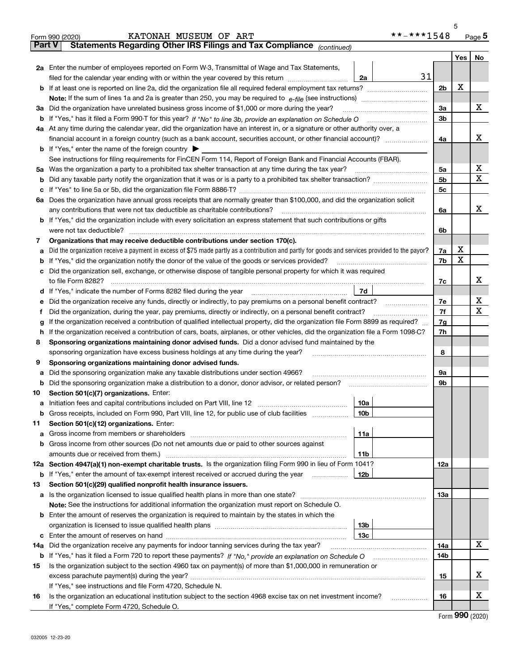|               | **-***1548<br>KATONAH MUSEUM OF ART<br>Form 990 (2020)                                                                                                                                                                                |                |            | $Page$ <sup>5</sup> |
|---------------|---------------------------------------------------------------------------------------------------------------------------------------------------------------------------------------------------------------------------------------|----------------|------------|---------------------|
| <b>Part V</b> | Statements Regarding Other IRS Filings and Tax Compliance (continued)                                                                                                                                                                 |                |            |                     |
|               |                                                                                                                                                                                                                                       |                | <b>Yes</b> | No                  |
|               | 2a Enter the number of employees reported on Form W-3, Transmittal of Wage and Tax Statements,                                                                                                                                        |                |            |                     |
|               | 31<br>filed for the calendar year ending with or within the year covered by this return<br>2a                                                                                                                                         |                |            |                     |
|               | <b>b</b> If at least one is reported on line 2a, did the organization file all required federal employment tax returns?                                                                                                               | 2 <sub>b</sub> | X          |                     |
|               |                                                                                                                                                                                                                                       |                |            |                     |
|               | 3a Did the organization have unrelated business gross income of \$1,000 or more during the year?                                                                                                                                      | 3a             |            | х                   |
|               |                                                                                                                                                                                                                                       | 3b             |            |                     |
|               | 4a At any time during the calendar year, did the organization have an interest in, or a signature or other authority over, a                                                                                                          |                |            |                     |
|               |                                                                                                                                                                                                                                       | 4a             |            | x                   |
|               | <b>b</b> If "Yes," enter the name of the foreign country $\triangleright$                                                                                                                                                             |                |            |                     |
|               | See instructions for filing requirements for FinCEN Form 114, Report of Foreign Bank and Financial Accounts (FBAR).                                                                                                                   |                |            |                     |
|               | 5a Was the organization a party to a prohibited tax shelter transaction at any time during the tax year?                                                                                                                              | 5a             |            | х                   |
| b             |                                                                                                                                                                                                                                       | 5b             |            | X                   |
| c             |                                                                                                                                                                                                                                       | 5 <sub>c</sub> |            |                     |
|               | 6a Does the organization have annual gross receipts that are normally greater than \$100,000, and did the organization solicit                                                                                                        |                |            |                     |
|               | any contributions that were not tax deductible as charitable contributions?                                                                                                                                                           | 6a             |            | x                   |
|               | <b>b</b> If "Yes," did the organization include with every solicitation an express statement that such contributions or gifts                                                                                                         |                |            |                     |
|               | were not tax deductible?                                                                                                                                                                                                              | 6b             |            |                     |
| 7             | Organizations that may receive deductible contributions under section 170(c).                                                                                                                                                         |                |            |                     |
| a             | Did the organization receive a payment in excess of \$75 made partly as a contribution and partly for goods and services provided to the payor?                                                                                       | 7a             | х          |                     |
| b             | If "Yes," did the organization notify the donor of the value of the goods or services provided?                                                                                                                                       | 7b             | X          |                     |
| c             | Did the organization sell, exchange, or otherwise dispose of tangible personal property for which it was required                                                                                                                     |                |            |                     |
|               | to file Form 8282?                                                                                                                                                                                                                    | 7c             |            | x                   |
|               | 7d<br>d If "Yes," indicate the number of Forms 8282 filed during the year                                                                                                                                                             |                |            |                     |
| е             | Did the organization receive any funds, directly or indirectly, to pay premiums on a personal benefit contract?                                                                                                                       | 7e             |            | х                   |
| Ť             | Did the organization, during the year, pay premiums, directly or indirectly, on a personal benefit contract?                                                                                                                          | 7f             |            | X                   |
| g             | If the organization received a contribution of qualified intellectual property, did the organization file Form 8899 as required?                                                                                                      | 7g             |            |                     |
| h             | If the organization received a contribution of cars, boats, airplanes, or other vehicles, did the organization file a Form 1098-C?                                                                                                    | 7h             |            |                     |
| 8             | Sponsoring organizations maintaining donor advised funds. Did a donor advised fund maintained by the                                                                                                                                  |                |            |                     |
|               | sponsoring organization have excess business holdings at any time during the year?                                                                                                                                                    | 8              |            |                     |
| 9             | Sponsoring organizations maintaining donor advised funds.                                                                                                                                                                             |                |            |                     |
| а             | Did the sponsoring organization make any taxable distributions under section 4966?                                                                                                                                                    | 9а             |            |                     |
| b             | Did the sponsoring organization make a distribution to a donor, donor advisor, or related person?                                                                                                                                     | 9b             |            |                     |
| 10            | Section 501(c)(7) organizations. Enter:                                                                                                                                                                                               |                |            |                     |
|               | a Initiation fees and capital contributions included on Part VIII, line 12<br>10a                                                                                                                                                     |                |            |                     |
| b             | Gross receipts, included on Form 990, Part VIII, line 12, for public use of club facilities<br>10b                                                                                                                                    |                |            |                     |
| 11            | Section 501(c)(12) organizations. Enter:                                                                                                                                                                                              |                |            |                     |
| а             | Gross income from members or shareholders [11] matter content in the state of the state of the state of the state of the state of the state of the state of the state of the state of the state of the state of the state of t<br>11a |                |            |                     |
| b             | Gross income from other sources (Do not net amounts due or paid to other sources against                                                                                                                                              |                |            |                     |
|               | amounts due or received from them.)<br>11b                                                                                                                                                                                            |                |            |                     |
|               | 12a Section 4947(a)(1) non-exempt charitable trusts. Is the organization filing Form 990 in lieu of Form 1041?                                                                                                                        | 12a            |            |                     |
| b             | If "Yes," enter the amount of tax-exempt interest received or accrued during the year<br>12b                                                                                                                                          |                |            |                     |
| 13            | Section 501(c)(29) qualified nonprofit health insurance issuers.                                                                                                                                                                      |                |            |                     |
| а             | Is the organization licensed to issue qualified health plans in more than one state?                                                                                                                                                  | 13a            |            |                     |
|               | <b>Note:</b> See the instructions for additional information the organization must report on Schedule O.                                                                                                                              |                |            |                     |
|               | <b>b</b> Enter the amount of reserves the organization is required to maintain by the states in which the                                                                                                                             |                |            |                     |
|               | 13b                                                                                                                                                                                                                                   |                |            |                     |
| c             | 13c                                                                                                                                                                                                                                   |                |            |                     |
| 14a           | Did the organization receive any payments for indoor tanning services during the tax year?                                                                                                                                            | 14a            |            | X                   |
| b             |                                                                                                                                                                                                                                       | 14b            |            |                     |
| 15            | Is the organization subject to the section 4960 tax on payment(s) of more than \$1,000,000 in remuneration or                                                                                                                         |                |            |                     |
|               |                                                                                                                                                                                                                                       | 15             |            | х                   |
|               | If "Yes," see instructions and file Form 4720, Schedule N.                                                                                                                                                                            |                |            |                     |
| 16            | Is the organization an educational institution subject to the section 4968 excise tax on net investment income?<br>.                                                                                                                  | 16             |            | х                   |
|               | If "Yes," complete Form 4720, Schedule O.                                                                                                                                                                                             |                |            |                     |

Form (2020) **990**

5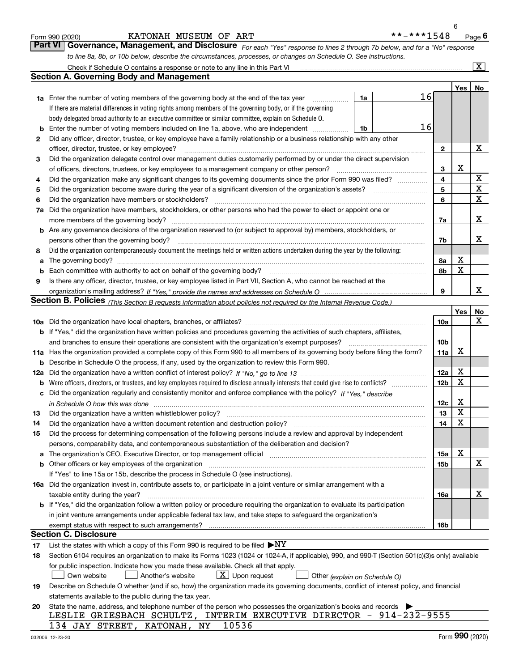|  | Form 990 (2020) |
|--|-----------------|
|  |                 |

| Form 990 (2020) | KATONAH MUSEUM OF ART | **-***1548                                                                                                                    | $P_{\text{aqe}}$ 6 |
|-----------------|-----------------------|-------------------------------------------------------------------------------------------------------------------------------|--------------------|
|                 |                       | Part VI   Governance, Management, and Disclosure For each "Yes" response to lines 2 through 7b below, and for a "No" response |                    |
|                 |                       | to line 8a, 8b, or 10b below, describe the circumstances, processes, or changes on Schedule O. See instructions.              |                    |

|     | Check if Schedule O contains a response or note to any line in this Part VI                                                                                                                                                    |                 |     | x           |
|-----|--------------------------------------------------------------------------------------------------------------------------------------------------------------------------------------------------------------------------------|-----------------|-----|-------------|
|     | <b>Section A. Governing Body and Management</b>                                                                                                                                                                                |                 |     |             |
|     |                                                                                                                                                                                                                                |                 | Yes | No          |
|     | 16<br>1a Enter the number of voting members of the governing body at the end of the tax year<br>1a                                                                                                                             |                 |     |             |
|     | If there are material differences in voting rights among members of the governing body, or if the governing                                                                                                                    |                 |     |             |
|     | body delegated broad authority to an executive committee or similar committee, explain on Schedule O.                                                                                                                          |                 |     |             |
| b   | 16<br>Enter the number of voting members included on line 1a, above, who are independent<br>1b                                                                                                                                 |                 |     |             |
| 2   | Did any officer, director, trustee, or key employee have a family relationship or a business relationship with any other                                                                                                       |                 |     |             |
|     | officer, director, trustee, or key employee?                                                                                                                                                                                   | $\mathbf{2}$    |     | X           |
| 3   | Did the organization delegate control over management duties customarily performed by or under the direct supervision                                                                                                          |                 |     |             |
|     | of officers, directors, trustees, or key employees to a management company or other person?                                                                                                                                    | 3               | X   |             |
| 4   | Did the organization make any significant changes to its governing documents since the prior Form 990 was filed?                                                                                                               | 4               |     | X           |
| 5   |                                                                                                                                                                                                                                | 5               |     | $\mathbf X$ |
| 6   | Did the organization have members or stockholders?                                                                                                                                                                             | 6               |     | X           |
| 7a  | Did the organization have members, stockholders, or other persons who had the power to elect or appoint one or                                                                                                                 |                 |     |             |
|     | more members of the governing body?                                                                                                                                                                                            | 7a              |     | х           |
|     | <b>b</b> Are any governance decisions of the organization reserved to (or subject to approval by) members, stockholders, or                                                                                                    |                 |     |             |
|     | persons other than the governing body?                                                                                                                                                                                         | 7b              |     | x           |
| 8   | Did the organization contemporaneously document the meetings held or written actions undertaken during the year by the following:                                                                                              |                 |     |             |
| a   | The governing body?                                                                                                                                                                                                            | 8a              | х   |             |
| b   |                                                                                                                                                                                                                                | 8b              | X   |             |
| 9   | Is there any officer, director, trustee, or key employee listed in Part VII, Section A, who cannot be reached at the                                                                                                           |                 |     |             |
|     |                                                                                                                                                                                                                                | 9               |     | x           |
|     | <b>Section B. Policies</b> (This Section B requests information about policies not required by the Internal Revenue Code.)                                                                                                     |                 |     |             |
|     |                                                                                                                                                                                                                                |                 | Yes | No          |
|     |                                                                                                                                                                                                                                | 10a             |     | х           |
|     | <b>b</b> If "Yes," did the organization have written policies and procedures governing the activities of such chapters, affiliates,                                                                                            |                 |     |             |
|     | and branches to ensure their operations are consistent with the organization's exempt purposes?                                                                                                                                | 10 <sub>b</sub> |     |             |
|     | 11a Has the organization provided a complete copy of this Form 990 to all members of its governing body before filing the form?                                                                                                | 11a             | X   |             |
| b   | Describe in Schedule O the process, if any, used by the organization to review this Form 990.                                                                                                                                  |                 |     |             |
| 12a |                                                                                                                                                                                                                                | 12a             | X   |             |
| b   |                                                                                                                                                                                                                                | 12 <sub>b</sub> | X   |             |
| с   | Did the organization regularly and consistently monitor and enforce compliance with the policy? If "Yes." describe                                                                                                             |                 |     |             |
|     | in Schedule O how this was done measured and the control of the control of the state of the control of the control of the control of the control of the control of the control of the control of the control of the control of | 12c             | х   |             |
| 13  | Did the organization have a written whistleblower policy?                                                                                                                                                                      | 13              | X   |             |
| 14  | Did the organization have a written document retention and destruction policy?                                                                                                                                                 | 14              | X   |             |
| 15  | Did the process for determining compensation of the following persons include a review and approval by independent                                                                                                             |                 |     |             |
|     | persons, comparability data, and contemporaneous substantiation of the deliberation and decision?                                                                                                                              |                 |     |             |
| a   | The organization's CEO, Executive Director, or top management official manufactured content of the organization's CEO, Executive Director, or top management official                                                          | 15a             | X   |             |
|     | <b>b</b> Other officers or key employees of the organization                                                                                                                                                                   | 15b             |     | х           |
|     | If "Yes" to line 15a or 15b, describe the process in Schedule O (see instructions).                                                                                                                                            |                 |     |             |
|     | 16a Did the organization invest in, contribute assets to, or participate in a joint venture or similar arrangement with a                                                                                                      |                 |     |             |
|     | taxable entity during the year?                                                                                                                                                                                                | 16a             |     | х           |
|     | b If "Yes," did the organization follow a written policy or procedure requiring the organization to evaluate its participation                                                                                                 |                 |     |             |
|     | in joint venture arrangements under applicable federal tax law, and take steps to safequard the organization's                                                                                                                 |                 |     |             |
|     | exempt status with respect to such arrangements?                                                                                                                                                                               | 16b             |     |             |
|     | <b>Section C. Disclosure</b>                                                                                                                                                                                                   |                 |     |             |
| 17  | List the states with which a copy of this Form 990 is required to be filed $\blacktriangleright$ NY                                                                                                                            |                 |     |             |
| 18  | Section 6104 requires an organization to make its Forms 1023 (1024 or 1024-A, if applicable), 990, and 990-T (Section 501(c)(3)s only) available                                                                               |                 |     |             |
|     | for public inspection. Indicate how you made these available. Check all that apply.                                                                                                                                            |                 |     |             |
|     | $X$ Upon request<br>Another's website<br>Own website<br>Other (explain on Schedule O)                                                                                                                                          |                 |     |             |
| 19  | Describe on Schedule O whether (and if so, how) the organization made its governing documents, conflict of interest policy, and financial                                                                                      |                 |     |             |
|     | statements available to the public during the tax year.                                                                                                                                                                        |                 |     |             |
| 20  | State the name, address, and telephone number of the person who possesses the organization's books and records                                                                                                                 |                 |     |             |
|     | LESLIE GRIESBACH SCHULTZ, INTERIM EXECUTIVE DIRECTOR - 914-232-9555                                                                                                                                                            |                 |     |             |
|     | ΝY<br>10536<br>134 JAY STREET, KATONAH,                                                                                                                                                                                        |                 |     |             |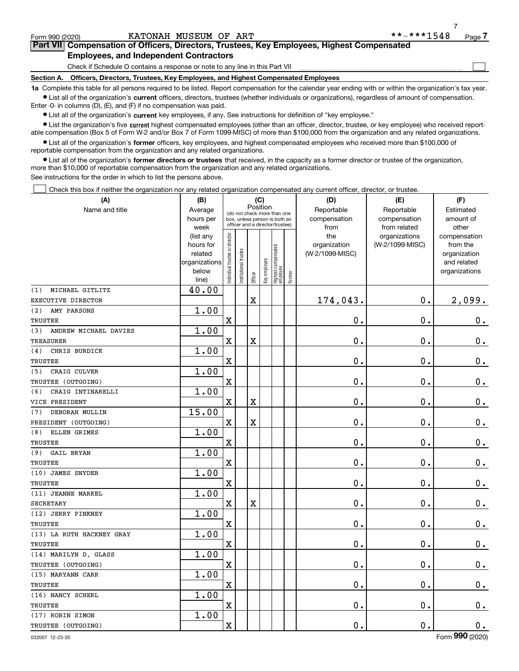$\mathcal{L}^{\text{max}}$ 

| orm 990 (2020) <sup>.</sup> |                                               | KATONAH MUSEUM OF ART |  |                                                                                            | **-***1548 | Page <i>I</i> |
|-----------------------------|-----------------------------------------------|-----------------------|--|--------------------------------------------------------------------------------------------|------------|---------------|
|                             |                                               |                       |  | Part VII Compensation of Officers, Directors, Trustees, Key Employees, Highest Compensated |            |               |
|                             | <b>Employees, and Independent Contractors</b> |                       |  |                                                                                            |            |               |

Check if Schedule O contains a response or note to any line in this Part VII

**Section A. Officers, Directors, Trustees, Key Employees, and Highest Compensated Employees**

**1a**  Complete this table for all persons required to be listed. Report compensation for the calendar year ending with or within the organization's tax year. **•** List all of the organization's current officers, directors, trustees (whether individuals or organizations), regardless of amount of compensation.

Enter -0- in columns (D), (E), and (F) if no compensation was paid.

 $\bullet$  List all of the organization's  $\,$ current key employees, if any. See instructions for definition of "key employee."

• List the organization's five current highest compensated employees (other than an officer, director, trustee, or key employee) who received report-■ List the organization's five current highest compensated employees (other than an officer, director, trustee, or key employee) who received report-<br>able compensation (Box 5 of Form W-2 and/or Box 7 of Form 1099-MISC) of

**•** List all of the organization's former officers, key employees, and highest compensated employees who received more than \$100,000 of reportable compensation from the organization and any related organizations.

**former directors or trustees**  ¥ List all of the organization's that received, in the capacity as a former director or trustee of the organization, more than \$10,000 of reportable compensation from the organization and any related organizations.

See instructions for the order in which to list the persons above.

Check this box if neither the organization nor any related organization compensated any current officer, director, or trustee.  $\mathcal{L}^{\text{max}}$ 

| (A)                          | (B)                    |                               |                                                              | (C)                     |              |                                  |        | (D)                        | (E)                        | (F)                          |
|------------------------------|------------------------|-------------------------------|--------------------------------------------------------------|-------------------------|--------------|----------------------------------|--------|----------------------------|----------------------------|------------------------------|
| Name and title               | Average<br>hours per   |                               | (do not check more than one<br>box, unless person is both an | Position                |              |                                  |        | Reportable<br>compensation | Reportable<br>compensation | Estimated<br>amount of       |
|                              | week                   |                               | officer and a director/trustee)                              |                         |              |                                  |        | from                       | from related               | other                        |
|                              | (list any              |                               |                                                              |                         |              |                                  |        | the                        | organizations              | compensation                 |
|                              | hours for              |                               |                                                              |                         |              |                                  |        | organization               | (W-2/1099-MISC)            | from the                     |
|                              | related                |                               |                                                              |                         |              |                                  |        | (W-2/1099-MISC)            |                            | organization                 |
|                              | organizations<br>below |                               |                                                              |                         |              |                                  |        |                            |                            | and related<br>organizations |
|                              | line)                  | ndividual trustee or director | nstitutional trustee                                         | Officer                 | Key employee | Highest compensated<br> employee | Former |                            |                            |                              |
| MICHAEL GITLITZ<br>(1)       | 40.00                  |                               |                                                              |                         |              |                                  |        |                            |                            |                              |
| EXECUTIVE DIRECTOR           |                        |                               |                                                              | $\overline{\textbf{X}}$ |              |                                  |        | 174,043.                   | 0.                         | 2,099.                       |
| (2)<br>AMY PARSONS           | 1.00                   |                               |                                                              |                         |              |                                  |        |                            |                            |                              |
| <b>TRUSTEE</b>               |                        | X                             |                                                              |                         |              |                                  |        | $\mathbf 0$ .              | 0.                         | $\mathbf 0$ .                |
| ANDREW MICHAEL DAVIES<br>(3) | 1.00                   |                               |                                                              |                         |              |                                  |        |                            |                            |                              |
| <b>TREASURER</b>             |                        | $\mathbf X$                   |                                                              | $\overline{\textbf{X}}$ |              |                                  |        | $\mathbf 0$ .              | $\mathbf 0$ .              | $0_{.}$                      |
| CHRIS BURDICK<br>(4)         | 1.00                   |                               |                                                              |                         |              |                                  |        |                            |                            |                              |
| TRUSTEE                      |                        | X                             |                                                              |                         |              |                                  |        | 0.                         | 0.                         | $0_{.}$                      |
| CRAIG CULVER<br>(5)          | 1.00                   |                               |                                                              |                         |              |                                  |        |                            |                            |                              |
| TRUSTEE (OUTGOING)           |                        | X                             |                                                              |                         |              |                                  |        | 0.                         | 0.                         | $0_{.}$                      |
| (6)<br>CRAIG INTINARELLI     | 1.00                   |                               |                                                              |                         |              |                                  |        |                            |                            |                              |
| VICE PRESIDENT               |                        | $\overline{\textbf{X}}$       |                                                              | X                       |              |                                  |        | 0.                         | 0.                         | $0_{.}$                      |
| DEBORAH MULLIN<br>(7)        | 15.00                  |                               |                                                              |                         |              |                                  |        |                            |                            |                              |
| PRESIDENT (OUTGOING)         |                        | $\mathbf X$                   |                                                              | $\overline{\textbf{X}}$ |              |                                  |        | 0.                         | 0.                         | $0_{.}$                      |
| ELLEN GRIMES<br>(8)          | 1.00                   |                               |                                                              |                         |              |                                  |        |                            |                            |                              |
| <b>TRUSTEE</b>               |                        | $\overline{\textbf{X}}$       |                                                              |                         |              |                                  |        | 0.                         | $\mathbf 0$ .              | $\mathbf 0$ .                |
| <b>GAIL BRYAN</b><br>(9)     | 1.00                   |                               |                                                              |                         |              |                                  |        |                            |                            |                              |
| <b>TRUSTEE</b>               |                        | $\overline{\textbf{X}}$       |                                                              |                         |              |                                  |        | 0.                         | $\mathbf 0$ .              | $0_{.}$                      |
| (10) JAMES SNYDER            | 1.00                   |                               |                                                              |                         |              |                                  |        |                            |                            |                              |
| <b>TRUSTEE</b>               |                        | $\overline{\textbf{X}}$       |                                                              |                         |              |                                  |        | 0.                         | $\mathbf 0$ .              | $0_{.}$                      |
| (11) JEANNE MARKEL           | 1.00                   |                               |                                                              |                         |              |                                  |        |                            |                            |                              |
| <b>SECRETARY</b>             |                        | $\mathbf X$                   |                                                              | $\overline{\textbf{X}}$ |              |                                  |        | 0.                         | $\mathbf 0$ .              | $0_{.}$                      |
| (12) JERRY PINKNEY           | 1.00                   |                               |                                                              |                         |              |                                  |        |                            |                            |                              |
| <b>TRUSTEE</b>               |                        | $\mathbf x$                   |                                                              |                         |              |                                  |        | 0.                         | $\mathbf 0$ .              | $\mathbf 0$ .                |
| (13) LA RUTH HACKNEY GRAY    | 1.00                   |                               |                                                              |                         |              |                                  |        |                            |                            |                              |
| <b>TRUSTEE</b>               |                        | $\mathbf x$                   |                                                              |                         |              |                                  |        | 0.                         | $\mathbf 0$ .              | $0_{.}$                      |
| (14) MARILYN D. GLASS        | 1.00                   |                               |                                                              |                         |              |                                  |        |                            |                            |                              |
| TRUSTEE (OUTGOING)           |                        | X                             |                                                              |                         |              |                                  |        | 0.                         | 0.                         | $\mathbf 0$ .                |
| (15) MARYANN CARR            | 1.00                   |                               |                                                              |                         |              |                                  |        |                            |                            |                              |
| <b>TRUSTEE</b>               |                        | X                             |                                                              |                         |              |                                  |        | 0.                         | 0.                         | $0_{.}$                      |
| (16) NANCY SCHERL            | 1.00                   |                               |                                                              |                         |              |                                  |        |                            |                            |                              |
| <b>TRUSTEE</b>               |                        | X                             |                                                              |                         |              |                                  |        | 0.                         | 0.                         | $\mathbf 0$ .                |
| (17) ROBIN SIMON             | 1.00                   |                               |                                                              |                         |              |                                  |        |                            |                            |                              |
| TRUSTEE (OUTGOING)           |                        | $\rm X$                       |                                                              |                         |              |                                  |        | 0.                         | 0.                         | $\mathbf 0$ .                |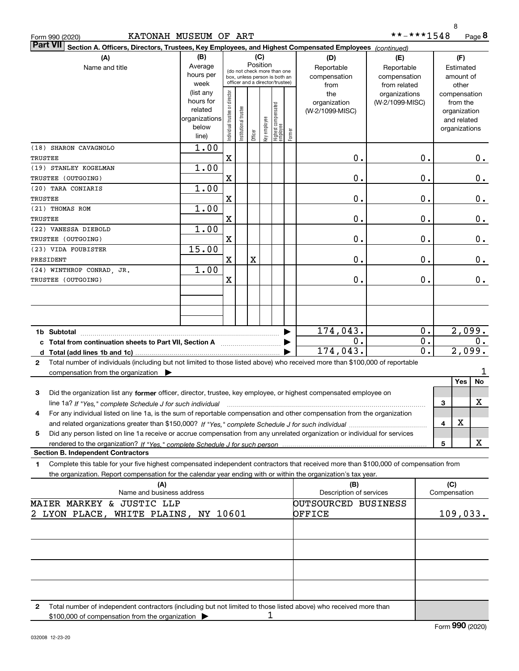| Name and title                                                                                                                             | Average<br>hours per<br>week                                         | Position<br>(do not check more than one<br>box, unless person is both an<br>officer and a director/trustee) |                       |         | Reportable<br>compensation | Reportable<br>compensation       |        | Estimated<br>amount of                         |                                                  |               |                                                                                   |  |
|--------------------------------------------------------------------------------------------------------------------------------------------|----------------------------------------------------------------------|-------------------------------------------------------------------------------------------------------------|-----------------------|---------|----------------------------|----------------------------------|--------|------------------------------------------------|--------------------------------------------------|---------------|-----------------------------------------------------------------------------------|--|
|                                                                                                                                            | (list any<br>hours for<br>related<br>organizations<br>below<br>line) | director<br>teeor<br>ndividual trust                                                                        | Institutional trustee | Officer | Key employee               | Highest compensated<br> employee | Former | from<br>the<br>organization<br>(W-2/1099-MISC) | from related<br>organizations<br>(W-2/1099-MISC) |               | other<br>compensation<br>from the<br>organization<br>and related<br>organizations |  |
| (18) SHARON CAVAGNOLO                                                                                                                      | 1.00                                                                 |                                                                                                             |                       |         |                            |                                  |        |                                                |                                                  |               |                                                                                   |  |
| TRUSTEE                                                                                                                                    |                                                                      | X                                                                                                           |                       |         |                            |                                  |        | $0$ .                                          |                                                  | $\mathbf 0$ . | 0.                                                                                |  |
| (19) STANLEY KOGELMAN                                                                                                                      | 1.00                                                                 |                                                                                                             |                       |         |                            |                                  |        |                                                |                                                  |               |                                                                                   |  |
| TRUSTEE (OUTGOING)                                                                                                                         |                                                                      | X                                                                                                           |                       |         |                            |                                  |        | 0.                                             |                                                  | $\mathbf 0$ . | $0$ .                                                                             |  |
| (20) TARA CONIARIS                                                                                                                         | 1.00                                                                 |                                                                                                             |                       |         |                            |                                  |        |                                                |                                                  |               |                                                                                   |  |
| TRUSTEE<br>(21) THOMAS ROM                                                                                                                 | 1.00                                                                 | X                                                                                                           |                       |         |                            |                                  |        | 0.                                             |                                                  | $\mathbf 0$ . | $0$ .                                                                             |  |
| TRUSTEE                                                                                                                                    |                                                                      | X                                                                                                           |                       |         |                            |                                  |        | 0.                                             |                                                  | $\mathbf 0$ . | 0.                                                                                |  |
| (22) VANESSA DIEBOLD                                                                                                                       | 1.00                                                                 |                                                                                                             |                       |         |                            |                                  |        |                                                |                                                  |               |                                                                                   |  |
| TRUSTEE (OUTGOING)                                                                                                                         |                                                                      | X                                                                                                           |                       |         |                            |                                  |        | 0.                                             |                                                  | $\mathbf 0$ . | $0$ .                                                                             |  |
| (23) VIDA FOUBISTER                                                                                                                        | 15.00                                                                |                                                                                                             |                       |         |                            |                                  |        |                                                |                                                  |               |                                                                                   |  |
| PRESIDENT                                                                                                                                  |                                                                      | X                                                                                                           |                       | X       |                            |                                  |        | 0.                                             |                                                  | $\mathbf 0$ . | 0.                                                                                |  |
| (24) WINTHROP CONRAD, JR.                                                                                                                  | 1.00                                                                 |                                                                                                             |                       |         |                            |                                  |        |                                                |                                                  |               |                                                                                   |  |
| TRUSTEE (OUTGOING)                                                                                                                         |                                                                      | X                                                                                                           |                       |         |                            |                                  |        | 0.                                             |                                                  | 0.            | $0$ .                                                                             |  |
|                                                                                                                                            |                                                                      |                                                                                                             |                       |         |                            |                                  |        |                                                |                                                  |               |                                                                                   |  |
|                                                                                                                                            |                                                                      |                                                                                                             |                       |         |                            |                                  |        |                                                |                                                  |               |                                                                                   |  |
|                                                                                                                                            |                                                                      |                                                                                                             |                       |         |                            |                                  |        |                                                |                                                  |               |                                                                                   |  |
|                                                                                                                                            |                                                                      |                                                                                                             |                       |         |                            |                                  |        |                                                |                                                  |               |                                                                                   |  |
|                                                                                                                                            |                                                                      |                                                                                                             |                       |         |                            |                                  |        | 174,043.                                       |                                                  | 0.            | 2,099.                                                                            |  |
| c Total from continuation sheets to Part VII, Section A <b>manufarity</b>                                                                  |                                                                      |                                                                                                             |                       |         |                            |                                  |        | 0.                                             |                                                  | 0.            | 0.                                                                                |  |
|                                                                                                                                            |                                                                      |                                                                                                             |                       |         |                            |                                  |        | 174,043.                                       |                                                  | 0.            | 2,099.                                                                            |  |
| Total number of individuals (including but not limited to those listed above) who received more than \$100,000 of reportable<br>2          |                                                                      |                                                                                                             |                       |         |                            |                                  |        |                                                |                                                  |               |                                                                                   |  |
| compensation from the organization $\blacktriangleright$                                                                                   |                                                                      |                                                                                                             |                       |         |                            |                                  |        |                                                |                                                  |               |                                                                                   |  |
|                                                                                                                                            |                                                                      |                                                                                                             |                       |         |                            |                                  |        |                                                |                                                  |               | Yes<br>No                                                                         |  |
| 3<br>Did the organization list any former officer, director, trustee, key employee, or highest compensated employee on                     |                                                                      |                                                                                                             |                       |         |                            |                                  |        |                                                |                                                  |               |                                                                                   |  |
|                                                                                                                                            |                                                                      |                                                                                                             |                       |         |                            |                                  |        |                                                |                                                  |               | х<br>3                                                                            |  |
| For any individual listed on line 1a, is the sum of reportable compensation and other compensation from the organization<br>4              |                                                                      |                                                                                                             |                       |         |                            |                                  |        |                                                |                                                  |               |                                                                                   |  |
|                                                                                                                                            |                                                                      |                                                                                                             |                       |         |                            |                                  |        |                                                |                                                  |               | х<br>4                                                                            |  |
| Did any person listed on line 1a receive or accrue compensation from any unrelated organization or individual for services<br>5            |                                                                      |                                                                                                             |                       |         |                            |                                  |        |                                                |                                                  |               | X                                                                                 |  |
| rendered to the organization? If "Yes." complete Schedule J for such person<br><b>Section B. Independent Contractors</b>                   |                                                                      |                                                                                                             |                       |         |                            |                                  |        |                                                |                                                  |               | 5                                                                                 |  |
| Complete this table for your five highest compensated independent contractors that received more than \$100,000 of compensation from<br>1. |                                                                      |                                                                                                             |                       |         |                            |                                  |        |                                                |                                                  |               |                                                                                   |  |
| the organization. Report compensation for the calendar year ending with or within the organization's tax year.                             |                                                                      |                                                                                                             |                       |         |                            |                                  |        |                                                |                                                  |               |                                                                                   |  |
| (A)                                                                                                                                        |                                                                      |                                                                                                             |                       |         |                            |                                  |        | (B)                                            |                                                  |               | (C)                                                                               |  |
| Name and business address                                                                                                                  |                                                                      |                                                                                                             |                       |         |                            |                                  |        | Description of services                        |                                                  |               | Compensation                                                                      |  |
| MAIER MARKEY & JUSTIC LLP                                                                                                                  |                                                                      |                                                                                                             |                       |         |                            |                                  |        | OUTSOURCED BUSINESS                            |                                                  |               |                                                                                   |  |
| 2 LYON PLACE, WHITE PLAINS,                                                                                                                | NY 10601                                                             |                                                                                                             |                       |         |                            |                                  |        | OFFICE                                         |                                                  |               | 109,033.                                                                          |  |
|                                                                                                                                            |                                                                      |                                                                                                             |                       |         |                            |                                  |        |                                                |                                                  |               |                                                                                   |  |
|                                                                                                                                            |                                                                      |                                                                                                             |                       |         |                            |                                  |        |                                                |                                                  |               |                                                                                   |  |
|                                                                                                                                            |                                                                      |                                                                                                             |                       |         |                            |                                  |        |                                                |                                                  |               |                                                                                   |  |
|                                                                                                                                            |                                                                      |                                                                                                             |                       |         |                            |                                  |        |                                                |                                                  |               |                                                                                   |  |
|                                                                                                                                            |                                                                      |                                                                                                             |                       |         |                            |                                  |        |                                                |                                                  |               |                                                                                   |  |
|                                                                                                                                            |                                                                      |                                                                                                             |                       |         |                            |                                  |        |                                                |                                                  |               |                                                                                   |  |
|                                                                                                                                            |                                                                      |                                                                                                             |                       |         |                            |                                  |        |                                                |                                                  |               |                                                                                   |  |
|                                                                                                                                            |                                                                      |                                                                                                             |                       |         |                            |                                  |        |                                                |                                                  |               |                                                                                   |  |
| 2 Total number of independent contractors (including but not limited to those listed above) who received more than                         |                                                                      |                                                                                                             |                       |         |                            |                                  |        |                                                |                                                  |               |                                                                                   |  |

**2**Total number of independent contractors (including but not limited to those listed above) who received more than \$100,000 of compensation from the organization 1

*(continued)*

Form 990 (2020) KA'I'ONAH MUSEUM OF AR'I' \* \*-\* \* \*1548 Page KATONAH MUSEUM OF ART

**Section A. Officers, Directors, Trustees, Key Employees, and Highest Compensated Employees** 

**Part VII**

**(A) (B) (C) (D) (E) (F)**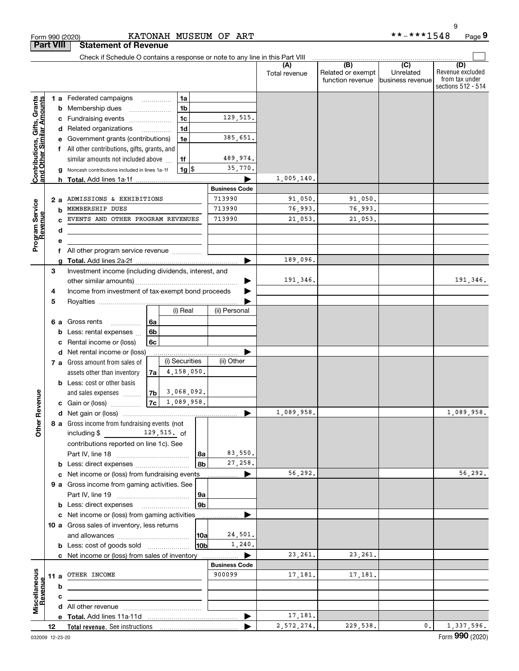|                                                           |   |   | Check if Schedule O contains a response or note to any line in this Part VIII     |                |                   |                |                      |                      |                                              |                                                 |                                                                 |
|-----------------------------------------------------------|---|---|-----------------------------------------------------------------------------------|----------------|-------------------|----------------|----------------------|----------------------|----------------------------------------------|-------------------------------------------------|-----------------------------------------------------------------|
|                                                           |   |   |                                                                                   |                |                   |                |                      | (A)<br>Total revenue | (B)<br>Related or exempt<br>function revenue | $\overline{C}$<br>Unrelated<br>business revenue | (D)<br>Revenue excluded<br>from tax under<br>sections 512 - 514 |
|                                                           |   |   | 1 a Federated campaigns                                                           |                | 1a                |                |                      |                      |                                              |                                                 |                                                                 |
| Contributions, Gifts, Grants<br>and Other Similar Amounts |   |   | <b>b</b> Membership dues                                                          |                | 1 <sub>b</sub>    |                |                      |                      |                                              |                                                 |                                                                 |
|                                                           |   |   | c Fundraising events                                                              |                | 1 <sub>c</sub>    |                | 129,515.             |                      |                                              |                                                 |                                                                 |
|                                                           |   |   | d Related organizations                                                           | .              | 1 <sub>d</sub>    |                |                      |                      |                                              |                                                 |                                                                 |
|                                                           |   |   | e Government grants (contributions)                                               |                | 1e                |                | 385,651.             |                      |                                              |                                                 |                                                                 |
|                                                           |   |   | f All other contributions, gifts, grants, and                                     |                |                   |                |                      |                      |                                              |                                                 |                                                                 |
|                                                           |   |   | similar amounts not included above                                                |                | 1f                |                | 489,974.             |                      |                                              |                                                 |                                                                 |
|                                                           |   |   | g Noncash contributions included in lines 1a-1f                                   |                | $1g$  \$          |                | 35,770.              |                      |                                              |                                                 |                                                                 |
|                                                           |   |   |                                                                                   |                |                   |                |                      | 1,005,140.           |                                              |                                                 |                                                                 |
|                                                           |   |   |                                                                                   |                |                   |                | <b>Business Code</b> |                      |                                              |                                                 |                                                                 |
|                                                           |   |   | 2 a ADMISSIONS & EXHIBITIONS                                                      |                |                   |                | 713990               | 91,050.              | 91,050.                                      |                                                 |                                                                 |
|                                                           |   | b | MEMBERSHIP DUES                                                                   |                |                   |                | 713990               | 76,993.              | 76,993.                                      |                                                 |                                                                 |
|                                                           |   |   | EVENTS AND OTHER PROGRAM REVENUES                                                 |                |                   |                | 713990               | 21,053.              | 21,053.                                      |                                                 |                                                                 |
|                                                           |   | d |                                                                                   |                |                   |                |                      |                      |                                              |                                                 |                                                                 |
| Program Service<br>Revenue                                |   | е |                                                                                   |                |                   |                |                      |                      |                                              |                                                 |                                                                 |
|                                                           |   |   | f All other program service revenue                                               |                |                   |                |                      |                      |                                              |                                                 |                                                                 |
|                                                           |   |   |                                                                                   |                |                   |                |                      | 189,096.             |                                              |                                                 |                                                                 |
|                                                           | 3 |   | Investment income (including dividends, interest, and                             |                |                   |                |                      |                      |                                              |                                                 |                                                                 |
|                                                           |   |   |                                                                                   |                |                   |                |                      | 191,346.             |                                              |                                                 | 191,346.                                                        |
|                                                           | 4 |   | Income from investment of tax-exempt bond proceeds                                |                |                   |                |                      |                      |                                              |                                                 |                                                                 |
|                                                           | 5 |   |                                                                                   |                |                   |                |                      |                      |                                              |                                                 |                                                                 |
|                                                           |   |   |                                                                                   |                | (i) Real          |                | (ii) Personal        |                      |                                              |                                                 |                                                                 |
|                                                           |   |   | 6 a Gross rents<br>.                                                              | 6a             |                   |                |                      |                      |                                              |                                                 |                                                                 |
|                                                           |   |   | <b>b</b> Less: rental expenses                                                    | 6 <sub>b</sub> |                   |                |                      |                      |                                              |                                                 |                                                                 |
|                                                           |   | c | Rental income or (loss)                                                           | 6c             |                   |                |                      |                      |                                              |                                                 |                                                                 |
|                                                           |   |   | d Net rental income or (loss)<br>(i) Securities<br>7 a Gross amount from sales of |                | (ii) Other        |                |                      |                      |                                              |                                                 |                                                                 |
|                                                           |   |   |                                                                                   |                | 4,158,050.        |                |                      |                      |                                              |                                                 |                                                                 |
|                                                           |   |   | assets other than inventory                                                       | 7al            |                   |                |                      |                      |                                              |                                                 |                                                                 |
|                                                           |   |   | <b>b</b> Less: cost or other basis                                                |                | $ 7b $ 3,068,092. |                |                      |                      |                                              |                                                 |                                                                 |
| Revenue                                                   |   |   | and sales expenses                                                                |                | $ 7c $ 1,089,958. |                |                      |                      |                                              |                                                 |                                                                 |
|                                                           |   |   | c Gain or (loss)                                                                  |                |                   |                |                      | 1,089,958.           |                                              |                                                 | 1,089,958.                                                      |
|                                                           |   |   | 8 a Gross income from fundraising events (not                                     |                |                   |                |                      |                      |                                              |                                                 |                                                                 |
| Other                                                     |   |   | including $$$                                                                     |                | $129,515.$ of     |                |                      |                      |                                              |                                                 |                                                                 |
|                                                           |   |   | contributions reported on line 1c). See                                           |                |                   |                |                      |                      |                                              |                                                 |                                                                 |
|                                                           |   |   |                                                                                   |                |                   | 8a             | 83,550.              |                      |                                              |                                                 |                                                                 |
|                                                           |   |   | <b>b</b> Less: direct expenses <i>managered</i> b                                 |                |                   | 8b             | 27,258.              |                      |                                              |                                                 |                                                                 |
|                                                           |   |   | c Net income or (loss) from fundraising events                                    |                |                   |                | ▶                    | 56,292.              |                                              |                                                 | 56,292.                                                         |
|                                                           |   |   | 9 a Gross income from gaming activities. See                                      |                |                   |                |                      |                      |                                              |                                                 |                                                                 |
|                                                           |   |   |                                                                                   |                |                   | 9a             |                      |                      |                                              |                                                 |                                                                 |
|                                                           |   |   | <b>b</b> Less: direct expenses                                                    |                |                   | 9 <sub>b</sub> |                      |                      |                                              |                                                 |                                                                 |
|                                                           |   |   | c Net income or (loss) from gaming activities                                     |                |                   |                |                      |                      |                                              |                                                 |                                                                 |
|                                                           |   |   | 10 a Gross sales of inventory, less returns                                       |                |                   |                |                      |                      |                                              |                                                 |                                                                 |
|                                                           |   |   |                                                                                   |                |                   | 10a            | 24,501.              |                      |                                              |                                                 |                                                                 |
|                                                           |   |   | <b>b</b> Less: cost of goods sold                                                 |                |                   | 10b            | 1,240.               |                      |                                              |                                                 |                                                                 |
|                                                           |   |   |                                                                                   |                |                   |                | ▶                    | 23,261.              | 23, 261.                                     |                                                 |                                                                 |
|                                                           |   |   |                                                                                   |                |                   |                | <b>Business Code</b> |                      |                                              |                                                 |                                                                 |
|                                                           |   |   | 11 a OTHER INCOME                                                                 |                |                   |                | 900099               | 17,181.              | 17,181.                                      |                                                 |                                                                 |
| Revenue                                                   |   | b |                                                                                   |                |                   |                |                      |                      |                                              |                                                 |                                                                 |
|                                                           |   | с |                                                                                   |                |                   |                |                      |                      |                                              |                                                 |                                                                 |
|                                                           |   |   |                                                                                   |                |                   |                |                      |                      |                                              |                                                 |                                                                 |
|                                                           |   |   |                                                                                   |                |                   |                |                      |                      |                                              |                                                 |                                                                 |
|                                                           |   |   |                                                                                   |                |                   |                | ▶                    | 17,181.              |                                              |                                                 |                                                                 |

**9**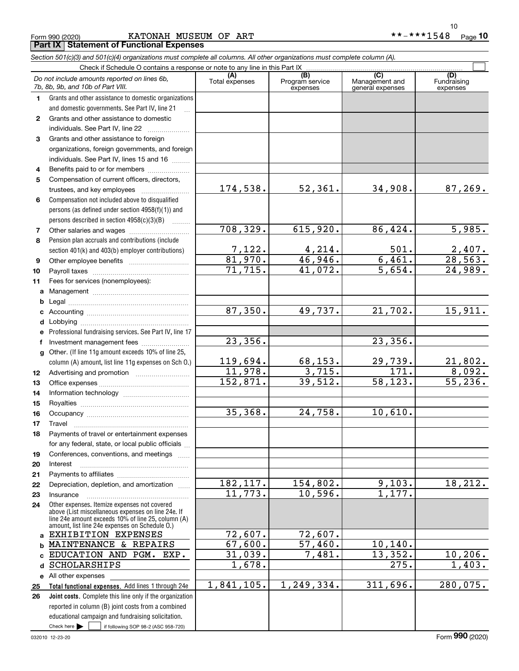**10**

 $\Box$ 

|              | Do not include amounts reported on lines 6b,<br>7b, 8b, 9b, and 10b of Part VIII.                                                                                                                          | (A)<br>Total expenses | (B)<br>Program service<br>expenses | $\overline{C}$<br>Management and<br>general expenses | (D)<br>Fundraising<br>expenses |
|--------------|------------------------------------------------------------------------------------------------------------------------------------------------------------------------------------------------------------|-----------------------|------------------------------------|------------------------------------------------------|--------------------------------|
| 1            | Grants and other assistance to domestic organizations                                                                                                                                                      |                       |                                    |                                                      |                                |
|              | and domestic governments. See Part IV, line 21                                                                                                                                                             |                       |                                    |                                                      |                                |
| $\mathbf{2}$ | Grants and other assistance to domestic                                                                                                                                                                    |                       |                                    |                                                      |                                |
|              | individuals. See Part IV, line 22                                                                                                                                                                          |                       |                                    |                                                      |                                |
| 3            | Grants and other assistance to foreign                                                                                                                                                                     |                       |                                    |                                                      |                                |
|              | organizations, foreign governments, and foreign                                                                                                                                                            |                       |                                    |                                                      |                                |
|              | individuals. See Part IV, lines 15 and 16                                                                                                                                                                  |                       |                                    |                                                      |                                |
| 4            | Benefits paid to or for members                                                                                                                                                                            |                       |                                    |                                                      |                                |
| 5            | Compensation of current officers, directors,                                                                                                                                                               |                       |                                    |                                                      |                                |
|              | trustees, and key employees                                                                                                                                                                                | 174,538.              | 52,361.                            | 34,908.                                              | 87,269.                        |
| 6            | Compensation not included above to disqualified                                                                                                                                                            |                       |                                    |                                                      |                                |
|              | persons (as defined under section 4958(f)(1)) and                                                                                                                                                          |                       |                                    |                                                      |                                |
|              | persons described in section 4958(c)(3)(B)                                                                                                                                                                 |                       |                                    |                                                      |                                |
| 7            |                                                                                                                                                                                                            | 708, 329.             | 615,920.                           | 86,424.                                              | 5,985.                         |
| 8            | Pension plan accruals and contributions (include                                                                                                                                                           |                       |                                    |                                                      |                                |
|              | section 401(k) and 403(b) employer contributions)                                                                                                                                                          | 7,122.                | $\frac{4,214.}{46,946.}$           | 501.                                                 | $\frac{2,407}{28,563}$ .       |
| 9            |                                                                                                                                                                                                            | 81,970.               |                                    | 6,461.                                               |                                |
| 10           |                                                                                                                                                                                                            | 71, 715.              | 41,072.                            | 5,654.                                               | 24,989.                        |
| 11           | Fees for services (nonemployees):                                                                                                                                                                          |                       |                                    |                                                      |                                |
| a            |                                                                                                                                                                                                            |                       |                                    |                                                      |                                |
| b            |                                                                                                                                                                                                            |                       |                                    |                                                      |                                |
| c            |                                                                                                                                                                                                            | 87,350.               | 49,737.                            | 21,702.                                              | 15,911.                        |
| d            |                                                                                                                                                                                                            |                       |                                    |                                                      |                                |
| е            | Professional fundraising services. See Part IV, line 17                                                                                                                                                    |                       |                                    |                                                      |                                |
| f            | Investment management fees                                                                                                                                                                                 | 23,356.               |                                    | 23,356.                                              |                                |
| g            | Other. (If line 11g amount exceeds 10% of line 25,                                                                                                                                                         |                       |                                    |                                                      |                                |
|              | column (A) amount, list line 11g expenses on Sch O.)                                                                                                                                                       | 119,694.              | $\frac{68,153.}{3,715.}$           | 29,739.                                              | <u>21,802.</u>                 |
| 12           |                                                                                                                                                                                                            | 11,978.               |                                    | $\overline{171}$ .                                   | 8,092.                         |
| 13           |                                                                                                                                                                                                            | 152,871.              | 39,512.                            | $\overline{58,123}$ .                                | 55, 236.                       |
| 14           |                                                                                                                                                                                                            |                       |                                    |                                                      |                                |
| 15           |                                                                                                                                                                                                            |                       |                                    |                                                      |                                |
| 16           |                                                                                                                                                                                                            | 35,368.               | 24,758.                            | 10,610.                                              |                                |
| 17           | Travel                                                                                                                                                                                                     |                       |                                    |                                                      |                                |
| 18           | Payments of travel or entertainment expenses                                                                                                                                                               |                       |                                    |                                                      |                                |
|              | for any federal, state, or local public officials                                                                                                                                                          |                       |                                    |                                                      |                                |
| 19           | Conferences, conventions, and meetings                                                                                                                                                                     |                       |                                    |                                                      |                                |
| 20           | Interest                                                                                                                                                                                                   |                       |                                    |                                                      |                                |
| 21           |                                                                                                                                                                                                            |                       |                                    |                                                      |                                |
| 22           | Depreciation, depletion, and amortization                                                                                                                                                                  | 182, 117.             | 154,802.                           | 9,103.                                               | 18,212.                        |
| 23           | Insurance                                                                                                                                                                                                  | 11,773.               | 10,596.                            | 1,177.                                               |                                |
| 24           | Other expenses. Itemize expenses not covered<br>above (List miscellaneous expenses on line 24e. If<br>line 24e amount exceeds 10% of line 25, column (A)<br>amount, list line 24e expenses on Schedule O.) |                       |                                    |                                                      |                                |
|              | a EXHIBITION EXPENSES                                                                                                                                                                                      | 72,607.               | 72,607.                            |                                                      |                                |
| b            | MAINTENANCE & REPAIRS                                                                                                                                                                                      | 67,600.               | $\overline{57,460}$ .              | 10, 140.                                             |                                |
| c            | EDUCATION AND PGM.<br>EXP.                                                                                                                                                                                 | 31,039.               | 7,481.                             | 13,352.                                              | 10, 206.                       |
| d            | SCHOLARSHIPS                                                                                                                                                                                               | 1,678.                |                                    | $\overline{275}$ .                                   | 1,403.                         |
|              | e All other expenses                                                                                                                                                                                       |                       |                                    |                                                      |                                |
| 25           | Total functional expenses. Add lines 1 through 24e                                                                                                                                                         | 1,841,105.            | 1, 249, 334.                       | 311,696.                                             | 280,075.                       |
| 26           | Joint costs. Complete this line only if the organization                                                                                                                                                   |                       |                                    |                                                      |                                |
|              | reported in column (B) joint costs from a combined                                                                                                                                                         |                       |                                    |                                                      |                                |
|              | educational campaign and fundraising solicitation.                                                                                                                                                         |                       |                                    |                                                      |                                |
|              | Check here $\blacktriangleright$<br>if following SOP 98-2 (ASC 958-720)                                                                                                                                    |                       |                                    |                                                      |                                |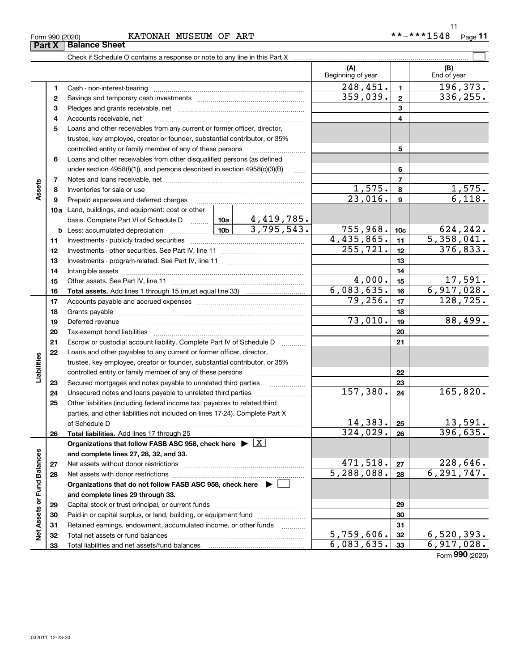| Form 990 (2020) | <b>KATONAH</b> | MUSEUM | ОF | ART | ***1548<br>**_ | Page |  |
|-----------------|----------------|--------|----|-----|----------------|------|--|
|                 |                |        |    |     |                |      |  |

|                             |          |                                                                                                                                                                                                                               |         |                                 | (A)<br>Beginning of year |                         | (B)<br>End of year    |
|-----------------------------|----------|-------------------------------------------------------------------------------------------------------------------------------------------------------------------------------------------------------------------------------|---------|---------------------------------|--------------------------|-------------------------|-----------------------|
|                             | 1        | Cash - non-interest-bearing                                                                                                                                                                                                   |         |                                 | 248,451.                 | $\mathbf{1}$            | 196, 373.             |
|                             | 2        |                                                                                                                                                                                                                               |         |                                 | $\overline{359,039}$ .   | $\overline{\mathbf{2}}$ | 336, 255.             |
|                             | 3        |                                                                                                                                                                                                                               |         |                                 |                          | 3                       |                       |
|                             | 4        |                                                                                                                                                                                                                               |         |                                 |                          | 4                       |                       |
|                             | 5        | Loans and other receivables from any current or former officer, director,                                                                                                                                                     |         |                                 |                          |                         |                       |
|                             |          | trustee, key employee, creator or founder, substantial contributor, or 35%                                                                                                                                                    |         |                                 |                          |                         |                       |
|                             |          | controlled entity or family member of any of these persons                                                                                                                                                                    |         |                                 |                          | 5                       |                       |
|                             | 6        | Loans and other receivables from other disqualified persons (as defined                                                                                                                                                       |         |                                 |                          |                         |                       |
|                             |          | under section $4958(f)(1)$ , and persons described in section $4958(c)(3)(B)$                                                                                                                                                 |         | 1.1.1.1                         |                          | 6                       |                       |
|                             | 7        |                                                                                                                                                                                                                               |         |                                 | 1,575.                   | $\overline{7}$<br>8     |                       |
| Assets                      | 8        |                                                                                                                                                                                                                               |         |                                 | 23,016.                  | $\mathbf{9}$            | $\frac{1,575}{6,118}$ |
|                             | 9        | Prepaid expenses and deferred charges                                                                                                                                                                                         |         |                                 |                          |                         |                       |
|                             |          | 10a Land, buildings, and equipment: cost or other                                                                                                                                                                             |         |                                 |                          |                         |                       |
|                             |          | basis. Complete Part VI of Schedule D  10a<br>. 10b <u> </u><br><b>b</b> Less: accumulated depreciation                                                                                                                       |         | $\frac{4,419,785.}{3,795,543.}$ | 755,968.                 | 10 <sub>c</sub>         | 624,242.              |
|                             | 11       |                                                                                                                                                                                                                               |         |                                 | 4,435,865.               | 11                      | 5,358,041.            |
|                             | 12       |                                                                                                                                                                                                                               |         |                                 | 255, 721.                | 12                      | 376,833.              |
|                             | 13       |                                                                                                                                                                                                                               |         |                                 |                          | 13                      |                       |
|                             | 14       |                                                                                                                                                                                                                               |         |                                 |                          | 14                      |                       |
|                             | 15       |                                                                                                                                                                                                                               |         |                                 | 4,000.                   | 15                      | 17,591.               |
|                             | 16       |                                                                                                                                                                                                                               |         |                                 | 6,083,635.               | 16                      | 6,917,028.            |
|                             | 17       |                                                                                                                                                                                                                               |         |                                 | 79,256.                  | 17                      | 128, 725.             |
|                             | 18       |                                                                                                                                                                                                                               |         |                                 |                          | 18                      |                       |
|                             | 19       | Deferred revenue manual contracts and contracts are all the manual contracts and contracts are all the contracts of the contracts of the contracts of the contracts of the contracts of the contracts of the contracts of the | 73,010. | 19                              | 88,499.                  |                         |                       |
|                             | 20       |                                                                                                                                                                                                                               |         | 20                              |                          |                         |                       |
|                             | 21       | Escrow or custodial account liability. Complete Part IV of Schedule D                                                                                                                                                         |         |                                 | 21                       |                         |                       |
|                             | 22       | Loans and other payables to any current or former officer, director,                                                                                                                                                          |         |                                 |                          |                         |                       |
| Liabilities                 |          | trustee, key employee, creator or founder, substantial contributor, or 35%                                                                                                                                                    |         |                                 |                          |                         |                       |
|                             |          | controlled entity or family member of any of these persons                                                                                                                                                                    |         |                                 |                          | 22                      |                       |
|                             | 23       | Secured mortgages and notes payable to unrelated third parties                                                                                                                                                                |         |                                 |                          | 23                      |                       |
|                             | 24       | Unsecured notes and loans payable to unrelated third parties                                                                                                                                                                  |         |                                 | 157,380.                 | 24                      | 165,820.              |
|                             | 25       | Other liabilities (including federal income tax, payables to related third                                                                                                                                                    |         |                                 |                          |                         |                       |
|                             |          | parties, and other liabilities not included on lines 17-24). Complete Part X                                                                                                                                                  |         |                                 |                          |                         |                       |
|                             |          |                                                                                                                                                                                                                               |         |                                 | 14,383.                  | 25                      | 13,591.               |
|                             | 26       |                                                                                                                                                                                                                               |         |                                 | 324,029.                 | 26                      | 396,635.              |
|                             |          | Organizations that follow FASB ASC 958, check here $\blacktriangleright \boxed{X}$                                                                                                                                            |         |                                 |                          |                         |                       |
|                             |          | and complete lines 27, 28, 32, and 33.                                                                                                                                                                                        |         |                                 | 471,518.                 | 27                      | 228,646.              |
|                             | 27<br>28 | Net assets with donor restrictions                                                                                                                                                                                            |         |                                 | 5,288,088.               | 28                      | 6, 291, 747.          |
|                             |          | Organizations that do not follow FASB ASC 958, check here $\blacktriangleright$                                                                                                                                               |         |                                 |                          |                         |                       |
|                             |          | and complete lines 29 through 33.                                                                                                                                                                                             |         |                                 |                          |                         |                       |
|                             | 29       |                                                                                                                                                                                                                               |         |                                 |                          | 29                      |                       |
| Net Assets or Fund Balances | 30       | Paid-in or capital surplus, or land, building, or equipment fund                                                                                                                                                              |         |                                 |                          | 30                      |                       |
|                             | 31       | Retained earnings, endowment, accumulated income, or other funds                                                                                                                                                              |         | $\overline{\phantom{a}}$        |                          | 31                      |                       |
|                             | 32       | Total net assets or fund balances                                                                                                                                                                                             |         |                                 | 5,759,606.               | 32                      | 6,520,393.            |
|                             | 33       |                                                                                                                                                                                                                               |         |                                 | 6,083,635.               | 33                      | 6,917,028.            |
|                             |          |                                                                                                                                                                                                                               |         |                                 |                          |                         | Form 990 (2020)       |
|                             |          |                                                                                                                                                                                                                               |         |                                 |                          |                         |                       |

**Part X Balance Sheet**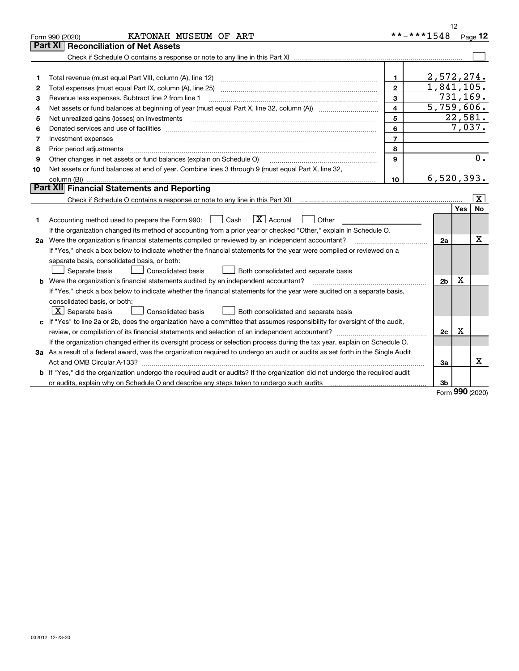|    | KATONAH MUSEUM OF ART<br>Form 990 (2020)                                                                                        |                         | **-***1548     |                       | Page 12   |
|----|---------------------------------------------------------------------------------------------------------------------------------|-------------------------|----------------|-----------------------|-----------|
|    | <b>Part XI</b><br><b>Reconciliation of Net Assets</b>                                                                           |                         |                |                       |           |
|    |                                                                                                                                 |                         |                |                       |           |
|    |                                                                                                                                 |                         |                |                       |           |
| 1  |                                                                                                                                 | 1                       | 2,572,274.     |                       |           |
| 2  |                                                                                                                                 | $\mathbf{2}$            | 1,841,105.     |                       |           |
| з  | Revenue less expenses. Subtract line 2 from line 1                                                                              | 3                       |                | $\overline{731,}169.$ |           |
| 4  |                                                                                                                                 | $\overline{\mathbf{4}}$ | 5,759,606.     |                       |           |
| 5  |                                                                                                                                 | 5                       |                | 22,581.               |           |
| 6  |                                                                                                                                 | 6                       |                | 7,037.                |           |
| 7  |                                                                                                                                 | $\overline{7}$          |                |                       |           |
| 8  | Prior period adjustments                                                                                                        | 8                       |                |                       |           |
| 9  | Other changes in net assets or fund balances (explain on Schedule O)                                                            | 9                       |                |                       | 0.        |
| 10 | Net assets or fund balances at end of year. Combine lines 3 through 9 (must equal Part X, line 32,                              |                         |                |                       |           |
|    |                                                                                                                                 | 10                      | 6,520,393.     |                       |           |
|    | Part XII Financial Statements and Reporting                                                                                     |                         |                |                       |           |
|    |                                                                                                                                 |                         |                |                       | x         |
|    |                                                                                                                                 |                         |                | <b>Yes</b>            | <b>No</b> |
| 1  | $\mathbf{X}$ Accrual<br>Accounting method used to prepare the Form 990: <u>June</u> Cash<br>    Other                           |                         |                |                       |           |
|    | If the organization changed its method of accounting from a prior year or checked "Other," explain in Schedule O.               |                         |                |                       |           |
|    | 2a Were the organization's financial statements compiled or reviewed by an independent accountant?                              |                         | 2a             |                       | Х         |
|    | If "Yes," check a box below to indicate whether the financial statements for the year were compiled or reviewed on a            |                         |                |                       |           |
|    | separate basis, consolidated basis, or both:                                                                                    |                         |                |                       |           |
|    | Separate basis<br>Consolidated basis<br>Both consolidated and separate basis                                                    |                         |                |                       |           |
|    | <b>b</b> Were the organization's financial statements audited by an independent accountant?                                     |                         | 2 <sub>b</sub> | х                     |           |
|    | If "Yes," check a box below to indicate whether the financial statements for the year were audited on a separate basis,         |                         |                |                       |           |
|    | consolidated basis, or both:                                                                                                    |                         |                |                       |           |
|    | $ \mathbf{X} $ Separate basis<br><b>Consolidated basis</b><br>Both consolidated and separate basis                              |                         |                |                       |           |
|    | c If "Yes" to line 2a or 2b, does the organization have a committee that assumes responsibility for oversight of the audit,     |                         |                |                       |           |
|    |                                                                                                                                 |                         | 2c             | Х                     |           |
|    | If the organization changed either its oversight process or selection process during the tax year, explain on Schedule O.       |                         |                |                       |           |
|    | 3a As a result of a federal award, was the organization required to undergo an audit or audits as set forth in the Single Audit |                         |                |                       |           |
|    |                                                                                                                                 |                         | За             |                       | Х         |
|    | b If "Yes," did the organization undergo the required audit or audits? If the organization did not undergo the required audit   |                         |                |                       |           |
|    |                                                                                                                                 |                         | 3 <sub>b</sub> |                       |           |

Form (2020) **990**

12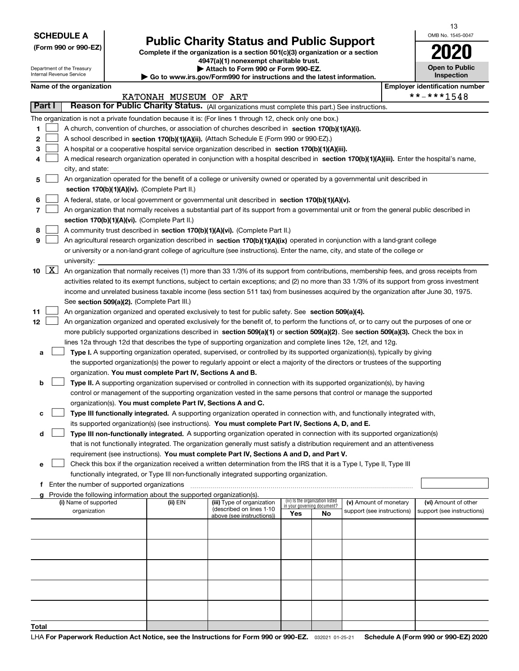|  | <b>SCHEDULE A</b> |
|--|-------------------|
|--|-------------------|

Department of the Treasury Internal Revenue Service

# **Public Charity Status and Public Support**

**Complete if the organization is a section 501(c)(3) organization or a section 4947(a)(1) nonexempt charitable trust. | Attach to Form 990 or Form 990-EZ.** 

| ▶ Go to www.irs.gov/Form990 for instructions and the latest information. |  |  |
|--------------------------------------------------------------------------|--|--|
|                                                                          |  |  |

| 13<br>OMB No. 1545-0047             |
|-------------------------------------|
| 2020                                |
| <b>Open to Public</b><br>Inspection |

## **Name of the organization**

|        |                                                                                                                           | <b>Name of the organization</b>                                                                                                                         |                       |                                                        |                             |                                 |                                                      | Employer Remaindation nambel<br>**-***1548         |
|--------|---------------------------------------------------------------------------------------------------------------------------|---------------------------------------------------------------------------------------------------------------------------------------------------------|-----------------------|--------------------------------------------------------|-----------------------------|---------------------------------|------------------------------------------------------|----------------------------------------------------|
|        | Part I                                                                                                                    | Reason for Public Charity Status. (All organizations must complete this part.) See instructions.                                                        | KATONAH MUSEUM OF ART |                                                        |                             |                                 |                                                      |                                                    |
|        |                                                                                                                           |                                                                                                                                                         |                       |                                                        |                             |                                 |                                                      |                                                    |
|        |                                                                                                                           | The organization is not a private foundation because it is: (For lines 1 through 12, check only one box.)                                               |                       |                                                        |                             |                                 |                                                      |                                                    |
| 1      |                                                                                                                           | A church, convention of churches, or association of churches described in section 170(b)(1)(A)(i).                                                      |                       |                                                        |                             |                                 |                                                      |                                                    |
| 2      |                                                                                                                           | A school described in section 170(b)(1)(A)(ii). (Attach Schedule E (Form 990 or 990-EZ).)                                                               |                       |                                                        |                             |                                 |                                                      |                                                    |
| З      |                                                                                                                           | A hospital or a cooperative hospital service organization described in section 170(b)(1)(A)(iii).                                                       |                       |                                                        |                             |                                 |                                                      |                                                    |
| 4      |                                                                                                                           | A medical research organization operated in conjunction with a hospital described in section 170(b)(1)(A)(iii). Enter the hospital's name,              |                       |                                                        |                             |                                 |                                                      |                                                    |
|        |                                                                                                                           | city, and state:<br>An organization operated for the benefit of a college or university owned or operated by a governmental unit described in           |                       |                                                        |                             |                                 |                                                      |                                                    |
| 5      |                                                                                                                           |                                                                                                                                                         |                       |                                                        |                             |                                 |                                                      |                                                    |
|        |                                                                                                                           | section 170(b)(1)(A)(iv). (Complete Part II.)                                                                                                           |                       |                                                        |                             |                                 |                                                      |                                                    |
| 6      |                                                                                                                           | A federal, state, or local government or governmental unit described in section 170(b)(1)(A)(v).                                                        |                       |                                                        |                             |                                 |                                                      |                                                    |
| 7      |                                                                                                                           | An organization that normally receives a substantial part of its support from a governmental unit or from the general public described in               |                       |                                                        |                             |                                 |                                                      |                                                    |
|        |                                                                                                                           | section 170(b)(1)(A)(vi). (Complete Part II.)                                                                                                           |                       |                                                        |                             |                                 |                                                      |                                                    |
| 8<br>9 |                                                                                                                           | A community trust described in section 170(b)(1)(A)(vi). (Complete Part II.)                                                                            |                       |                                                        |                             |                                 |                                                      |                                                    |
|        |                                                                                                                           | An agricultural research organization described in section 170(b)(1)(A)(ix) operated in conjunction with a land-grant college                           |                       |                                                        |                             |                                 |                                                      |                                                    |
|        |                                                                                                                           | or university or a non-land-grant college of agriculture (see instructions). Enter the name, city, and state of the college or                          |                       |                                                        |                             |                                 |                                                      |                                                    |
|        | 10 $X$                                                                                                                    | university:<br>An organization that normally receives (1) more than 33 1/3% of its support from contributions, membership fees, and gross receipts from |                       |                                                        |                             |                                 |                                                      |                                                    |
|        |                                                                                                                           | activities related to its exempt functions, subject to certain exceptions; and (2) no more than 33 1/3% of its support from gross investment            |                       |                                                        |                             |                                 |                                                      |                                                    |
|        |                                                                                                                           | income and unrelated business taxable income (less section 511 tax) from businesses acquired by the organization after June 30, 1975.                   |                       |                                                        |                             |                                 |                                                      |                                                    |
|        |                                                                                                                           | See section 509(a)(2). (Complete Part III.)                                                                                                             |                       |                                                        |                             |                                 |                                                      |                                                    |
| 11     |                                                                                                                           | An organization organized and operated exclusively to test for public safety. See section 509(a)(4).                                                    |                       |                                                        |                             |                                 |                                                      |                                                    |
| 12     |                                                                                                                           | An organization organized and operated exclusively for the benefit of, to perform the functions of, or to carry out the purposes of one or              |                       |                                                        |                             |                                 |                                                      |                                                    |
|        |                                                                                                                           | more publicly supported organizations described in section 509(a)(1) or section 509(a)(2). See section 509(a)(3). Check the box in                      |                       |                                                        |                             |                                 |                                                      |                                                    |
|        |                                                                                                                           | lines 12a through 12d that describes the type of supporting organization and complete lines 12e, 12f, and 12g.                                          |                       |                                                        |                             |                                 |                                                      |                                                    |
| а      |                                                                                                                           | Type I. A supporting organization operated, supervised, or controlled by its supported organization(s), typically by giving                             |                       |                                                        |                             |                                 |                                                      |                                                    |
|        |                                                                                                                           | the supported organization(s) the power to regularly appoint or elect a majority of the directors or trustees of the supporting                         |                       |                                                        |                             |                                 |                                                      |                                                    |
|        |                                                                                                                           | organization. You must complete Part IV, Sections A and B.                                                                                              |                       |                                                        |                             |                                 |                                                      |                                                    |
| b      |                                                                                                                           | Type II. A supporting organization supervised or controlled in connection with its supported organization(s), by having                                 |                       |                                                        |                             |                                 |                                                      |                                                    |
|        |                                                                                                                           | control or management of the supporting organization vested in the same persons that control or manage the supported                                    |                       |                                                        |                             |                                 |                                                      |                                                    |
|        |                                                                                                                           | organization(s). You must complete Part IV, Sections A and C.                                                                                           |                       |                                                        |                             |                                 |                                                      |                                                    |
| с      |                                                                                                                           | Type III functionally integrated. A supporting organization operated in connection with, and functionally integrated with,                              |                       |                                                        |                             |                                 |                                                      |                                                    |
|        |                                                                                                                           | its supported organization(s) (see instructions). You must complete Part IV, Sections A, D, and E.                                                      |                       |                                                        |                             |                                 |                                                      |                                                    |
| d      | Type III non-functionally integrated. A supporting organization operated in connection with its supported organization(s) |                                                                                                                                                         |                       |                                                        |                             |                                 |                                                      |                                                    |
|        |                                                                                                                           | that is not functionally integrated. The organization generally must satisfy a distribution requirement and an attentiveness                            |                       |                                                        |                             |                                 |                                                      |                                                    |
|        |                                                                                                                           | requirement (see instructions). You must complete Part IV, Sections A and D, and Part V.                                                                |                       |                                                        |                             |                                 |                                                      |                                                    |
| е      |                                                                                                                           | Check this box if the organization received a written determination from the IRS that it is a Type I, Type II, Type III                                 |                       |                                                        |                             |                                 |                                                      |                                                    |
|        |                                                                                                                           | functionally integrated, or Type III non-functionally integrated supporting organization.                                                               |                       |                                                        |                             |                                 |                                                      |                                                    |
| f      |                                                                                                                           | Enter the number of supported organizations                                                                                                             |                       |                                                        |                             |                                 |                                                      |                                                    |
|        |                                                                                                                           | Provide the following information about the supported organization(s).                                                                                  |                       |                                                        |                             |                                 |                                                      |                                                    |
|        |                                                                                                                           | (i) Name of supported                                                                                                                                   | (ii) EIN              | (iii) Type of organization<br>(described on lines 1-10 | in your governing document? | (iv) Is the organization listed | (v) Amount of monetary<br>support (see instructions) | (vi) Amount of other<br>support (see instructions) |
|        |                                                                                                                           | organization                                                                                                                                            |                       | above (see instructions))                              | Yes                         | No                              |                                                      |                                                    |
|        |                                                                                                                           |                                                                                                                                                         |                       |                                                        |                             |                                 |                                                      |                                                    |
|        |                                                                                                                           |                                                                                                                                                         |                       |                                                        |                             |                                 |                                                      |                                                    |
|        |                                                                                                                           |                                                                                                                                                         |                       |                                                        |                             |                                 |                                                      |                                                    |
|        |                                                                                                                           |                                                                                                                                                         |                       |                                                        |                             |                                 |                                                      |                                                    |
|        |                                                                                                                           |                                                                                                                                                         |                       |                                                        |                             |                                 |                                                      |                                                    |
|        |                                                                                                                           |                                                                                                                                                         |                       |                                                        |                             |                                 |                                                      |                                                    |
|        |                                                                                                                           |                                                                                                                                                         |                       |                                                        |                             |                                 |                                                      |                                                    |
|        |                                                                                                                           |                                                                                                                                                         |                       |                                                        |                             |                                 |                                                      |                                                    |
|        |                                                                                                                           |                                                                                                                                                         |                       |                                                        |                             |                                 |                                                      |                                                    |
|        |                                                                                                                           |                                                                                                                                                         |                       |                                                        |                             |                                 |                                                      |                                                    |
| Total  |                                                                                                                           |                                                                                                                                                         |                       |                                                        |                             |                                 |                                                      |                                                    |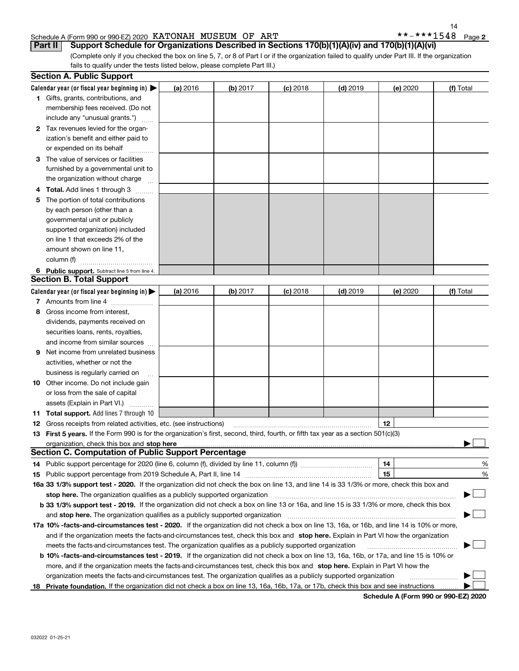#### Schedule A (Form 990 or 990-EZ) 2020 KATONAH MUSEUM OF ART NATING AND RELATED AT THE TANK Page KATONAH MUSEUM OF ART \*\*-\*\*\*1548

ou checked the box on line 5, 7, or 8 of Part I or if the organization failed to qualify under Part III. If the organization er the tests listed below, please complete Part III.) **Part II Support Schedule for Organizations Described in Sections 170(b)(1)(A)(iv) and 170(b)(1)(A)(vi)**

|    | <b>Section A. Public Support</b>                                                                                                                                                                                               |          |          |            |            |                                      |           |
|----|--------------------------------------------------------------------------------------------------------------------------------------------------------------------------------------------------------------------------------|----------|----------|------------|------------|--------------------------------------|-----------|
|    | Calendar year (or fiscal year beginning in) $\blacktriangleright$                                                                                                                                                              | (a) 2016 | (b) 2017 | $(c)$ 2018 | $(d)$ 2019 | (e) 2020                             | (f) Total |
|    | 1 Gifts, grants, contributions, and                                                                                                                                                                                            |          |          |            |            |                                      |           |
|    | membership fees received. (Do not                                                                                                                                                                                              |          |          |            |            |                                      |           |
|    | include any "unusual grants.")                                                                                                                                                                                                 |          |          |            |            |                                      |           |
|    | 2 Tax revenues levied for the organ-                                                                                                                                                                                           |          |          |            |            |                                      |           |
|    | ization's benefit and either paid to                                                                                                                                                                                           |          |          |            |            |                                      |           |
|    | or expended on its behalf                                                                                                                                                                                                      |          |          |            |            |                                      |           |
|    | 3 The value of services or facilities                                                                                                                                                                                          |          |          |            |            |                                      |           |
|    | furnished by a governmental unit to                                                                                                                                                                                            |          |          |            |            |                                      |           |
|    | the organization without charge                                                                                                                                                                                                |          |          |            |            |                                      |           |
|    | 4 Total. Add lines 1 through 3<br>$\sim$                                                                                                                                                                                       |          |          |            |            |                                      |           |
| 5. | The portion of total contributions                                                                                                                                                                                             |          |          |            |            |                                      |           |
|    | by each person (other than a                                                                                                                                                                                                   |          |          |            |            |                                      |           |
|    | governmental unit or publicly                                                                                                                                                                                                  |          |          |            |            |                                      |           |
|    | supported organization) included                                                                                                                                                                                               |          |          |            |            |                                      |           |
|    | on line 1 that exceeds 2% of the                                                                                                                                                                                               |          |          |            |            |                                      |           |
|    | amount shown on line 11,                                                                                                                                                                                                       |          |          |            |            |                                      |           |
|    | column (f)                                                                                                                                                                                                                     |          |          |            |            |                                      |           |
|    | 6 Public support. Subtract line 5 from line 4.                                                                                                                                                                                 |          |          |            |            |                                      |           |
|    | <b>Section B. Total Support</b>                                                                                                                                                                                                |          |          |            |            |                                      |           |
|    | Calendar year (or fiscal year beginning in) $\blacktriangleright$                                                                                                                                                              | (a) 2016 | (b) 2017 | $(c)$ 2018 | $(d)$ 2019 | (e) 2020                             | (f) Total |
|    | 7 Amounts from line 4                                                                                                                                                                                                          |          |          |            |            |                                      |           |
| 8  | Gross income from interest,                                                                                                                                                                                                    |          |          |            |            |                                      |           |
|    | dividends, payments received on                                                                                                                                                                                                |          |          |            |            |                                      |           |
|    | securities loans, rents, royalties,                                                                                                                                                                                            |          |          |            |            |                                      |           |
|    | and income from similar sources                                                                                                                                                                                                |          |          |            |            |                                      |           |
|    | <b>9</b> Net income from unrelated business                                                                                                                                                                                    |          |          |            |            |                                      |           |
|    | activities, whether or not the                                                                                                                                                                                                 |          |          |            |            |                                      |           |
|    | business is regularly carried on                                                                                                                                                                                               |          |          |            |            |                                      |           |
|    | <b>10</b> Other income. Do not include gain                                                                                                                                                                                    |          |          |            |            |                                      |           |
|    | or loss from the sale of capital                                                                                                                                                                                               |          |          |            |            |                                      |           |
|    | assets (Explain in Part VI.)                                                                                                                                                                                                   |          |          |            |            |                                      |           |
|    | <b>11 Total support.</b> Add lines 7 through 10                                                                                                                                                                                |          |          |            |            |                                      |           |
|    | <b>12</b> Gross receipts from related activities, etc. (see instructions)                                                                                                                                                      |          |          |            |            | 12                                   |           |
|    | 13 First 5 years. If the Form 990 is for the organization's first, second, third, fourth, or fifth tax year as a section 501(c)(3)                                                                                             |          |          |            |            |                                      |           |
|    | organization, check this box and stop here manufactured and the content of the state of the content of the content of the content of the content of the content of the content of the content of the content of the content of |          |          |            |            |                                      |           |
|    | <b>Section C. Computation of Public Support Percentage</b>                                                                                                                                                                     |          |          |            |            |                                      |           |
|    |                                                                                                                                                                                                                                |          |          |            |            | 14                                   | %         |
|    |                                                                                                                                                                                                                                |          |          |            |            | 15                                   | $\%$      |
|    | 16a 33 1/3% support test - 2020. If the organization did not check the box on line 13, and line 14 is 33 1/3% or more, check this box and                                                                                      |          |          |            |            |                                      |           |
|    | stop here. The organization qualifies as a publicly supported organization                                                                                                                                                     |          |          |            |            |                                      |           |
|    | b 33 1/3% support test - 2019. If the organization did not check a box on line 13 or 16a, and line 15 is 33 1/3% or more, check this box                                                                                       |          |          |            |            |                                      |           |
|    | and stop here. The organization qualifies as a publicly supported organization                                                                                                                                                 |          |          |            |            |                                      |           |
|    | 17a 10% -facts-and-circumstances test - 2020. If the organization did not check a box on line 13, 16a, or 16b, and line 14 is 10% or more,                                                                                     |          |          |            |            |                                      |           |
|    | and if the organization meets the facts-and-circumstances test, check this box and stop here. Explain in Part VI how the organization                                                                                          |          |          |            |            |                                      |           |
|    | meets the facts-and-circumstances test. The organization qualifies as a publicly supported organization                                                                                                                        |          |          |            |            |                                      |           |
|    | <b>b 10% -facts-and-circumstances test - 2019.</b> If the organization did not check a box on line 13, 16a, 16b, or 17a, and line 15 is 10% or                                                                                 |          |          |            |            |                                      |           |
|    | more, and if the organization meets the facts-and-circumstances test, check this box and stop here. Explain in Part VI how the                                                                                                 |          |          |            |            |                                      |           |
|    | organization meets the facts-and-circumstances test. The organization qualifies as a publicly supported organization                                                                                                           |          |          |            |            |                                      |           |
|    | 18 Private foundation. If the organization did not check a box on line 13, 16a, 16b, 17a, or 17b, check this box and see instructions                                                                                          |          |          |            |            |                                      |           |
|    |                                                                                                                                                                                                                                |          |          |            |            | Schodule A (Form 000 or 000 EZ) 2020 |           |

**Schedule A (Form 990 or 990-EZ) 2020**

| ┚ |                       |
|---|-----------------------|
|   | (Complete only if y   |
|   | fails to qualify unde |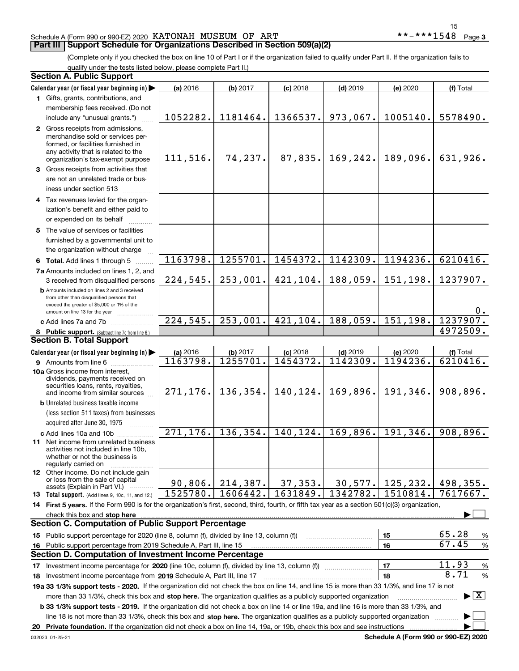## Schedule A (Form 990 or 990-EZ) 2020 Page KATONAH MUSEUM OF ART \*\*-\*\*\*1548

## **Part III** | Support Schedule for Organizations Described in Section 509(a)(2)

(Complete only if you checked the box on line 10 of Part I or if the organization failed to qualify under Part II. If the organization fails to qualify under the tests listed below, please complete Part II.)

| <b>Section A. Public Support</b>                                                                                                                                                                                      |           |                        |            |            |                                             |                                          |
|-----------------------------------------------------------------------------------------------------------------------------------------------------------------------------------------------------------------------|-----------|------------------------|------------|------------|---------------------------------------------|------------------------------------------|
| Calendar year (or fiscal year beginning in)                                                                                                                                                                           | (a) 2016  | (b) 2017               | $(c)$ 2018 | $(d)$ 2019 | (e) 2020                                    | (f) Total                                |
| 1 Gifts, grants, contributions, and                                                                                                                                                                                   |           |                        |            |            |                                             |                                          |
| membership fees received. (Do not                                                                                                                                                                                     |           |                        |            |            |                                             |                                          |
| include any "unusual grants.")                                                                                                                                                                                        | 1052282.  | 1181464.               | 1366537.   | 973,067.   | 1005140.                                    | 5578490.                                 |
| 2 Gross receipts from admissions,<br>merchandise sold or services per-<br>formed, or facilities furnished in<br>any activity that is related to the<br>organization's tax-exempt purpose                              | 111,516.  | 74, 237.               | 87,835.    | 169, 242.  | 189,096.                                    | 631,926.                                 |
| 3 Gross receipts from activities that                                                                                                                                                                                 |           |                        |            |            |                                             |                                          |
| are not an unrelated trade or bus-<br>iness under section 513                                                                                                                                                         |           |                        |            |            |                                             |                                          |
| 4 Tax revenues levied for the organ-                                                                                                                                                                                  |           |                        |            |            |                                             |                                          |
| ization's benefit and either paid to                                                                                                                                                                                  |           |                        |            |            |                                             |                                          |
| or expended on its behalf                                                                                                                                                                                             |           |                        |            |            |                                             |                                          |
| 5 The value of services or facilities                                                                                                                                                                                 |           |                        |            |            |                                             |                                          |
| furnished by a governmental unit to<br>the organization without charge                                                                                                                                                |           |                        |            |            |                                             |                                          |
| 6 Total. Add lines 1 through 5                                                                                                                                                                                        | 1163798.  | 1255701.               | 1454372.   | 1142309.   | 1194236.                                    | 6210416.                                 |
| 7a Amounts included on lines 1, 2, and                                                                                                                                                                                |           |                        |            |            |                                             |                                          |
| 3 received from disqualified persons                                                                                                                                                                                  | 224,545.  | 253,001.               | 421,104.   | 188,059.   | 151,198.                                    | 1237907.                                 |
| <b>b</b> Amounts included on lines 2 and 3 received<br>from other than disqualified persons that<br>exceed the greater of \$5,000 or 1% of the<br>amount on line 13 for the year <i>[[[[[[[[[[[[[[[[[[[[[[]]]]</i> ]] |           |                        |            |            |                                             | 0.                                       |
| c Add lines 7a and 7b                                                                                                                                                                                                 | 224, 545. | $\overline{253,001}$ . | 421, 104.  | 188,059.   | 151, 198.                                   | 1237907.                                 |
| 8 Public support. (Subtract line 7c from line 6.)                                                                                                                                                                     |           |                        |            |            |                                             | 4972509.                                 |
| <b>Section B. Total Support</b>                                                                                                                                                                                       |           |                        |            |            |                                             |                                          |
| Calendar year (or fiscal year beginning in)                                                                                                                                                                           | (a) 2016  | (b) 2017               | $(c)$ 2018 | $(d)$ 2019 | (e) 2020                                    | (f) Total                                |
| <b>9</b> Amounts from line 6                                                                                                                                                                                          | 1163798.  | 1255701.               | 1454372.   | 1142309.   | 1194236.                                    | 6210416.                                 |
| 10a Gross income from interest,<br>dividends, payments received on<br>securities loans, rents, royalties,<br>and income from similar sources                                                                          | 271, 176. | 136, 354.              | 140,124.   | 169,896.   | 191,346.                                    | 908,896.                                 |
| <b>b</b> Unrelated business taxable income                                                                                                                                                                            |           |                        |            |            |                                             |                                          |
| (less section 511 taxes) from businesses                                                                                                                                                                              |           |                        |            |            |                                             |                                          |
| acquired after June 30, 1975<br>1.1.1.1.1.1.1.1.1                                                                                                                                                                     |           |                        |            |            |                                             |                                          |
| c Add lines 10a and 10b                                                                                                                                                                                               | 271, 176. | 136, 354.              | 140,124.   | 169,896.   | 191, 346.                                   | 908,896.                                 |
| 11 Net income from unrelated business<br>activities not included in line 10b.<br>whether or not the business is<br>regularly carried on                                                                               |           |                        |            |            |                                             |                                          |
| <b>12</b> Other income. Do not include gain<br>or loss from the sale of capital<br>assets (Explain in Part VI.)                                                                                                       | 90,806.   | 214,387.               | 37,353.    | 30,577.    | 125,232.                                    | 498,355.                                 |
| 13 Total support. (Add lines 9, 10c, 11, and 12.)                                                                                                                                                                     | 1525780.  | 1606442.               | 1631849.   | 1342782.   | 1510814.                                    | 7617667.                                 |
| 14 First 5 years. If the Form 990 is for the organization's first, second, third, fourth, or fifth tax year as a section 501(c)(3) organization,<br>check this box and stop here                                      |           |                        |            |            |                                             |                                          |
| <b>Section C. Computation of Public Support Percentage</b>                                                                                                                                                            |           |                        |            |            |                                             |                                          |
| 15 Public support percentage for 2020 (line 8, column (f), divided by line 13, column (f))                                                                                                                            |           |                        |            |            | 15                                          | 65.28<br>%                               |
| 16 Public support percentage from 2019 Schedule A, Part III, line 15                                                                                                                                                  |           |                        |            |            | 16                                          | 67.45<br>$\%$                            |
| <b>Section D. Computation of Investment Income Percentage</b>                                                                                                                                                         |           |                        |            |            |                                             |                                          |
| 17 Investment income percentage for 2020 (line 10c, column (f), divided by line 13, column (f))                                                                                                                       |           |                        |            |            | 17                                          | 11.93<br>$\%$                            |
| 18 Investment income percentage from 2019 Schedule A, Part III, line 17                                                                                                                                               |           |                        |            |            | 18                                          | 8.71<br>$\%$                             |
| 19a 33 1/3% support tests - 2020. If the organization did not check the box on line 14, and line 15 is more than 33 1/3%, and line 17 is not                                                                          |           |                        |            |            |                                             |                                          |
| more than 33 1/3%, check this box and stop here. The organization qualifies as a publicly supported organization                                                                                                      |           |                        |            |            |                                             | $\blacktriangleright$ $\boxed{\text{X}}$ |
| b 33 1/3% support tests - 2019. If the organization did not check a box on line 14 or line 19a, and line 16 is more than 33 1/3%, and                                                                                 |           |                        |            |            |                                             |                                          |
| line 18 is not more than 33 1/3%, check this box and stop here. The organization qualifies as a publicly supported organization                                                                                       |           |                        |            |            |                                             |                                          |
| 20 Private foundation. If the organization did not check a box on line 14, 19a, or 19b, check this box and see instructions                                                                                           |           |                        |            |            |                                             |                                          |
|                                                                                                                                                                                                                       |           |                        |            |            | <b>Cohodulo A (Form 000 or 000 EZ) 2020</b> |                                          |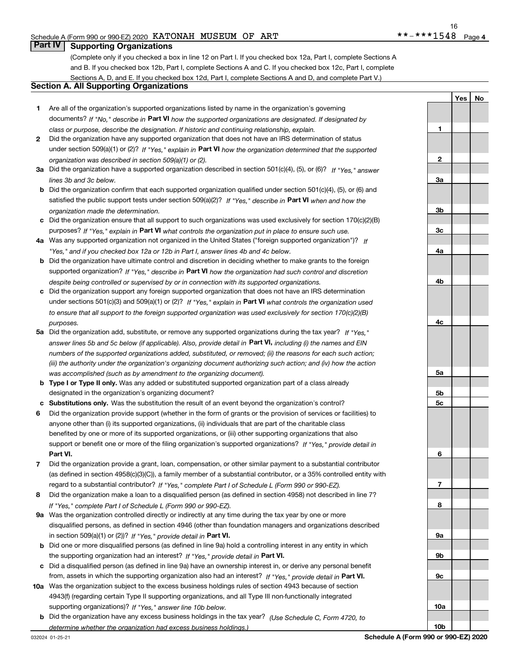**Yes No**

## **Part IV Supporting Organizations**

(Complete only if you checked a box in line 12 on Part I. If you checked box 12a, Part I, complete Sections A and B. If you checked box 12b, Part I, complete Sections A and C. If you checked box 12c, Part I, complete Sections A, D, and E. If you checked box 12d, Part I, complete Sections A and D, and complete Part V.)

## **Section A. All Supporting Organizations**

- **1** Are all of the organization's supported organizations listed by name in the organization's governing documents? If "No," describe in **Part VI** how the supported organizations are designated. If designated by *class or purpose, describe the designation. If historic and continuing relationship, explain.*
- **2** Did the organization have any supported organization that does not have an IRS determination of status under section 509(a)(1) or (2)? If "Yes," explain in Part VI how the organization determined that the supported *organization was described in section 509(a)(1) or (2).*
- **3a** Did the organization have a supported organization described in section 501(c)(4), (5), or (6)? If "Yes," answer *lines 3b and 3c below.*
- **b** Did the organization confirm that each supported organization qualified under section 501(c)(4), (5), or (6) and satisfied the public support tests under section 509(a)(2)? If "Yes," describe in **Part VI** when and how the *organization made the determination.*
- **c**Did the organization ensure that all support to such organizations was used exclusively for section 170(c)(2)(B) purposes? If "Yes," explain in **Part VI** what controls the organization put in place to ensure such use.
- **4a***If* Was any supported organization not organized in the United States ("foreign supported organization")? *"Yes," and if you checked box 12a or 12b in Part I, answer lines 4b and 4c below.*
- **b** Did the organization have ultimate control and discretion in deciding whether to make grants to the foreign supported organization? If "Yes," describe in **Part VI** how the organization had such control and discretion *despite being controlled or supervised by or in connection with its supported organizations.*
- **c** Did the organization support any foreign supported organization that does not have an IRS determination under sections 501(c)(3) and 509(a)(1) or (2)? If "Yes," explain in **Part VI** what controls the organization used *to ensure that all support to the foreign supported organization was used exclusively for section 170(c)(2)(B) purposes.*
- **5a***If "Yes,"* Did the organization add, substitute, or remove any supported organizations during the tax year? answer lines 5b and 5c below (if applicable). Also, provide detail in **Part VI,** including (i) the names and EIN *numbers of the supported organizations added, substituted, or removed; (ii) the reasons for each such action; (iii) the authority under the organization's organizing document authorizing such action; and (iv) how the action was accomplished (such as by amendment to the organizing document).*
- **b** Type I or Type II only. Was any added or substituted supported organization part of a class already designated in the organization's organizing document?
- **cSubstitutions only.**  Was the substitution the result of an event beyond the organization's control?
- **6** Did the organization provide support (whether in the form of grants or the provision of services or facilities) to **Part VI.** *If "Yes," provide detail in* support or benefit one or more of the filing organization's supported organizations? anyone other than (i) its supported organizations, (ii) individuals that are part of the charitable class benefited by one or more of its supported organizations, or (iii) other supporting organizations that also
- **7**Did the organization provide a grant, loan, compensation, or other similar payment to a substantial contributor *If "Yes," complete Part I of Schedule L (Form 990 or 990-EZ).* regard to a substantial contributor? (as defined in section 4958(c)(3)(C)), a family member of a substantial contributor, or a 35% controlled entity with
- **8** Did the organization make a loan to a disqualified person (as defined in section 4958) not described in line 7? *If "Yes," complete Part I of Schedule L (Form 990 or 990-EZ).*
- **9a** Was the organization controlled directly or indirectly at any time during the tax year by one or more in section 509(a)(1) or (2))? If "Yes," *provide detail in* <code>Part VI.</code> disqualified persons, as defined in section 4946 (other than foundation managers and organizations described
- **b** Did one or more disqualified persons (as defined in line 9a) hold a controlling interest in any entity in which the supporting organization had an interest? If "Yes," provide detail in P**art VI**.
- **c**Did a disqualified person (as defined in line 9a) have an ownership interest in, or derive any personal benefit from, assets in which the supporting organization also had an interest? If "Yes," provide detail in P**art VI.**
- **10a** Was the organization subject to the excess business holdings rules of section 4943 because of section supporting organizations)? If "Yes," answer line 10b below. 4943(f) (regarding certain Type II supporting organizations, and all Type III non-functionally integrated
- **b** Did the organization have any excess business holdings in the tax year? (Use Schedule C, Form 4720, to *determine whether the organization had excess business holdings.)*

**123a3b3c4a4b4c5a5b5c6789a 9b9c**

**10a**

**10b**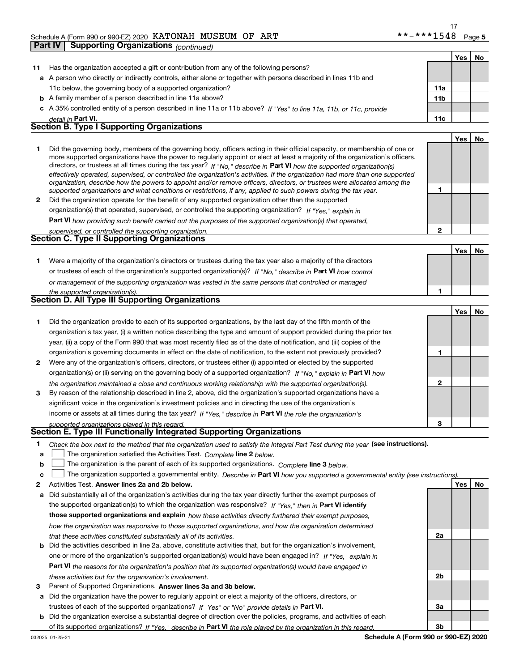|              |                                                                                                                                                                                                                                                                                                                                                                                                                                                                                                                                                                                                                                                      |                 | <b>Yes</b> | No |
|--------------|------------------------------------------------------------------------------------------------------------------------------------------------------------------------------------------------------------------------------------------------------------------------------------------------------------------------------------------------------------------------------------------------------------------------------------------------------------------------------------------------------------------------------------------------------------------------------------------------------------------------------------------------------|-----------------|------------|----|
| 11           | Has the organization accepted a gift or contribution from any of the following persons?                                                                                                                                                                                                                                                                                                                                                                                                                                                                                                                                                              |                 |            |    |
|              | a A person who directly or indirectly controls, either alone or together with persons described in lines 11b and                                                                                                                                                                                                                                                                                                                                                                                                                                                                                                                                     |                 |            |    |
|              | 11c below, the governing body of a supported organization?                                                                                                                                                                                                                                                                                                                                                                                                                                                                                                                                                                                           | 11a             |            |    |
|              | <b>b</b> A family member of a person described in line 11a above?                                                                                                                                                                                                                                                                                                                                                                                                                                                                                                                                                                                    | 11 <sub>b</sub> |            |    |
|              | c A 35% controlled entity of a person described in line 11a or 11b above? If "Yes" to line 11a, 11b, or 11c, provide                                                                                                                                                                                                                                                                                                                                                                                                                                                                                                                                 |                 |            |    |
|              | detail in Part VI.                                                                                                                                                                                                                                                                                                                                                                                                                                                                                                                                                                                                                                   | 11c             |            |    |
|              | <b>Section B. Type I Supporting Organizations</b>                                                                                                                                                                                                                                                                                                                                                                                                                                                                                                                                                                                                    |                 |            |    |
|              |                                                                                                                                                                                                                                                                                                                                                                                                                                                                                                                                                                                                                                                      |                 | Yes        | No |
| 1            | Did the governing body, members of the governing body, officers acting in their official capacity, or membership of one or<br>more supported organizations have the power to regularly appoint or elect at least a majority of the organization's officers,<br>directors, or trustees at all times during the tax year? If "No." describe in Part VI how the supported organization(s)<br>effectively operated, supervised, or controlled the organization's activities. If the organization had more than one supported<br>organization, describe how the powers to appoint and/or remove officers, directors, or trustees were allocated among the |                 |            |    |
|              | supported organizations and what conditions or restrictions, if any, applied to such powers during the tax year.                                                                                                                                                                                                                                                                                                                                                                                                                                                                                                                                     | 1               |            |    |
| $\mathbf{2}$ | Did the organization operate for the benefit of any supported organization other than the supported                                                                                                                                                                                                                                                                                                                                                                                                                                                                                                                                                  |                 |            |    |
|              | organization(s) that operated, supervised, or controlled the supporting organization? If "Yes," explain in                                                                                                                                                                                                                                                                                                                                                                                                                                                                                                                                           |                 |            |    |
|              | Part VI how providing such benefit carried out the purposes of the supported organization(s) that operated,                                                                                                                                                                                                                                                                                                                                                                                                                                                                                                                                          |                 |            |    |
|              | supervised, or controlled the supporting organization.                                                                                                                                                                                                                                                                                                                                                                                                                                                                                                                                                                                               | 2               |            |    |
|              | <b>Section C. Type II Supporting Organizations</b>                                                                                                                                                                                                                                                                                                                                                                                                                                                                                                                                                                                                   |                 |            |    |
|              |                                                                                                                                                                                                                                                                                                                                                                                                                                                                                                                                                                                                                                                      |                 | Yes        | No |
| 1            | Were a majority of the organization's directors or trustees during the tax year also a majority of the directors                                                                                                                                                                                                                                                                                                                                                                                                                                                                                                                                     |                 |            |    |
|              | or trustees of each of the organization's supported organization(s)? If "No," describe in Part VI how control                                                                                                                                                                                                                                                                                                                                                                                                                                                                                                                                        |                 |            |    |
|              | or management of the supporting organization was vested in the same persons that controlled or managed                                                                                                                                                                                                                                                                                                                                                                                                                                                                                                                                               |                 |            |    |
|              | the supported organization(s).                                                                                                                                                                                                                                                                                                                                                                                                                                                                                                                                                                                                                       | 1               |            |    |
|              | <b>Section D. All Type III Supporting Organizations</b>                                                                                                                                                                                                                                                                                                                                                                                                                                                                                                                                                                                              |                 |            |    |
|              |                                                                                                                                                                                                                                                                                                                                                                                                                                                                                                                                                                                                                                                      |                 | Yes        | No |
| 1            | Did the organization provide to each of its supported organizations, by the last day of the fifth month of the<br>organization's tax year, (i) a written notice describing the type and amount of support provided during the prior tax<br>year, (ii) a copy of the Form 990 that was most recently filed as of the date of notification, and (iii) copies of the                                                                                                                                                                                                                                                                                    |                 |            |    |
|              | organization's governing documents in effect on the date of notification, to the extent not previously provided?                                                                                                                                                                                                                                                                                                                                                                                                                                                                                                                                     | 1               |            |    |
|              | Were any of the organization's officers, directors, or trustees either (i) appointed or elected by the supported                                                                                                                                                                                                                                                                                                                                                                                                                                                                                                                                     |                 |            |    |

- **23**organization(s) or (ii) serving on the governing body of a supported organization? If "No," explain in **Part VI** how *the organization maintained a close and continuous working relationship with the supported organization(s).* Were any of the organization's officers, directors, or trustees either (i) appointed or elected by the supported By reason of the relationship described in line 2, above, did the organization's supported organizations have a
- income or assets at all times during the tax year? If "Yes," describe in **Part VI** the role the organization's significant voice in the organization's investment policies and in directing the use of the organization's

#### *supported organizations played in this regard.* **Section E. Type III Functionally Integrated Supporting Organizations**

- **1**Check the box next to the method that the organization used to satisfy the Integral Part Test during the year (see instructions).
- **alinupy** The organization satisfied the Activities Test. Complete line 2 below.
- **b**The organization is the parent of each of its supported organizations. *Complete* line 3 below.<br>The state of the state of the state of the state of the state of the state of the state of the state of the state of the state  $\mathcal{L}^{\text{max}}$

|  |  | c $\Box$ The organization supported a governmental entity. Describe in Part VI how you supported a governmental entity (see instructions) |  |
|--|--|-------------------------------------------------------------------------------------------------------------------------------------------|--|
|--|--|-------------------------------------------------------------------------------------------------------------------------------------------|--|

- **2**Activities Test.
- **Activities Test. Answer lines 2a and 2b below.**<br>**a** Did substantially all of the organization's activities during the tax year directly further the exempt purposes of the supported organization(s) to which the organization was responsive? If "Yes," then in **Part VI identify those supported organizations and explain**  *how these activities directly furthered their exempt purposes, how the organization was responsive to those supported organizations, and how the organization determined that these activities constituted substantially all of its activities.*
- **b** Did the activities described in line 2a, above, constitute activities that, but for the organization's involvement, **Part VI**  *the reasons for the organization's position that its supported organization(s) would have engaged in* one or more of the organization's supported organization(s) would have been engaged in? If "Yes," e*xplain in these activities but for the organization's involvement.*
- **3** Parent of Supported Organizations. Answer lines 3a and 3b below.
- **a** Did the organization have the power to regularly appoint or elect a majority of the officers, directors, or trustees of each of the supported organizations? If "Yes" or "No" provide details in **Part VI.**
- **b** Did the organization exercise a substantial degree of direction over the policies, programs, and activities of each **Part VI**  *If "Yes," describe in the role played by the organization in this regard.* of its supported organizations?

**2**

**3**

**2a**

**2b**

**3a**

**3b**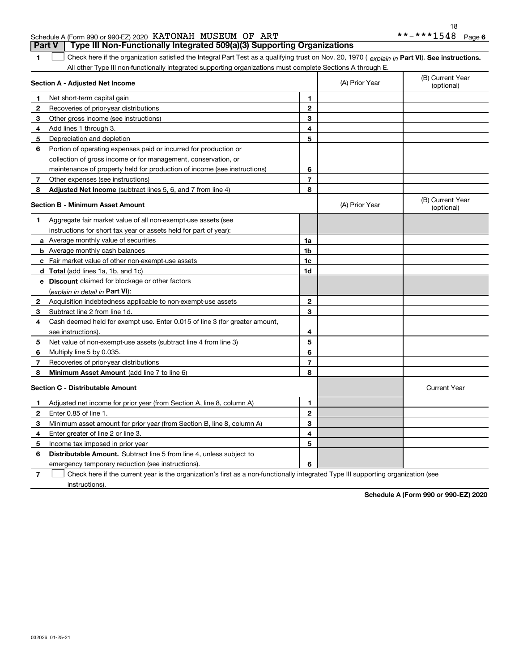032026 01-25-21

#### Schedule A (Form 990 or 990-EZ) 2020 Page KATONAH MUSEUM OF ART \*\*-\*\*\*1548 **Part V Type III Non-Functionally Integrated 509(a)(3) Supporting Organizations**

The Check here if the organization satisfied the Integral Part Test as a qualifying trust on Nov. 20, 1970 (explain in **Part VI). See instructions.**<br>All other Type III pen functionally integrated supporting examizations mu All other Type III non-functionally integrated supporting organizations must complete Sections A through E.

|              | Section A - Adjusted Net Income                                             |                | (A) Prior Year | (B) Current Year<br>(optional) |
|--------------|-----------------------------------------------------------------------------|----------------|----------------|--------------------------------|
| 1            | Net short-term capital gain                                                 | 1              |                |                                |
| $\mathbf{2}$ | Recoveries of prior-year distributions                                      | $\overline{2}$ |                |                                |
| 3            | Other gross income (see instructions)                                       | 3              |                |                                |
| 4            | Add lines 1 through 3.                                                      | 4              |                |                                |
| 5            | Depreciation and depletion                                                  | 5              |                |                                |
| 6            | Portion of operating expenses paid or incurred for production or            |                |                |                                |
|              | collection of gross income or for management, conservation, or              |                |                |                                |
|              | maintenance of property held for production of income (see instructions)    | 6              |                |                                |
| 7            | Other expenses (see instructions)                                           | $\overline{7}$ |                |                                |
| 8            | Adjusted Net Income (subtract lines 5, 6, and 7 from line 4)                | 8              |                |                                |
|              | <b>Section B - Minimum Asset Amount</b>                                     |                | (A) Prior Year | (B) Current Year<br>(optional) |
| 1.           | Aggregate fair market value of all non-exempt-use assets (see               |                |                |                                |
|              | instructions for short tax year or assets held for part of year):           |                |                |                                |
|              | <b>a</b> Average monthly value of securities                                | 1a             |                |                                |
|              | <b>b</b> Average monthly cash balances                                      | 1b             |                |                                |
|              | c Fair market value of other non-exempt-use assets                          | 1c             |                |                                |
|              | <b>d</b> Total (add lines 1a, 1b, and 1c)                                   | 1d             |                |                                |
|              | e Discount claimed for blockage or other factors                            |                |                |                                |
|              | (explain in detail in Part VI):                                             |                |                |                                |
| $\mathbf{2}$ | Acquisition indebtedness applicable to non-exempt-use assets                | $\mathbf{2}$   |                |                                |
| 3            | Subtract line 2 from line 1d.                                               | 3              |                |                                |
| 4            | Cash deemed held for exempt use. Enter 0.015 of line 3 (for greater amount, |                |                |                                |
|              | see instructions)                                                           | 4              |                |                                |
| 5            | Net value of non-exempt-use assets (subtract line 4 from line 3)            | 5              |                |                                |
| 6            | Multiply line 5 by 0.035.                                                   | 6              |                |                                |
| 7            | Recoveries of prior-year distributions                                      | 7              |                |                                |
| 8            | Minimum Asset Amount (add line 7 to line 6)                                 | 8              |                |                                |
|              | <b>Section C - Distributable Amount</b>                                     |                |                | <b>Current Year</b>            |
| 1            | Adjusted net income for prior year (from Section A, line 8, column A)       | 1              |                |                                |
| $\mathbf{2}$ | Enter 0.85 of line 1.                                                       | $\mathbf{2}$   |                |                                |
| 3            | Minimum asset amount for prior year (from Section B, line 8, column A)      | 3              |                |                                |
| 4            | Enter greater of line 2 or line 3.                                          | 4              |                |                                |
| 5            | Income tax imposed in prior year                                            | 5              |                |                                |
| 6            | <b>Distributable Amount.</b> Subtract line 5 from line 4, unless subject to |                |                |                                |
|              | emergency temporary reduction (see instructions).                           | 6              |                |                                |

**7**Check here if the current year is the organization's first as a non-functionally integrated Type III supporting organization (see instructions).

**Schedule A (Form 990 or 990-EZ) 2020**

**1**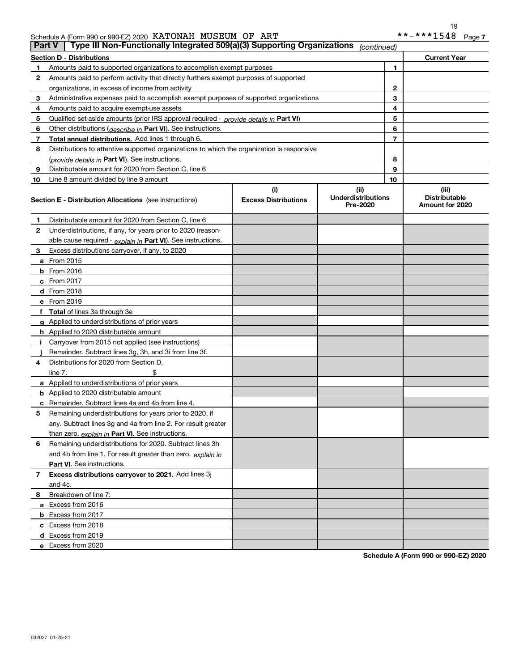| Schedule A (Form 990 or 990-EZ) 2020 $\,$ KATONAH $\,$ MUSEUM $\,$ OF $\,$ ART |  |  | **-***1548 | Page 1 |
|--------------------------------------------------------------------------------|--|--|------------|--------|
|                                                                                |  |  |            |        |

| <b>Section D - Distributions</b><br><b>Current Year</b><br>1<br>Amounts paid to supported organizations to accomplish exempt purposes<br>1<br>Amounts paid to perform activity that directly furthers exempt purposes of supported<br>2<br>$\mathbf{2}$<br>organizations, in excess of income from activity<br>3<br>3<br>Administrative expenses paid to accomplish exempt purposes of supported organizations<br>4<br>Amounts paid to acquire exempt-use assets<br>4<br>5<br>5<br>Qualified set-aside amounts (prior IRS approval required - provide details in Part VI)<br>6<br>6<br>Other distributions ( <i>describe in</i> Part VI). See instructions.<br>7<br>Total annual distributions. Add lines 1 through 6.<br>7<br>8<br>Distributions to attentive supported organizations to which the organization is responsive<br>8<br>(provide details in Part VI). See instructions.<br>9<br>Distributable amount for 2020 from Section C, line 6<br>9<br>10<br>Line 8 amount divided by line 9 amount<br>10<br>(i)<br>(ii)<br>(iii)<br><b>Underdistributions</b><br><b>Distributable</b><br><b>Excess Distributions</b><br><b>Section E - Distribution Allocations</b> (see instructions)<br>Pre-2020<br>Amount for 2020<br>Distributable amount for 2020 from Section C, line 6<br>1<br>Underdistributions, if any, for years prior to 2020 (reason-<br>2<br>able cause required - explain in Part VI). See instructions.<br>Excess distributions carryover, if any, to 2020<br>3<br>a From 2015<br><b>b</b> From 2016<br>$c$ From 2017<br>d From 2018<br>e From 2019<br>f Total of lines 3a through 3e<br>g Applied to underdistributions of prior years<br><b>h</b> Applied to 2020 distributable amount<br>Carryover from 2015 not applied (see instructions)<br>Remainder. Subtract lines 3g, 3h, and 3i from line 3f.<br>Distributions for 2020 from Section D,<br>4<br>line $7:$<br>a Applied to underdistributions of prior years<br><b>b</b> Applied to 2020 distributable amount<br>c Remainder. Subtract lines 4a and 4b from line 4.<br>Remaining underdistributions for years prior to 2020, if<br>5.<br>any. Subtract lines 3g and 4a from line 2. For result greater<br>than zero, explain in Part VI. See instructions.<br>Remaining underdistributions for 2020. Subtract lines 3h<br>6<br>and 4b from line 1. For result greater than zero, explain in<br>Part VI. See instructions.<br>Excess distributions carryover to 2021. Add lines 3j<br>7<br>and 4c.<br>Breakdown of line 7:<br>8<br>a Excess from 2016<br><b>b</b> Excess from 2017<br>c Excess from 2018<br>d Excess from 2019 | <b>Part V</b> | Type III Non-Functionally Integrated 509(a)(3) Supporting Organizations |  | (continued) |  |
|---------------------------------------------------------------------------------------------------------------------------------------------------------------------------------------------------------------------------------------------------------------------------------------------------------------------------------------------------------------------------------------------------------------------------------------------------------------------------------------------------------------------------------------------------------------------------------------------------------------------------------------------------------------------------------------------------------------------------------------------------------------------------------------------------------------------------------------------------------------------------------------------------------------------------------------------------------------------------------------------------------------------------------------------------------------------------------------------------------------------------------------------------------------------------------------------------------------------------------------------------------------------------------------------------------------------------------------------------------------------------------------------------------------------------------------------------------------------------------------------------------------------------------------------------------------------------------------------------------------------------------------------------------------------------------------------------------------------------------------------------------------------------------------------------------------------------------------------------------------------------------------------------------------------------------------------------------------------------------------------------------------------------------------------------------------------------------------------------------------------------------------------------------------------------------------------------------------------------------------------------------------------------------------------------------------------------------------------------------------------------------------------------------------------------------------------------------------------------------------------------------------------------------------------------------------------------------------------------------------|---------------|-------------------------------------------------------------------------|--|-------------|--|
|                                                                                                                                                                                                                                                                                                                                                                                                                                                                                                                                                                                                                                                                                                                                                                                                                                                                                                                                                                                                                                                                                                                                                                                                                                                                                                                                                                                                                                                                                                                                                                                                                                                                                                                                                                                                                                                                                                                                                                                                                                                                                                                                                                                                                                                                                                                                                                                                                                                                                                                                                                                                               |               |                                                                         |  |             |  |
|                                                                                                                                                                                                                                                                                                                                                                                                                                                                                                                                                                                                                                                                                                                                                                                                                                                                                                                                                                                                                                                                                                                                                                                                                                                                                                                                                                                                                                                                                                                                                                                                                                                                                                                                                                                                                                                                                                                                                                                                                                                                                                                                                                                                                                                                                                                                                                                                                                                                                                                                                                                                               |               |                                                                         |  |             |  |
|                                                                                                                                                                                                                                                                                                                                                                                                                                                                                                                                                                                                                                                                                                                                                                                                                                                                                                                                                                                                                                                                                                                                                                                                                                                                                                                                                                                                                                                                                                                                                                                                                                                                                                                                                                                                                                                                                                                                                                                                                                                                                                                                                                                                                                                                                                                                                                                                                                                                                                                                                                                                               |               |                                                                         |  |             |  |
|                                                                                                                                                                                                                                                                                                                                                                                                                                                                                                                                                                                                                                                                                                                                                                                                                                                                                                                                                                                                                                                                                                                                                                                                                                                                                                                                                                                                                                                                                                                                                                                                                                                                                                                                                                                                                                                                                                                                                                                                                                                                                                                                                                                                                                                                                                                                                                                                                                                                                                                                                                                                               |               |                                                                         |  |             |  |
|                                                                                                                                                                                                                                                                                                                                                                                                                                                                                                                                                                                                                                                                                                                                                                                                                                                                                                                                                                                                                                                                                                                                                                                                                                                                                                                                                                                                                                                                                                                                                                                                                                                                                                                                                                                                                                                                                                                                                                                                                                                                                                                                                                                                                                                                                                                                                                                                                                                                                                                                                                                                               |               |                                                                         |  |             |  |
|                                                                                                                                                                                                                                                                                                                                                                                                                                                                                                                                                                                                                                                                                                                                                                                                                                                                                                                                                                                                                                                                                                                                                                                                                                                                                                                                                                                                                                                                                                                                                                                                                                                                                                                                                                                                                                                                                                                                                                                                                                                                                                                                                                                                                                                                                                                                                                                                                                                                                                                                                                                                               |               |                                                                         |  |             |  |
|                                                                                                                                                                                                                                                                                                                                                                                                                                                                                                                                                                                                                                                                                                                                                                                                                                                                                                                                                                                                                                                                                                                                                                                                                                                                                                                                                                                                                                                                                                                                                                                                                                                                                                                                                                                                                                                                                                                                                                                                                                                                                                                                                                                                                                                                                                                                                                                                                                                                                                                                                                                                               |               |                                                                         |  |             |  |
|                                                                                                                                                                                                                                                                                                                                                                                                                                                                                                                                                                                                                                                                                                                                                                                                                                                                                                                                                                                                                                                                                                                                                                                                                                                                                                                                                                                                                                                                                                                                                                                                                                                                                                                                                                                                                                                                                                                                                                                                                                                                                                                                                                                                                                                                                                                                                                                                                                                                                                                                                                                                               |               |                                                                         |  |             |  |
|                                                                                                                                                                                                                                                                                                                                                                                                                                                                                                                                                                                                                                                                                                                                                                                                                                                                                                                                                                                                                                                                                                                                                                                                                                                                                                                                                                                                                                                                                                                                                                                                                                                                                                                                                                                                                                                                                                                                                                                                                                                                                                                                                                                                                                                                                                                                                                                                                                                                                                                                                                                                               |               |                                                                         |  |             |  |
|                                                                                                                                                                                                                                                                                                                                                                                                                                                                                                                                                                                                                                                                                                                                                                                                                                                                                                                                                                                                                                                                                                                                                                                                                                                                                                                                                                                                                                                                                                                                                                                                                                                                                                                                                                                                                                                                                                                                                                                                                                                                                                                                                                                                                                                                                                                                                                                                                                                                                                                                                                                                               |               |                                                                         |  |             |  |
|                                                                                                                                                                                                                                                                                                                                                                                                                                                                                                                                                                                                                                                                                                                                                                                                                                                                                                                                                                                                                                                                                                                                                                                                                                                                                                                                                                                                                                                                                                                                                                                                                                                                                                                                                                                                                                                                                                                                                                                                                                                                                                                                                                                                                                                                                                                                                                                                                                                                                                                                                                                                               |               |                                                                         |  |             |  |
|                                                                                                                                                                                                                                                                                                                                                                                                                                                                                                                                                                                                                                                                                                                                                                                                                                                                                                                                                                                                                                                                                                                                                                                                                                                                                                                                                                                                                                                                                                                                                                                                                                                                                                                                                                                                                                                                                                                                                                                                                                                                                                                                                                                                                                                                                                                                                                                                                                                                                                                                                                                                               |               |                                                                         |  |             |  |
|                                                                                                                                                                                                                                                                                                                                                                                                                                                                                                                                                                                                                                                                                                                                                                                                                                                                                                                                                                                                                                                                                                                                                                                                                                                                                                                                                                                                                                                                                                                                                                                                                                                                                                                                                                                                                                                                                                                                                                                                                                                                                                                                                                                                                                                                                                                                                                                                                                                                                                                                                                                                               |               |                                                                         |  |             |  |
|                                                                                                                                                                                                                                                                                                                                                                                                                                                                                                                                                                                                                                                                                                                                                                                                                                                                                                                                                                                                                                                                                                                                                                                                                                                                                                                                                                                                                                                                                                                                                                                                                                                                                                                                                                                                                                                                                                                                                                                                                                                                                                                                                                                                                                                                                                                                                                                                                                                                                                                                                                                                               |               |                                                                         |  |             |  |
|                                                                                                                                                                                                                                                                                                                                                                                                                                                                                                                                                                                                                                                                                                                                                                                                                                                                                                                                                                                                                                                                                                                                                                                                                                                                                                                                                                                                                                                                                                                                                                                                                                                                                                                                                                                                                                                                                                                                                                                                                                                                                                                                                                                                                                                                                                                                                                                                                                                                                                                                                                                                               |               |                                                                         |  |             |  |
|                                                                                                                                                                                                                                                                                                                                                                                                                                                                                                                                                                                                                                                                                                                                                                                                                                                                                                                                                                                                                                                                                                                                                                                                                                                                                                                                                                                                                                                                                                                                                                                                                                                                                                                                                                                                                                                                                                                                                                                                                                                                                                                                                                                                                                                                                                                                                                                                                                                                                                                                                                                                               |               |                                                                         |  |             |  |
|                                                                                                                                                                                                                                                                                                                                                                                                                                                                                                                                                                                                                                                                                                                                                                                                                                                                                                                                                                                                                                                                                                                                                                                                                                                                                                                                                                                                                                                                                                                                                                                                                                                                                                                                                                                                                                                                                                                                                                                                                                                                                                                                                                                                                                                                                                                                                                                                                                                                                                                                                                                                               |               |                                                                         |  |             |  |
|                                                                                                                                                                                                                                                                                                                                                                                                                                                                                                                                                                                                                                                                                                                                                                                                                                                                                                                                                                                                                                                                                                                                                                                                                                                                                                                                                                                                                                                                                                                                                                                                                                                                                                                                                                                                                                                                                                                                                                                                                                                                                                                                                                                                                                                                                                                                                                                                                                                                                                                                                                                                               |               |                                                                         |  |             |  |
|                                                                                                                                                                                                                                                                                                                                                                                                                                                                                                                                                                                                                                                                                                                                                                                                                                                                                                                                                                                                                                                                                                                                                                                                                                                                                                                                                                                                                                                                                                                                                                                                                                                                                                                                                                                                                                                                                                                                                                                                                                                                                                                                                                                                                                                                                                                                                                                                                                                                                                                                                                                                               |               |                                                                         |  |             |  |
|                                                                                                                                                                                                                                                                                                                                                                                                                                                                                                                                                                                                                                                                                                                                                                                                                                                                                                                                                                                                                                                                                                                                                                                                                                                                                                                                                                                                                                                                                                                                                                                                                                                                                                                                                                                                                                                                                                                                                                                                                                                                                                                                                                                                                                                                                                                                                                                                                                                                                                                                                                                                               |               |                                                                         |  |             |  |
|                                                                                                                                                                                                                                                                                                                                                                                                                                                                                                                                                                                                                                                                                                                                                                                                                                                                                                                                                                                                                                                                                                                                                                                                                                                                                                                                                                                                                                                                                                                                                                                                                                                                                                                                                                                                                                                                                                                                                                                                                                                                                                                                                                                                                                                                                                                                                                                                                                                                                                                                                                                                               |               |                                                                         |  |             |  |
|                                                                                                                                                                                                                                                                                                                                                                                                                                                                                                                                                                                                                                                                                                                                                                                                                                                                                                                                                                                                                                                                                                                                                                                                                                                                                                                                                                                                                                                                                                                                                                                                                                                                                                                                                                                                                                                                                                                                                                                                                                                                                                                                                                                                                                                                                                                                                                                                                                                                                                                                                                                                               |               |                                                                         |  |             |  |
|                                                                                                                                                                                                                                                                                                                                                                                                                                                                                                                                                                                                                                                                                                                                                                                                                                                                                                                                                                                                                                                                                                                                                                                                                                                                                                                                                                                                                                                                                                                                                                                                                                                                                                                                                                                                                                                                                                                                                                                                                                                                                                                                                                                                                                                                                                                                                                                                                                                                                                                                                                                                               |               |                                                                         |  |             |  |
|                                                                                                                                                                                                                                                                                                                                                                                                                                                                                                                                                                                                                                                                                                                                                                                                                                                                                                                                                                                                                                                                                                                                                                                                                                                                                                                                                                                                                                                                                                                                                                                                                                                                                                                                                                                                                                                                                                                                                                                                                                                                                                                                                                                                                                                                                                                                                                                                                                                                                                                                                                                                               |               |                                                                         |  |             |  |
|                                                                                                                                                                                                                                                                                                                                                                                                                                                                                                                                                                                                                                                                                                                                                                                                                                                                                                                                                                                                                                                                                                                                                                                                                                                                                                                                                                                                                                                                                                                                                                                                                                                                                                                                                                                                                                                                                                                                                                                                                                                                                                                                                                                                                                                                                                                                                                                                                                                                                                                                                                                                               |               |                                                                         |  |             |  |
|                                                                                                                                                                                                                                                                                                                                                                                                                                                                                                                                                                                                                                                                                                                                                                                                                                                                                                                                                                                                                                                                                                                                                                                                                                                                                                                                                                                                                                                                                                                                                                                                                                                                                                                                                                                                                                                                                                                                                                                                                                                                                                                                                                                                                                                                                                                                                                                                                                                                                                                                                                                                               |               |                                                                         |  |             |  |
|                                                                                                                                                                                                                                                                                                                                                                                                                                                                                                                                                                                                                                                                                                                                                                                                                                                                                                                                                                                                                                                                                                                                                                                                                                                                                                                                                                                                                                                                                                                                                                                                                                                                                                                                                                                                                                                                                                                                                                                                                                                                                                                                                                                                                                                                                                                                                                                                                                                                                                                                                                                                               |               |                                                                         |  |             |  |
|                                                                                                                                                                                                                                                                                                                                                                                                                                                                                                                                                                                                                                                                                                                                                                                                                                                                                                                                                                                                                                                                                                                                                                                                                                                                                                                                                                                                                                                                                                                                                                                                                                                                                                                                                                                                                                                                                                                                                                                                                                                                                                                                                                                                                                                                                                                                                                                                                                                                                                                                                                                                               |               |                                                                         |  |             |  |
|                                                                                                                                                                                                                                                                                                                                                                                                                                                                                                                                                                                                                                                                                                                                                                                                                                                                                                                                                                                                                                                                                                                                                                                                                                                                                                                                                                                                                                                                                                                                                                                                                                                                                                                                                                                                                                                                                                                                                                                                                                                                                                                                                                                                                                                                                                                                                                                                                                                                                                                                                                                                               |               |                                                                         |  |             |  |
|                                                                                                                                                                                                                                                                                                                                                                                                                                                                                                                                                                                                                                                                                                                                                                                                                                                                                                                                                                                                                                                                                                                                                                                                                                                                                                                                                                                                                                                                                                                                                                                                                                                                                                                                                                                                                                                                                                                                                                                                                                                                                                                                                                                                                                                                                                                                                                                                                                                                                                                                                                                                               |               |                                                                         |  |             |  |
|                                                                                                                                                                                                                                                                                                                                                                                                                                                                                                                                                                                                                                                                                                                                                                                                                                                                                                                                                                                                                                                                                                                                                                                                                                                                                                                                                                                                                                                                                                                                                                                                                                                                                                                                                                                                                                                                                                                                                                                                                                                                                                                                                                                                                                                                                                                                                                                                                                                                                                                                                                                                               |               |                                                                         |  |             |  |
|                                                                                                                                                                                                                                                                                                                                                                                                                                                                                                                                                                                                                                                                                                                                                                                                                                                                                                                                                                                                                                                                                                                                                                                                                                                                                                                                                                                                                                                                                                                                                                                                                                                                                                                                                                                                                                                                                                                                                                                                                                                                                                                                                                                                                                                                                                                                                                                                                                                                                                                                                                                                               |               |                                                                         |  |             |  |
|                                                                                                                                                                                                                                                                                                                                                                                                                                                                                                                                                                                                                                                                                                                                                                                                                                                                                                                                                                                                                                                                                                                                                                                                                                                                                                                                                                                                                                                                                                                                                                                                                                                                                                                                                                                                                                                                                                                                                                                                                                                                                                                                                                                                                                                                                                                                                                                                                                                                                                                                                                                                               |               |                                                                         |  |             |  |
|                                                                                                                                                                                                                                                                                                                                                                                                                                                                                                                                                                                                                                                                                                                                                                                                                                                                                                                                                                                                                                                                                                                                                                                                                                                                                                                                                                                                                                                                                                                                                                                                                                                                                                                                                                                                                                                                                                                                                                                                                                                                                                                                                                                                                                                                                                                                                                                                                                                                                                                                                                                                               |               |                                                                         |  |             |  |
|                                                                                                                                                                                                                                                                                                                                                                                                                                                                                                                                                                                                                                                                                                                                                                                                                                                                                                                                                                                                                                                                                                                                                                                                                                                                                                                                                                                                                                                                                                                                                                                                                                                                                                                                                                                                                                                                                                                                                                                                                                                                                                                                                                                                                                                                                                                                                                                                                                                                                                                                                                                                               |               |                                                                         |  |             |  |
|                                                                                                                                                                                                                                                                                                                                                                                                                                                                                                                                                                                                                                                                                                                                                                                                                                                                                                                                                                                                                                                                                                                                                                                                                                                                                                                                                                                                                                                                                                                                                                                                                                                                                                                                                                                                                                                                                                                                                                                                                                                                                                                                                                                                                                                                                                                                                                                                                                                                                                                                                                                                               |               |                                                                         |  |             |  |
|                                                                                                                                                                                                                                                                                                                                                                                                                                                                                                                                                                                                                                                                                                                                                                                                                                                                                                                                                                                                                                                                                                                                                                                                                                                                                                                                                                                                                                                                                                                                                                                                                                                                                                                                                                                                                                                                                                                                                                                                                                                                                                                                                                                                                                                                                                                                                                                                                                                                                                                                                                                                               |               |                                                                         |  |             |  |
|                                                                                                                                                                                                                                                                                                                                                                                                                                                                                                                                                                                                                                                                                                                                                                                                                                                                                                                                                                                                                                                                                                                                                                                                                                                                                                                                                                                                                                                                                                                                                                                                                                                                                                                                                                                                                                                                                                                                                                                                                                                                                                                                                                                                                                                                                                                                                                                                                                                                                                                                                                                                               |               |                                                                         |  |             |  |
|                                                                                                                                                                                                                                                                                                                                                                                                                                                                                                                                                                                                                                                                                                                                                                                                                                                                                                                                                                                                                                                                                                                                                                                                                                                                                                                                                                                                                                                                                                                                                                                                                                                                                                                                                                                                                                                                                                                                                                                                                                                                                                                                                                                                                                                                                                                                                                                                                                                                                                                                                                                                               |               |                                                                         |  |             |  |
|                                                                                                                                                                                                                                                                                                                                                                                                                                                                                                                                                                                                                                                                                                                                                                                                                                                                                                                                                                                                                                                                                                                                                                                                                                                                                                                                                                                                                                                                                                                                                                                                                                                                                                                                                                                                                                                                                                                                                                                                                                                                                                                                                                                                                                                                                                                                                                                                                                                                                                                                                                                                               |               |                                                                         |  |             |  |
|                                                                                                                                                                                                                                                                                                                                                                                                                                                                                                                                                                                                                                                                                                                                                                                                                                                                                                                                                                                                                                                                                                                                                                                                                                                                                                                                                                                                                                                                                                                                                                                                                                                                                                                                                                                                                                                                                                                                                                                                                                                                                                                                                                                                                                                                                                                                                                                                                                                                                                                                                                                                               |               |                                                                         |  |             |  |
|                                                                                                                                                                                                                                                                                                                                                                                                                                                                                                                                                                                                                                                                                                                                                                                                                                                                                                                                                                                                                                                                                                                                                                                                                                                                                                                                                                                                                                                                                                                                                                                                                                                                                                                                                                                                                                                                                                                                                                                                                                                                                                                                                                                                                                                                                                                                                                                                                                                                                                                                                                                                               |               |                                                                         |  |             |  |
|                                                                                                                                                                                                                                                                                                                                                                                                                                                                                                                                                                                                                                                                                                                                                                                                                                                                                                                                                                                                                                                                                                                                                                                                                                                                                                                                                                                                                                                                                                                                                                                                                                                                                                                                                                                                                                                                                                                                                                                                                                                                                                                                                                                                                                                                                                                                                                                                                                                                                                                                                                                                               |               |                                                                         |  |             |  |
|                                                                                                                                                                                                                                                                                                                                                                                                                                                                                                                                                                                                                                                                                                                                                                                                                                                                                                                                                                                                                                                                                                                                                                                                                                                                                                                                                                                                                                                                                                                                                                                                                                                                                                                                                                                                                                                                                                                                                                                                                                                                                                                                                                                                                                                                                                                                                                                                                                                                                                                                                                                                               |               |                                                                         |  |             |  |
|                                                                                                                                                                                                                                                                                                                                                                                                                                                                                                                                                                                                                                                                                                                                                                                                                                                                                                                                                                                                                                                                                                                                                                                                                                                                                                                                                                                                                                                                                                                                                                                                                                                                                                                                                                                                                                                                                                                                                                                                                                                                                                                                                                                                                                                                                                                                                                                                                                                                                                                                                                                                               |               |                                                                         |  |             |  |
|                                                                                                                                                                                                                                                                                                                                                                                                                                                                                                                                                                                                                                                                                                                                                                                                                                                                                                                                                                                                                                                                                                                                                                                                                                                                                                                                                                                                                                                                                                                                                                                                                                                                                                                                                                                                                                                                                                                                                                                                                                                                                                                                                                                                                                                                                                                                                                                                                                                                                                                                                                                                               |               |                                                                         |  |             |  |
|                                                                                                                                                                                                                                                                                                                                                                                                                                                                                                                                                                                                                                                                                                                                                                                                                                                                                                                                                                                                                                                                                                                                                                                                                                                                                                                                                                                                                                                                                                                                                                                                                                                                                                                                                                                                                                                                                                                                                                                                                                                                                                                                                                                                                                                                                                                                                                                                                                                                                                                                                                                                               |               |                                                                         |  |             |  |
|                                                                                                                                                                                                                                                                                                                                                                                                                                                                                                                                                                                                                                                                                                                                                                                                                                                                                                                                                                                                                                                                                                                                                                                                                                                                                                                                                                                                                                                                                                                                                                                                                                                                                                                                                                                                                                                                                                                                                                                                                                                                                                                                                                                                                                                                                                                                                                                                                                                                                                                                                                                                               |               | e Excess from 2020                                                      |  |             |  |

**Schedule A (Form 990 or 990-EZ) 2020**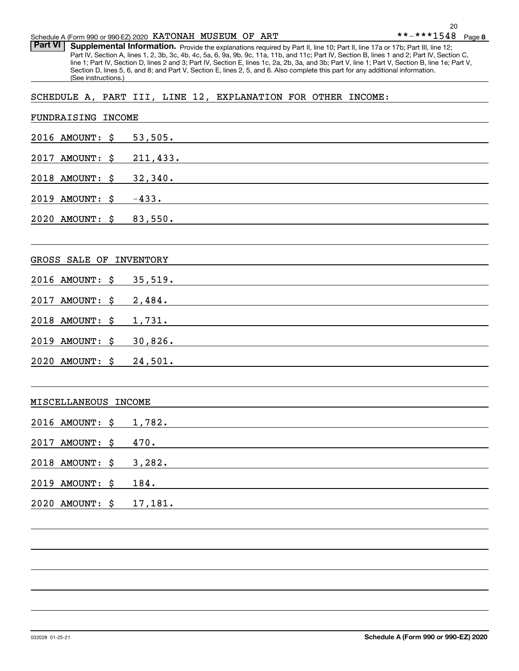Part VI | Supplemental Information. Provide the explanations required by Part II, line 10; Part II, line 17a or 17b; Part III, line 12; Part IV, Section A, lines 1, 2, 3b, 3c, 4b, 4c, 5a, 6, 9a, 9b, 9c, 11a, 11b, and 11c; Part IV, Section B, lines 1 and 2; Part IV, Section C, line 1; Part IV, Section D, lines 2 and 3; Part IV, Section E, lines 1c, 2a, 2b, 3a, and 3b; Part V, line 1; Part V, Section B, line 1e; Part V, Section D, lines 5, 6, and 8; and Part V, Section E, lines 2, 5, and 6. Also complete this part for any additional information. (See instructions.)

## SCHEDULE A, PART III, LINE 12, EXPLANATION FOR OTHER INCOME:

| FUNDRAISING INCOME           |                                                                                                                        |
|------------------------------|------------------------------------------------------------------------------------------------------------------------|
| $2016$ AMOUNT: $\frac{1}{2}$ | 53,505.                                                                                                                |
| 2017 AMOUNT: \$              | 211,433.                                                                                                               |
|                              | 2018 AMOUNT: \$ 32,340.                                                                                                |
|                              | 2019 AMOUNT: $\frac{\zeta}{\zeta}$ -433.                                                                               |
| 2020 AMOUNT: \$ 83,550.      | <u> 1989 - Johann Stoff, deutscher Stoffen und der Stoffen und der Stoffen und der Stoffen und der Stoffen und der</u> |
|                              |                                                                                                                        |
| GROSS SALE OF INVENTORY      |                                                                                                                        |
|                              | 2016 AMOUNT: \$ 35,519.                                                                                                |
|                              | 2017 AMOUNT: \$2,484.                                                                                                  |
|                              | 2018 AMOUNT: \$ 1,731.                                                                                                 |
|                              | 2019 AMOUNT: \$ 30,826.                                                                                                |
| 2020 AMOUNT: \$24,501.       |                                                                                                                        |
|                              |                                                                                                                        |
| MISCELLANEOUS INCOME         |                                                                                                                        |
|                              | 2016 AMOUNT: \$ 1,782.                                                                                                 |
| 2017 AMOUNT: \$              | 470.<br><u> 1989 - Johann Stein, fransk politik (f. 1989)</u>                                                          |
|                              |                                                                                                                        |
| 2019 AMOUNT: \$              | 184.                                                                                                                   |
| 2020 AMOUNT: \$ 17,181.      |                                                                                                                        |
|                              |                                                                                                                        |
|                              |                                                                                                                        |
|                              |                                                                                                                        |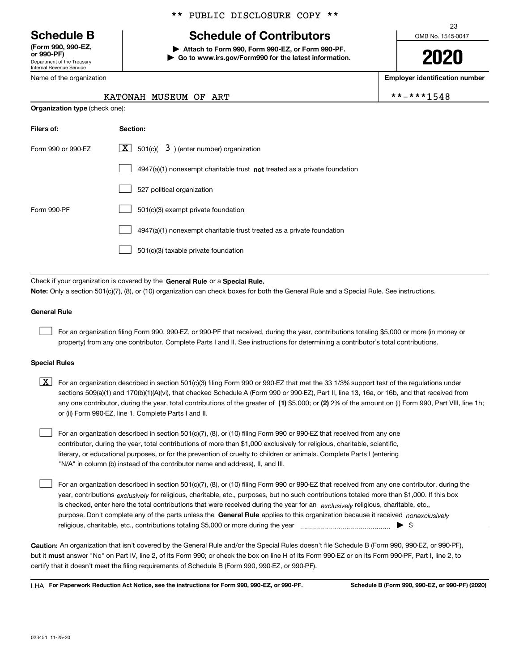Department of the Treasury Internal Revenue Service **(Form 990, 990-EZ, or 990-PF)**

\*\* PUBLIC DISCLOSURE COPY \*\*

# **Schedule B Schedule of Contributors**

**| Attach to Form 990, Form 990-EZ, or Form 990-PF. | Go to www.irs.gov/Form990 for the latest information.** OMB No. 1545-0047 23

**2020**

**Employer identification number**

| Department of the Treasury      |
|---------------------------------|
| <b>Internal Revenue Service</b> |
| Name of the organization        |

**Organization type** (check one):

## KATONAH MUSEUM OF ART  $\vert$  \*\*-\*\*\*1548

| Filers of:         | Section:                                                                    |
|--------------------|-----------------------------------------------------------------------------|
| Form 990 or 990-EZ | $\underline{X}$ 501(c)( 3) (enter number) organization                      |
|                    | $4947(a)(1)$ nonexempt charitable trust not treated as a private foundation |
|                    | 527 political organization                                                  |
| Form 990-PF        | 501(c)(3) exempt private foundation                                         |
|                    | 4947(a)(1) nonexempt charitable trust treated as a private foundation       |
|                    | 501(c)(3) taxable private foundation                                        |

Check if your organization is covered by the **General Rule** or a **Special Rule.**<br>Nota: Only a section 501(c)(7), (8), or (10) erganization can chock boxes for be **Note:**  Only a section 501(c)(7), (8), or (10) organization can check boxes for both the General Rule and a Special Rule. See instructions.

## **General Rule**

 $\mathcal{L}^{\text{max}}$ 

For an organization filing Form 990, 990-EZ, or 990-PF that received, during the year, contributions totaling \$5,000 or more (in money or property) from any one contributor. Complete Parts I and II. See instructions for determining a contributor's total contributions.

#### **Special Rules**

any one contributor, during the year, total contributions of the greater of  $\,$  (1) \$5,000; or **(2)** 2% of the amount on (i) Form 990, Part VIII, line 1h;  $\boxed{\textbf{X}}$  For an organization described in section 501(c)(3) filing Form 990 or 990-EZ that met the 33 1/3% support test of the regulations under sections 509(a)(1) and 170(b)(1)(A)(vi), that checked Schedule A (Form 990 or 990-EZ), Part II, line 13, 16a, or 16b, and that received from or (ii) Form 990-EZ, line 1. Complete Parts I and II.

For an organization described in section 501(c)(7), (8), or (10) filing Form 990 or 990-EZ that received from any one contributor, during the year, total contributions of more than \$1,000 exclusively for religious, charitable, scientific, literary, or educational purposes, or for the prevention of cruelty to children or animals. Complete Parts I (entering "N/A" in column (b) instead of the contributor name and address), II, and III.  $\mathcal{L}^{\text{max}}$ 

purpose. Don't complete any of the parts unless the **General Rule** applies to this organization because it received *nonexclusively* year, contributions <sub>exclusively</sub> for religious, charitable, etc., purposes, but no such contributions totaled more than \$1,000. If this box is checked, enter here the total contributions that were received during the year for an  $\;$ exclusively religious, charitable, etc., For an organization described in section 501(c)(7), (8), or (10) filing Form 990 or 990-EZ that received from any one contributor, during the religious, charitable, etc., contributions totaling \$5,000 or more during the year  $\Box$ — $\Box$   $\Box$  $\mathcal{L}^{\text{max}}$ 

**Caution:**  An organization that isn't covered by the General Rule and/or the Special Rules doesn't file Schedule B (Form 990, 990-EZ, or 990-PF), but it **must** answer "No" on Part IV, line 2, of its Form 990; or check the box on line H of its Form 990-EZ or on its Form 990-PF, Part I, line 2, to<br>cortify that it doesn't meet the filipe requirements of Schodule B (Fer certify that it doesn't meet the filing requirements of Schedule B (Form 990, 990-EZ, or 990-PF).

**For Paperwork Reduction Act Notice, see the instructions for Form 990, 990-EZ, or 990-PF. Schedule B (Form 990, 990-EZ, or 990-PF) (2020)** LHA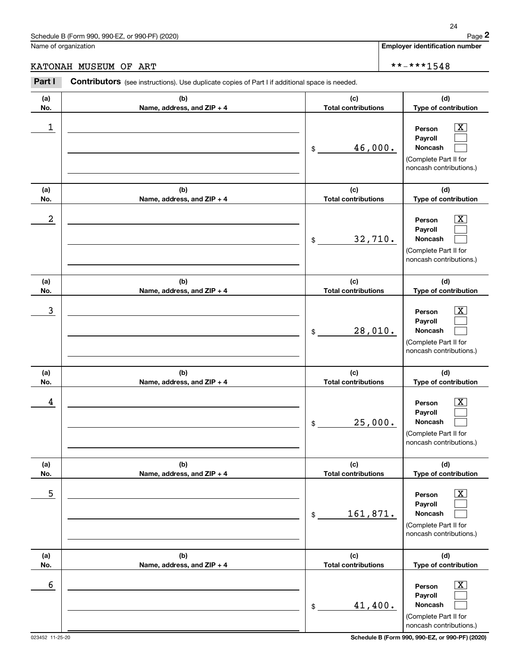## KATONAH MUSEUM OF ART \*\*-\*\*\*1548

|                  | Schedule B (Form 990, 990-EZ, or 990-PF) (2020)                                                |                                   | Page 2                                                                                                      |
|------------------|------------------------------------------------------------------------------------------------|-----------------------------------|-------------------------------------------------------------------------------------------------------------|
|                  | Name of organization                                                                           |                                   | <b>Employer identification number</b>                                                                       |
|                  | KATONAH MUSEUM OF ART                                                                          |                                   | **-***1548                                                                                                  |
| Part I           | Contributors (see instructions). Use duplicate copies of Part I if additional space is needed. |                                   |                                                                                                             |
| (a)<br>No.       | (b)<br>Name, address, and ZIP + 4                                                              | (c)<br><b>Total contributions</b> | (d)<br>Type of contribution                                                                                 |
| 1                |                                                                                                | 46,000.<br>\$                     | $\overline{\text{X}}$<br>Person<br>Payroll<br>Noncash<br>(Complete Part II for<br>noncash contributions.)   |
| (a)<br>No.       | (b)<br>Name, address, and ZIP + 4                                                              | (c)<br><b>Total contributions</b> | (d)<br>Type of contribution                                                                                 |
| $\boldsymbol{2}$ |                                                                                                | 32,710.<br>\$                     | $\overline{\text{X}}$<br>Person<br>Payroll<br>Noncash<br>(Complete Part II for<br>noncash contributions.)   |
| (a)<br>No.       | (b)<br>Name, address, and ZIP + 4                                                              | (c)<br><b>Total contributions</b> | (d)<br>Type of contribution                                                                                 |
| 3                |                                                                                                | 28,010.<br>\$                     | $\overline{\text{X}}$<br>Person<br>Payroll<br>Noncash<br>(Complete Part II for<br>noncash contributions.)   |
| (a)<br>No.       | (b)<br>Name, address, and ZIP + 4                                                              | (c)<br><b>Total contributions</b> | (d)<br>Type of contribution                                                                                 |
| 4                |                                                                                                | 25,000.<br>\$                     | $\mathbf{X}$<br>Person<br>Payroll<br>Noncash<br>(Complete Part II for<br>noncash contributions.)            |
| (a)<br>No.       | (b)<br>Name, address, and ZIP + 4                                                              | (c)<br><b>Total contributions</b> | (d)<br>Type of contribution                                                                                 |
| 5                |                                                                                                | 161,871.<br>\$                    | $\overline{\mathbf{X}}$<br>Person<br>Payroll<br>Noncash<br>(Complete Part II for<br>noncash contributions.) |
| (a)<br>No.       | (b)<br>Name, address, and ZIP + 4                                                              | (c)<br><b>Total contributions</b> | (d)<br>Type of contribution                                                                                 |
| 6                |                                                                                                | 41,400.<br>\$                     | $\overline{\mathbf{X}}$<br>Person<br>Payroll<br>Noncash<br>(Complete Part II for<br>noncash contributions.) |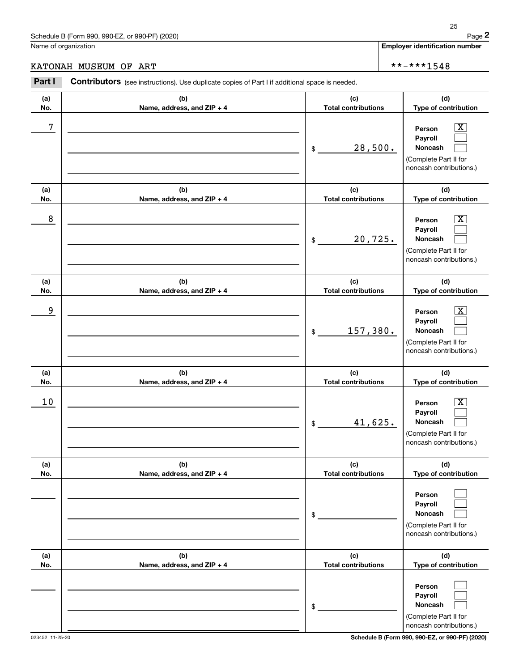## KATONAH MUSEUM OF ART \*\*-\*\*\*1548

|            | Schedule B (Form 990, 990-EZ, or 990-PF) (2020)                                                       |                                   | Page 2                                                                                                      |
|------------|-------------------------------------------------------------------------------------------------------|-----------------------------------|-------------------------------------------------------------------------------------------------------------|
|            | Name of organization                                                                                  |                                   | <b>Employer identification number</b>                                                                       |
|            | KATONAH MUSEUM OF ART                                                                                 |                                   | **-***1548                                                                                                  |
| Part I     | <b>Contributors</b> (see instructions). Use duplicate copies of Part I if additional space is needed. |                                   |                                                                                                             |
| (a)<br>No. | (b)<br>Name, address, and ZIP + 4                                                                     | (c)<br><b>Total contributions</b> | (d)<br>Type of contribution                                                                                 |
| 7          |                                                                                                       | 28,500.<br>\$                     | $\overline{\mathbf{X}}$<br>Person<br>Payroll<br>Noncash<br>(Complete Part II for<br>noncash contributions.) |
| (a)<br>No. | (b)<br>Name, address, and ZIP + 4                                                                     | (c)<br><b>Total contributions</b> | (d)<br>Type of contribution                                                                                 |
| 8          |                                                                                                       | 20,725.<br>\$                     | $\overline{\mathbf{X}}$<br>Person<br>Payroll<br>Noncash<br>(Complete Part II for<br>noncash contributions.) |
| (a)<br>No. | (b)<br>Name, address, and ZIP + 4                                                                     | (c)<br><b>Total contributions</b> | (d)<br>Type of contribution                                                                                 |
| 9          |                                                                                                       | 157,380.<br>\$                    | $\overline{\mathbf{X}}$<br>Person<br>Payroll<br>Noncash<br>(Complete Part II for<br>noncash contributions.) |
| (a)<br>No. | (b)<br>Name, address, and ZIP + 4                                                                     | (c)<br><b>Total contributions</b> | (d)<br>Type of contribution                                                                                 |
| 10         |                                                                                                       | 41,625.<br>\$                     | $\overline{\mathbf{X}}$<br>Person<br>Payroll<br>Noncash<br>(Complete Part II for<br>noncash contributions.) |
| (a)<br>No. | (b)<br>Name, address, and ZIP + 4                                                                     | (c)<br><b>Total contributions</b> | (d)<br>Type of contribution                                                                                 |
|            |                                                                                                       | \$                                | Person<br>Payroll<br>Noncash<br>(Complete Part II for<br>noncash contributions.)                            |
| (a)<br>No. | (b)<br>Name, address, and ZIP + 4                                                                     | (c)<br><b>Total contributions</b> | (d)<br>Type of contribution                                                                                 |
|            |                                                                                                       | \$                                | Person<br>Payroll<br>Noncash<br>(Complete Part II for<br>noncash contributions.)                            |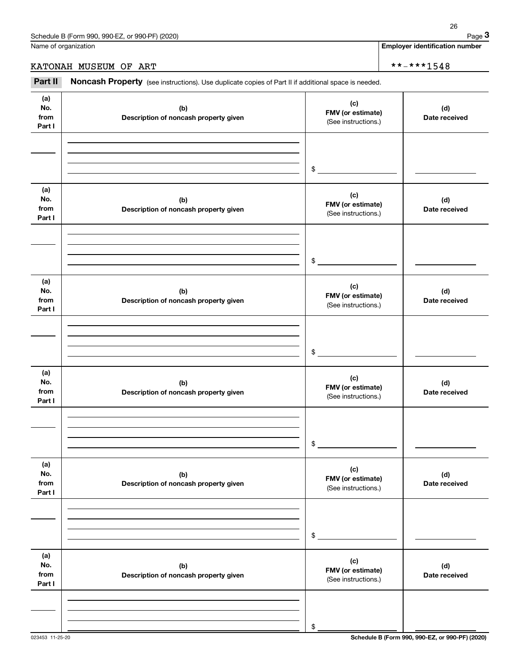## KATONAH MUSEUM OF ART \*\*\*\*\*1548

|                              | Schedule B (Form 990, 990-EZ, or 990-PF) (2020)                                                     |                                                 | Page 3                                |
|------------------------------|-----------------------------------------------------------------------------------------------------|-------------------------------------------------|---------------------------------------|
|                              | Name of organization                                                                                |                                                 | <b>Employer identification number</b> |
|                              | KATONAH MUSEUM OF ART                                                                               |                                                 | **-***1548                            |
| Part II                      | Noncash Property (see instructions). Use duplicate copies of Part II if additional space is needed. |                                                 |                                       |
| (a)<br>No.<br>from<br>Part I | (b)<br>Description of noncash property given                                                        | (c)<br>FMV (or estimate)<br>(See instructions.) | (d)<br>Date received                  |
|                              |                                                                                                     | \$                                              |                                       |
| (a)<br>No.<br>from<br>Part I | (b)<br>Description of noncash property given                                                        | (c)<br>FMV (or estimate)<br>(See instructions.) | (d)<br>Date received                  |
|                              |                                                                                                     | \$                                              |                                       |
| (a)<br>No.<br>from<br>Part I | (b)<br>Description of noncash property given                                                        | (c)<br>FMV (or estimate)<br>(See instructions.) | (d)<br>Date received                  |
|                              |                                                                                                     | \$                                              |                                       |
| (a)<br>No.<br>from<br>Part I | (b)<br>Description of noncash property given                                                        | (c)<br>FMV (or estimate)<br>(See instructions.) | (d)<br>Date received                  |
|                              |                                                                                                     | \$                                              |                                       |
| (a)<br>No.<br>from<br>Part I | (b)<br>Description of noncash property given                                                        | (c)<br>FMV (or estimate)<br>(See instructions.) | (d)<br>Date received                  |
|                              |                                                                                                     | \$                                              |                                       |
| (a)<br>No.<br>from<br>Part I | (b)<br>Description of noncash property given                                                        | (c)<br>FMV (or estimate)<br>(See instructions.) | (d)<br>Date received                  |
|                              |                                                                                                     | \$                                              |                                       |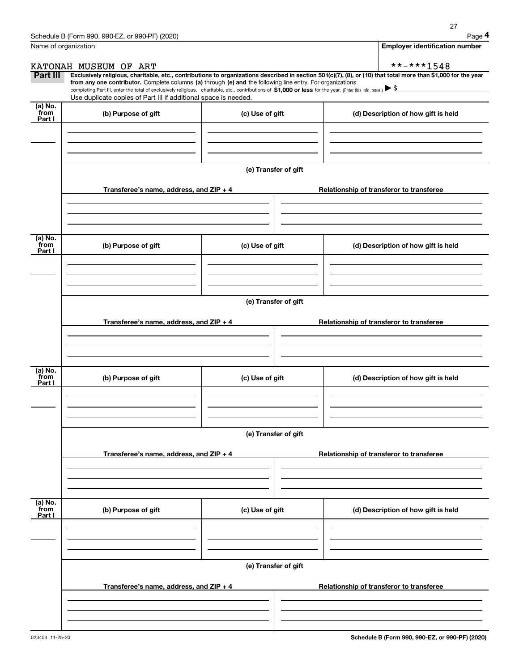|                             | Schedule B (Form 990, 990-EZ, or 990-PF) (2020)                                                                                                                                                                                                                                                                                                                     |                      | Page 4                                                                                                                                                         |
|-----------------------------|---------------------------------------------------------------------------------------------------------------------------------------------------------------------------------------------------------------------------------------------------------------------------------------------------------------------------------------------------------------------|----------------------|----------------------------------------------------------------------------------------------------------------------------------------------------------------|
| Name of organization        |                                                                                                                                                                                                                                                                                                                                                                     |                      | <b>Employer identification number</b>                                                                                                                          |
|                             | KATONAH MUSEUM OF ART                                                                                                                                                                                                                                                                                                                                               |                      | **-***1548                                                                                                                                                     |
| Part III                    | from any one contributor. Complete columns (a) through (e) and the following line entry. For organizations<br>completing Part III, enter the total of exclusively religious, charitable, etc., contributions of $$1,000$ or less for the year. (Enter this info. once.) $\blacktriangleright$ \$<br>Use duplicate copies of Part III if additional space is needed. |                      | Exclusively religious, charitable, etc., contributions to organizations described in section 501(c)(7), (8), or (10) that total more than \$1,000 for the year |
| (a) No.<br>from             | (b) Purpose of gift                                                                                                                                                                                                                                                                                                                                                 | (c) Use of gift      | (d) Description of how gift is held                                                                                                                            |
| Part I                      |                                                                                                                                                                                                                                                                                                                                                                     |                      |                                                                                                                                                                |
|                             |                                                                                                                                                                                                                                                                                                                                                                     | (e) Transfer of gift |                                                                                                                                                                |
|                             | Transferee's name, address, and $ZIP + 4$                                                                                                                                                                                                                                                                                                                           |                      | Relationship of transferor to transferee                                                                                                                       |
| $(a)$ No.<br>from<br>Part I | (b) Purpose of gift                                                                                                                                                                                                                                                                                                                                                 | (c) Use of gift      | (d) Description of how gift is held                                                                                                                            |
|                             |                                                                                                                                                                                                                                                                                                                                                                     |                      |                                                                                                                                                                |
|                             | Transferee's name, address, and $ZIP + 4$                                                                                                                                                                                                                                                                                                                           | (e) Transfer of gift | Relationship of transferor to transferee                                                                                                                       |
| (a) No.                     |                                                                                                                                                                                                                                                                                                                                                                     |                      |                                                                                                                                                                |
| from<br>Part I              | (b) Purpose of gift                                                                                                                                                                                                                                                                                                                                                 | (c) Use of gift      | (d) Description of how gift is held                                                                                                                            |
|                             |                                                                                                                                                                                                                                                                                                                                                                     | (e) Transfer of gift |                                                                                                                                                                |
|                             | Transferee's name, address, and ZIP + 4                                                                                                                                                                                                                                                                                                                             |                      | Relationship of transferor to transferee                                                                                                                       |
| (a) No.<br>from<br>Part I   | (b) Purpose of gift                                                                                                                                                                                                                                                                                                                                                 | (c) Use of gift      | (d) Description of how gift is held                                                                                                                            |
|                             |                                                                                                                                                                                                                                                                                                                                                                     |                      |                                                                                                                                                                |
|                             | Transferee's name, address, and ZIP + 4                                                                                                                                                                                                                                                                                                                             | (e) Transfer of gift | Relationship of transferor to transferee                                                                                                                       |
|                             |                                                                                                                                                                                                                                                                                                                                                                     |                      |                                                                                                                                                                |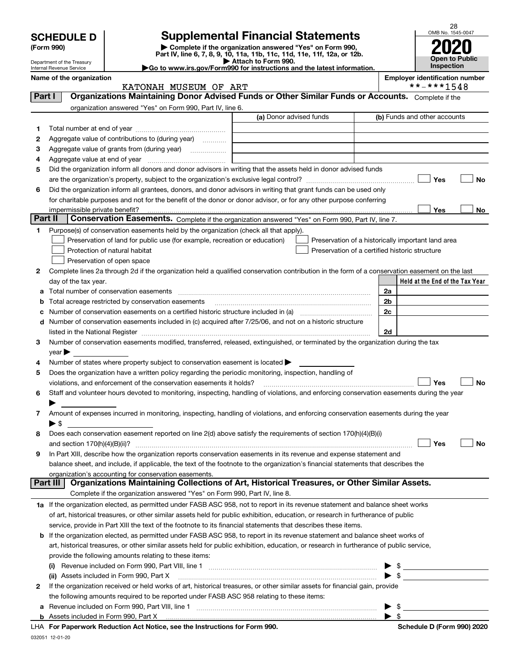| <b>Supplemental Financial Statements</b><br><b>SCHEDULE D</b>          |                                                        |                                                                                                        |                                                                                                                                                                                                                                                          |                         | 28<br>OMB No. 1545-0047                             |    |
|------------------------------------------------------------------------|--------------------------------------------------------|--------------------------------------------------------------------------------------------------------|----------------------------------------------------------------------------------------------------------------------------------------------------------------------------------------------------------------------------------------------------------|-------------------------|-----------------------------------------------------|----|
| Complete if the organization answered "Yes" on Form 990,<br>(Form 990) |                                                        |                                                                                                        |                                                                                                                                                                                                                                                          |                         |                                                     |    |
|                                                                        |                                                        |                                                                                                        | Part IV, line 6, 7, 8, 9, 10, 11a, 11b, 11c, 11d, 11e, 11f, 12a, or 12b.<br>Attach to Form 990.                                                                                                                                                          |                         | Open to Public                                      |    |
|                                                                        | Department of the Treasury<br>Internal Revenue Service |                                                                                                        | Go to www.irs.gov/Form990 for instructions and the latest information.                                                                                                                                                                                   |                         | <b>Inspection</b>                                   |    |
|                                                                        | Name of the organization                               | KATONAH MUSEUM OF ART                                                                                  |                                                                                                                                                                                                                                                          |                         | <b>Employer identification number</b><br>**-***1548 |    |
| Part I                                                                 |                                                        |                                                                                                        | Organizations Maintaining Donor Advised Funds or Other Similar Funds or Accounts. Complete if the                                                                                                                                                        |                         |                                                     |    |
|                                                                        |                                                        | organization answered "Yes" on Form 990, Part IV, line 6.                                              |                                                                                                                                                                                                                                                          |                         |                                                     |    |
|                                                                        |                                                        |                                                                                                        | (a) Donor advised funds                                                                                                                                                                                                                                  |                         | (b) Funds and other accounts                        |    |
| 1                                                                      |                                                        |                                                                                                        |                                                                                                                                                                                                                                                          |                         |                                                     |    |
| 2                                                                      |                                                        | Aggregate value of contributions to (during year)                                                      |                                                                                                                                                                                                                                                          |                         |                                                     |    |
| з                                                                      |                                                        | Aggregate value of grants from (during year)                                                           |                                                                                                                                                                                                                                                          |                         |                                                     |    |
| 4                                                                      |                                                        |                                                                                                        |                                                                                                                                                                                                                                                          |                         |                                                     |    |
| 5                                                                      |                                                        |                                                                                                        | Did the organization inform all donors and donor advisors in writing that the assets held in donor advised funds                                                                                                                                         |                         |                                                     |    |
|                                                                        |                                                        |                                                                                                        |                                                                                                                                                                                                                                                          |                         | Yes                                                 | No |
| 6                                                                      |                                                        |                                                                                                        | Did the organization inform all grantees, donors, and donor advisors in writing that grant funds can be used only                                                                                                                                        |                         |                                                     |    |
|                                                                        |                                                        |                                                                                                        | for charitable purposes and not for the benefit of the donor or donor advisor, or for any other purpose conferring                                                                                                                                       |                         |                                                     |    |
|                                                                        | impermissible private benefit?                         |                                                                                                        |                                                                                                                                                                                                                                                          |                         | Yes                                                 | No |
|                                                                        | Part II                                                |                                                                                                        | Conservation Easements. Complete if the organization answered "Yes" on Form 990, Part IV, line 7.                                                                                                                                                        |                         |                                                     |    |
| 1.                                                                     |                                                        | Purpose(s) of conservation easements held by the organization (check all that apply).                  |                                                                                                                                                                                                                                                          |                         |                                                     |    |
|                                                                        |                                                        | Preservation of land for public use (for example, recreation or education)                             | Preservation of a historically important land area                                                                                                                                                                                                       |                         |                                                     |    |
|                                                                        |                                                        | Protection of natural habitat                                                                          | Preservation of a certified historic structure                                                                                                                                                                                                           |                         |                                                     |    |
| 2                                                                      |                                                        | Preservation of open space                                                                             | Complete lines 2a through 2d if the organization held a qualified conservation contribution in the form of a conservation easement on the last                                                                                                           |                         |                                                     |    |
|                                                                        | day of the tax year.                                   |                                                                                                        |                                                                                                                                                                                                                                                          |                         | Held at the End of the Tax Year                     |    |
| a                                                                      |                                                        | Total number of conservation easements                                                                 |                                                                                                                                                                                                                                                          | 2a                      |                                                     |    |
| b                                                                      |                                                        | Total acreage restricted by conservation easements                                                     |                                                                                                                                                                                                                                                          | 2b                      |                                                     |    |
|                                                                        |                                                        |                                                                                                        |                                                                                                                                                                                                                                                          | 2c                      |                                                     |    |
| d                                                                      |                                                        |                                                                                                        | Number of conservation easements included in (c) acquired after 7/25/06, and not on a historic structure                                                                                                                                                 |                         |                                                     |    |
|                                                                        |                                                        |                                                                                                        | listed in the National Register [111] Marshall Register [11] Marshall Register [11] Marshall Register [11] Marshall Register [11] Marshall Register [11] Marshall Register [11] Marshall Register [11] Marshall Register [11]                            | 2d                      |                                                     |    |
| 3                                                                      |                                                        |                                                                                                        | Number of conservation easements modified, transferred, released, extinguished, or terminated by the organization during the tax                                                                                                                         |                         |                                                     |    |
|                                                                        | $\vee$ ear                                             |                                                                                                        |                                                                                                                                                                                                                                                          |                         |                                                     |    |
| 4                                                                      |                                                        | Number of states where property subject to conservation easement is located $\blacktriangleright$      |                                                                                                                                                                                                                                                          |                         |                                                     |    |
| 5                                                                      |                                                        | Does the organization have a written policy regarding the periodic monitoring, inspection, handling of |                                                                                                                                                                                                                                                          |                         |                                                     |    |
|                                                                        |                                                        | violations, and enforcement of the conservation easements it holds?                                    |                                                                                                                                                                                                                                                          |                         | Yes                                                 | No |
| 6                                                                      |                                                        |                                                                                                        | Staff and volunteer hours devoted to monitoring, inspecting, handling of violations, and enforcing conservation easements during the year                                                                                                                |                         |                                                     |    |
|                                                                        |                                                        |                                                                                                        |                                                                                                                                                                                                                                                          |                         |                                                     |    |
| 7                                                                      |                                                        |                                                                                                        | Amount of expenses incurred in monitoring, inspecting, handling of violations, and enforcing conservation easements during the year                                                                                                                      |                         |                                                     |    |
|                                                                        | $\blacktriangleright$ \$                               |                                                                                                        |                                                                                                                                                                                                                                                          |                         |                                                     |    |
| 8                                                                      |                                                        |                                                                                                        | Does each conservation easement reported on line 2(d) above satisfy the requirements of section 170(h)(4)(B)(i)                                                                                                                                          |                         |                                                     |    |
|                                                                        |                                                        |                                                                                                        |                                                                                                                                                                                                                                                          |                         | Yes                                                 | No |
| 9                                                                      |                                                        |                                                                                                        | In Part XIII, describe how the organization reports conservation easements in its revenue and expense statement and<br>balance sheet, and include, if applicable, the text of the footnote to the organization's financial statements that describes the |                         |                                                     |    |
|                                                                        |                                                        | organization's accounting for conservation easements.                                                  |                                                                                                                                                                                                                                                          |                         |                                                     |    |
|                                                                        | Part III                                               |                                                                                                        | Organizations Maintaining Collections of Art, Historical Treasures, or Other Similar Assets.                                                                                                                                                             |                         |                                                     |    |
|                                                                        |                                                        | Complete if the organization answered "Yes" on Form 990, Part IV, line 8.                              |                                                                                                                                                                                                                                                          |                         |                                                     |    |
|                                                                        |                                                        |                                                                                                        | 1a If the organization elected, as permitted under FASB ASC 958, not to report in its revenue statement and balance sheet works                                                                                                                          |                         |                                                     |    |
|                                                                        |                                                        |                                                                                                        | of art, historical treasures, or other similar assets held for public exhibition, education, or research in furtherance of public                                                                                                                        |                         |                                                     |    |
|                                                                        |                                                        |                                                                                                        | service, provide in Part XIII the text of the footnote to its financial statements that describes these items.                                                                                                                                           |                         |                                                     |    |
|                                                                        |                                                        |                                                                                                        | <b>b</b> If the organization elected, as permitted under FASB ASC 958, to report in its revenue statement and balance sheet works of                                                                                                                     |                         |                                                     |    |
|                                                                        |                                                        |                                                                                                        | art, historical treasures, or other similar assets held for public exhibition, education, or research in furtherance of public service,                                                                                                                  |                         |                                                     |    |
|                                                                        |                                                        | provide the following amounts relating to these items:                                                 |                                                                                                                                                                                                                                                          |                         |                                                     |    |
|                                                                        |                                                        |                                                                                                        |                                                                                                                                                                                                                                                          |                         |                                                     |    |
|                                                                        |                                                        |                                                                                                        | (ii) Assets included in Form 990, Part X [11] [2000] [2010] Assets included in Form 990, Part X [2010] [2000] [                                                                                                                                          | $\blacktriangleright$ s |                                                     |    |
| 2                                                                      |                                                        |                                                                                                        | If the organization received or held works of art, historical treasures, or other similar assets for financial gain, provide                                                                                                                             |                         |                                                     |    |
|                                                                        |                                                        | the following amounts required to be reported under FASB ASC 958 relating to these items:              |                                                                                                                                                                                                                                                          |                         |                                                     |    |
|                                                                        |                                                        |                                                                                                        |                                                                                                                                                                                                                                                          |                         |                                                     |    |
|                                                                        |                                                        | Appate included in Earm 000, Dart Y.                                                                   |                                                                                                                                                                                                                                                          |                         |                                                     |    |

 $\rightarrow$  \$

| Assets included in Form 990.<br>Part X |  |
|----------------------------------------|--|

**For Paperwork Reduction Act Notice, see the Instructions for Form 990. Schedule D (Form 990) 2020** LHA

032051 12-01-20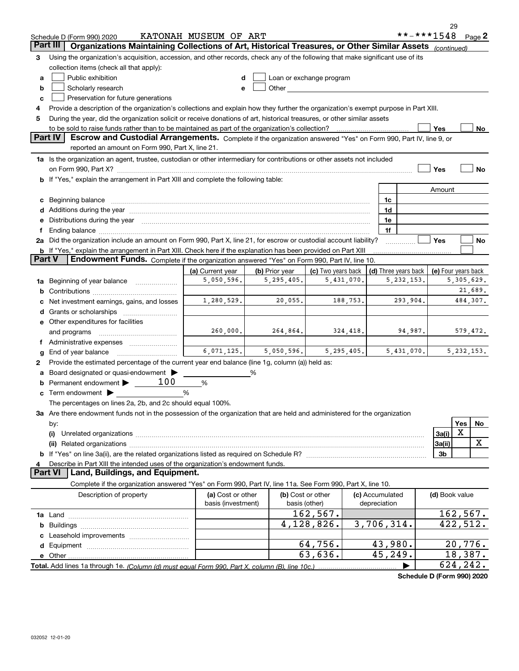|                | Schedule D (Form 990) 2020                                                                                                                                                                                                     | KATONAH MUSEUM OF ART |                |                                                                                                                                                                                                                                |  |                                              |          | 29<br>**-***1548 |     | Page 2       |
|----------------|--------------------------------------------------------------------------------------------------------------------------------------------------------------------------------------------------------------------------------|-----------------------|----------------|--------------------------------------------------------------------------------------------------------------------------------------------------------------------------------------------------------------------------------|--|----------------------------------------------|----------|------------------|-----|--------------|
|                | <b>Part III</b><br>Organizations Maintaining Collections of Art, Historical Treasures, or Other Similar Assets (continued)                                                                                                     |                       |                |                                                                                                                                                                                                                                |  |                                              |          |                  |     |              |
| 3              | Using the organization's acquisition, accession, and other records, check any of the following that make significant use of its                                                                                                |                       |                |                                                                                                                                                                                                                                |  |                                              |          |                  |     |              |
|                | collection items (check all that apply):                                                                                                                                                                                       |                       |                |                                                                                                                                                                                                                                |  |                                              |          |                  |     |              |
|                | Public exhibition<br>Loan or exchange program<br>a                                                                                                                                                                             |                       |                |                                                                                                                                                                                                                                |  |                                              |          |                  |     |              |
| b              | Scholarly research                                                                                                                                                                                                             | e                     |                | Other and the control of the control of the control of the control of the control of the control of the control of the control of the control of the control of the control of the control of the control of the control of th |  |                                              |          |                  |     |              |
| c              | Preservation for future generations                                                                                                                                                                                            |                       |                |                                                                                                                                                                                                                                |  |                                              |          |                  |     |              |
| 4              | Provide a description of the organization's collections and explain how they further the organization's exempt purpose in Part XIII.                                                                                           |                       |                |                                                                                                                                                                                                                                |  |                                              |          |                  |     |              |
| 5              | During the year, did the organization solicit or receive donations of art, historical treasures, or other similar assets                                                                                                       |                       |                |                                                                                                                                                                                                                                |  |                                              |          |                  |     |              |
|                |                                                                                                                                                                                                                                |                       |                |                                                                                                                                                                                                                                |  |                                              |          | Yes              |     | No           |
| <b>Part IV</b> | Escrow and Custodial Arrangements. Complete if the organization answered "Yes" on Form 990, Part IV, line 9, or                                                                                                                |                       |                |                                                                                                                                                                                                                                |  |                                              |          |                  |     |              |
|                | reported an amount on Form 990, Part X, line 21.                                                                                                                                                                               |                       |                |                                                                                                                                                                                                                                |  |                                              |          |                  |     |              |
|                | 1a Is the organization an agent, trustee, custodian or other intermediary for contributions or other assets not included                                                                                                       |                       |                |                                                                                                                                                                                                                                |  |                                              |          |                  |     |              |
|                | on Form 990, Part X? [11] matter contracts and contracts and contracts are contracted as a function of the set of the set of the set of the set of the set of the set of the set of the set of the set of the set of the set o |                       |                |                                                                                                                                                                                                                                |  |                                              |          | Yes              |     | No           |
|                | b If "Yes," explain the arrangement in Part XIII and complete the following table:                                                                                                                                             |                       |                |                                                                                                                                                                                                                                |  |                                              |          |                  |     |              |
|                |                                                                                                                                                                                                                                |                       |                |                                                                                                                                                                                                                                |  |                                              |          | Amount           |     |              |
|                | c Beginning balance                                                                                                                                                                                                            |                       |                |                                                                                                                                                                                                                                |  | 1c                                           |          |                  |     |              |
|                |                                                                                                                                                                                                                                |                       |                |                                                                                                                                                                                                                                |  | 1d                                           |          |                  |     |              |
|                | e Distributions during the year measurements are constructed by the constraint of the state of the state of the state of the state of the state of the state of the state of the state of the state of the state of the state  |                       |                |                                                                                                                                                                                                                                |  | 1e                                           |          |                  |     |              |
| f              |                                                                                                                                                                                                                                |                       |                |                                                                                                                                                                                                                                |  | 1f                                           |          |                  |     |              |
|                | 2a Did the organization include an amount on Form 990, Part X, line 21, for escrow or custodial account liability?                                                                                                             |                       |                |                                                                                                                                                                                                                                |  |                                              |          | Yes              |     | No           |
|                | b If "Yes," explain the arrangement in Part XIII. Check here if the explanation has been provided on Part XIII                                                                                                                 |                       |                |                                                                                                                                                                                                                                |  |                                              |          |                  |     |              |
| <b>Part V</b>  | Endowment Funds. Complete if the organization answered "Yes" on Form 990, Part IV, line 10.                                                                                                                                    |                       |                |                                                                                                                                                                                                                                |  |                                              |          |                  |     |              |
|                |                                                                                                                                                                                                                                | (a) Current year      | (b) Prior year | (c) Two years back                                                                                                                                                                                                             |  | (d) Three years back $ $ (e) Four years back |          |                  |     |              |
|                | <b>1a</b> Beginning of year balance <i>manument</i> is                                                                                                                                                                         | 5,050,596.            | 5, 295, 405.   | 5,431,070.                                                                                                                                                                                                                     |  | 5, 232, 153.                                 |          |                  |     | 5,305,629.   |
|                |                                                                                                                                                                                                                                |                       |                |                                                                                                                                                                                                                                |  |                                              |          |                  |     | 21,689.      |
|                | c Net investment earnings, gains, and losses                                                                                                                                                                                   | 1,280,529.            | 20,055.        | 188,753.                                                                                                                                                                                                                       |  |                                              | 293,904. |                  |     | 484,307.     |
|                |                                                                                                                                                                                                                                |                       |                |                                                                                                                                                                                                                                |  |                                              |          |                  |     |              |
|                | <b>e</b> Other expenditures for facilities                                                                                                                                                                                     |                       |                |                                                                                                                                                                                                                                |  |                                              |          |                  |     |              |
|                | and programs                                                                                                                                                                                                                   | 260,000.              | 264,864.       | 324,418.                                                                                                                                                                                                                       |  |                                              | 94,987.  |                  |     | 579,472.     |
|                |                                                                                                                                                                                                                                |                       |                |                                                                                                                                                                                                                                |  |                                              |          |                  |     |              |
| g              | End of year balance                                                                                                                                                                                                            | 6,071,125.            | 5,050,596.     | 5, 295, 405.                                                                                                                                                                                                                   |  | 5,431,070.                                   |          |                  |     | 5, 232, 153. |
| 2              | Provide the estimated percentage of the current year end balance (line 1g, column (a)) held as:                                                                                                                                |                       |                |                                                                                                                                                                                                                                |  |                                              |          |                  |     |              |
|                | a Board designated or quasi-endowment >                                                                                                                                                                                        |                       | %              |                                                                                                                                                                                                                                |  |                                              |          |                  |     |              |
| b              | 100<br>Permanent endowment >                                                                                                                                                                                                   | %                     |                |                                                                                                                                                                                                                                |  |                                              |          |                  |     |              |
|                | $\mathbf c$ Term endowment $\blacktriangleright$                                                                                                                                                                               | %                     |                |                                                                                                                                                                                                                                |  |                                              |          |                  |     |              |
|                | The percentages on lines 2a, 2b, and 2c should equal 100%.                                                                                                                                                                     |                       |                |                                                                                                                                                                                                                                |  |                                              |          |                  |     |              |
|                | 3a Are there endowment funds not in the possession of the organization that are held and administered for the organization                                                                                                     |                       |                |                                                                                                                                                                                                                                |  |                                              |          |                  |     |              |
|                | by:                                                                                                                                                                                                                            |                       |                |                                                                                                                                                                                                                                |  |                                              |          |                  | Yes | No.          |
|                | (i)                                                                                                                                                                                                                            |                       |                |                                                                                                                                                                                                                                |  |                                              |          | 3a(i)            | X   |              |
|                | (ii)                                                                                                                                                                                                                           |                       |                |                                                                                                                                                                                                                                |  |                                              |          | 3a(ii)           |     | x            |
|                |                                                                                                                                                                                                                                |                       |                |                                                                                                                                                                                                                                |  |                                              |          | 3b               |     |              |
| 4              | Describe in Part XIII the intended uses of the organization's endowment funds.                                                                                                                                                 |                       |                |                                                                                                                                                                                                                                |  |                                              |          |                  |     |              |
|                | Land, Buildings, and Equipment.<br><b>Part VI</b>                                                                                                                                                                              |                       |                |                                                                                                                                                                                                                                |  |                                              |          |                  |     |              |
|                | Complete if the organization answered "Yes" on Form 990, Part IV, line 11a. See Form 990, Part X, line 10.                                                                                                                     |                       |                |                                                                                                                                                                                                                                |  |                                              |          |                  |     |              |
|                | Description of property                                                                                                                                                                                                        | (a) Cost or other     |                | (b) Cost or other                                                                                                                                                                                                              |  | (c) Accumulated                              |          | (d) Book value   |     |              |
|                |                                                                                                                                                                                                                                | basis (investment)    | basis (other)  |                                                                                                                                                                                                                                |  | depreciation                                 |          |                  |     |              |
|                |                                                                                                                                                                                                                                |                       |                | 162,567.                                                                                                                                                                                                                       |  |                                              |          |                  |     | 162, 567.    |
|                |                                                                                                                                                                                                                                |                       |                | 4,128,826.                                                                                                                                                                                                                     |  | 3,706,314.                                   |          |                  |     | 422,512.     |
|                |                                                                                                                                                                                                                                |                       |                |                                                                                                                                                                                                                                |  |                                              |          |                  |     |              |
|                |                                                                                                                                                                                                                                |                       |                | $\overline{64,756}$ .                                                                                                                                                                                                          |  | 43,980.                                      |          |                  |     | 20,776.      |
|                |                                                                                                                                                                                                                                |                       |                | 63,636.                                                                                                                                                                                                                        |  | 45,249.                                      |          |                  |     | 18,387.      |
|                |                                                                                                                                                                                                                                |                       |                |                                                                                                                                                                                                                                |  |                                              |          |                  |     | 624, 242.    |

**Schedule D (Form 990) 2020**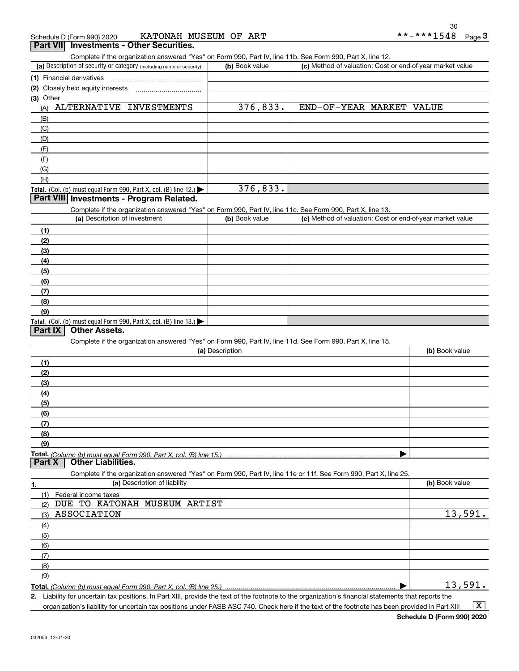| Schedule D (Form 990) 2020 |  | KATONAH MUSEUM | OF | ART | ***1548<br>$*** -$ | Page |  |
|----------------------------|--|----------------|----|-----|--------------------|------|--|
|                            |  |                |    |     |                    |      |  |

Complete if the organization answered "Yes" on Form 990, Part IV, line 11b. See Form 990, Part X, line 12. **3Part VII Investments - Other Securities.**

| (a) Description of security or category (including name of security)                          | (b) Book value | (c) Method of valuation: Cost or end-of-year market value |
|-----------------------------------------------------------------------------------------------|----------------|-----------------------------------------------------------|
| (1) Financial derivatives                                                                     |                |                                                           |
| (2) Closely held equity interests                                                             |                |                                                           |
| $(3)$ Other                                                                                   |                |                                                           |
| ALTERNATIVE INVESTMENTS<br>(A)                                                                | 376,833.       | END-OF-YEAR MARKET VALUE                                  |
| (B)                                                                                           |                |                                                           |
| (C)                                                                                           |                |                                                           |
| (D)                                                                                           |                |                                                           |
| (E)                                                                                           |                |                                                           |
| (F)                                                                                           |                |                                                           |
| (G)                                                                                           |                |                                                           |
| (H)                                                                                           |                |                                                           |
| <b>Total.</b> (Col. (b) must equal Form 990, Part X, col. (B) line 12.) $\blacktriangleright$ | 376,833.       |                                                           |

## **Part VIII Investments - Program Related.**

Complete if the organization answered "Yes" on Form 990, Part IV, line 11c. See Form 990, Part X, line 13.

| (a) Description of investment                                                          | (b) Book value | (c) Method of valuation: Cost or end-of-year market value |
|----------------------------------------------------------------------------------------|----------------|-----------------------------------------------------------|
| (1)                                                                                    |                |                                                           |
| (2)                                                                                    |                |                                                           |
| $\frac{1}{2}$                                                                          |                |                                                           |
| (4)                                                                                    |                |                                                           |
| $\frac{1}{2}$                                                                          |                |                                                           |
| (6)                                                                                    |                |                                                           |
| $\sqrt{(7)}$                                                                           |                |                                                           |
| (8)                                                                                    |                |                                                           |
| (9)                                                                                    |                |                                                           |
| Total. (Col. (b) must equal Form 990, Part X, col. (B) line 13.) $\blacktriangleright$ |                |                                                           |

## **Part IX Other Assets.**

Complete if the organization answered "Yes" on Form 990, Part IV, line 11d. See Form 990, Part X, line 15.

|     | (a) Description                                                                                                   | (b) Book value |
|-----|-------------------------------------------------------------------------------------------------------------------|----------------|
| (1) |                                                                                                                   |                |
| (2) |                                                                                                                   |                |
| (3) |                                                                                                                   |                |
| (4) |                                                                                                                   |                |
| (5) |                                                                                                                   |                |
| (6) |                                                                                                                   |                |
| (7) |                                                                                                                   |                |
| (8) |                                                                                                                   |                |
| (9) |                                                                                                                   |                |
|     |                                                                                                                   |                |
|     | Total. (Column (b) must equal Form 990, Part X, col. (B) line 15.)<br><b>Part X Other Liabilities.</b>            |                |
|     | Complete if the organization answered "Yes" on Form 990, Part IV, line 11e or 11f. See Form 990, Part X, line 25. |                |
| 1.  | (a) Description of liability                                                                                      | (b) Book value |
|     | Federal income taxes                                                                                              |                |
| (2) | DUE TO KATONAH MUSEUM ARTIST                                                                                      |                |
| (3) | <b>ASSOCIATION</b>                                                                                                | 13,591.        |
| (4) |                                                                                                                   |                |
| (5) |                                                                                                                   |                |
| (6) |                                                                                                                   |                |

(9)

**Total.**  *(Column (b) must equal Form 990, Part X, col. (B) line 25.)* | Liability for uncertain tax positions. In Part XIII, provide the text of the footnote to the organization's financial statements that reports the 13,591.

**2.**organization's liability for uncertain tax positions under FASB ASC 740. Check here if the text of the footnote has been provided in Part XIII  $\boxed{\text{X}}$ 

(7)(8)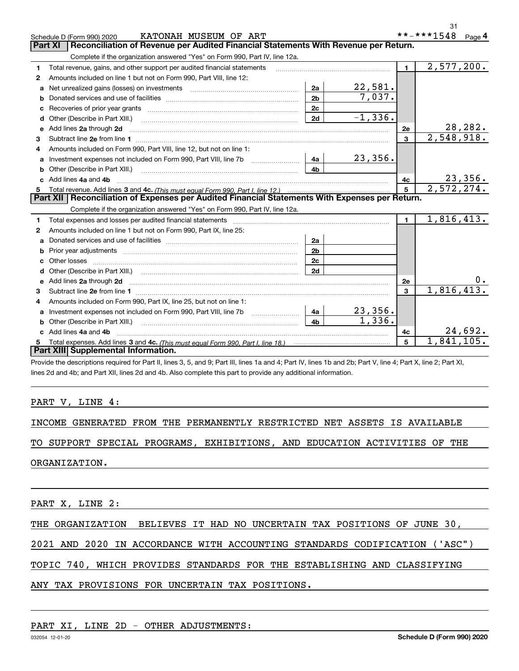|    | KATONAH MUSEUM OF ART<br>Schedule D (Form 990) 2020                                                                                                                                                                                  |                |            | **-***1548              | Page 4                  |         |
|----|--------------------------------------------------------------------------------------------------------------------------------------------------------------------------------------------------------------------------------------|----------------|------------|-------------------------|-------------------------|---------|
|    | Reconciliation of Revenue per Audited Financial Statements With Revenue per Return.<br>Part XI                                                                                                                                       |                |            |                         |                         |         |
|    | Complete if the organization answered "Yes" on Form 990, Part IV, line 12a.                                                                                                                                                          |                |            |                         |                         |         |
| 1  | Total revenue, gains, and other support per audited financial statements                                                                                                                                                             |                |            | $\blacksquare$          | 2,577,200.              |         |
| 2  | Amounts included on line 1 but not on Form 990, Part VIII, line 12:                                                                                                                                                                  |                |            |                         |                         |         |
| a  | Net unrealized gains (losses) on investments [11] matter contracts and the unrealized gains (losses) on investments                                                                                                                  | 2a             | 22,581.    |                         |                         |         |
| b  |                                                                                                                                                                                                                                      | 2 <sub>b</sub> | 7,037.     |                         |                         |         |
| с  |                                                                                                                                                                                                                                      |                |            |                         |                         |         |
|    | Other (Describe in Part XIII.) <b>Construction Contract Construction</b> Chern Construction Construction Construction                                                                                                                | 2d             | $-1,336.$  |                         |                         |         |
| e  | Add lines 2a through 2d <b>continuum contract and all contract and all contract and all contract and all contract and all contract and all contract and all contract and all contract and all contract and all contract and all </b> |                | 2e         |                         | 28, 282.                |         |
| 3  |                                                                                                                                                                                                                                      |                |            | 3                       | 2,548,918.              |         |
| 4  | Amounts included on Form 990, Part VIII, line 12, but not on line 1:                                                                                                                                                                 |                |            |                         |                         |         |
| a  | Investment expenses not included on Form 990, Part VIII, line 7b [1000000000000000000000000000000000                                                                                                                                 | 4a             | 23,356.    |                         |                         |         |
| b  |                                                                                                                                                                                                                                      | 4b             |            |                         |                         |         |
| c. | Add lines 4a and 4b                                                                                                                                                                                                                  | 4с             |            | 23,356.                 |                         |         |
| 5  |                                                                                                                                                                                                                                      | 5              | 2,572,274. |                         |                         |         |
|    | Part XII   Reconciliation of Expenses per Audited Financial Statements With Expenses per Return.                                                                                                                                     |                |            |                         |                         |         |
|    | Complete if the organization answered "Yes" on Form 990, Part IV, line 12a.                                                                                                                                                          |                |            |                         |                         |         |
| 1  | Total expenses and losses per audited financial statements                                                                                                                                                                           |                |            | $\blacksquare$          | $\overline{1,816,413.}$ |         |
| 2  | Amounts included on line 1 but not on Form 990, Part IX, line 25:                                                                                                                                                                    |                |            |                         |                         |         |
| a  |                                                                                                                                                                                                                                      | 2a             |            |                         |                         |         |
| b  |                                                                                                                                                                                                                                      | 2 <sub>b</sub> |            |                         |                         |         |
|    |                                                                                                                                                                                                                                      | 2c             |            |                         |                         |         |
| d  | Other (Describe in Part XIII.) (2000) (2000) (2000) (2000) (2000) (2000) (2000) (2000) (2000) (2000) (2000) (2000) (2000) (2000) (2000) (2000) (2000) (2000) (2000) (2000) (2000) (2000) (2000) (2000) (2000) (2000) (2000) (2       | 2d             |            |                         |                         |         |
| e  | Add lines 2a through 2d <b>continuum contract and all contract and all contract and all contract and all contract and all contract and all contract and all contract and all contract and all contract and all contract and all </b> |                |            | 2e                      |                         |         |
| 3  |                                                                                                                                                                                                                                      |                |            | $\overline{\mathbf{3}}$ | 1,816,413.              |         |
| 4  | Amounts included on Form 990, Part IX, line 25, but not on line 1:                                                                                                                                                                   |                |            |                         |                         |         |
| a  | Investment expenses not included on Form 990, Part VIII, line 7b [1000000000000000000000000000000000                                                                                                                                 | 4a             | 23,356.    |                         |                         |         |
| b  |                                                                                                                                                                                                                                      | 4 <sub>h</sub> | 1,336.     |                         |                         |         |
|    | Add lines 4a and 4b                                                                                                                                                                                                                  |                |            | 4с                      |                         | 24,692. |
| 5  |                                                                                                                                                                                                                                      |                | 5          | 1,841,105.              |                         |         |
|    | Part XIII Supplemental Information.                                                                                                                                                                                                  |                |            |                         |                         |         |
|    | Provide the descriptions required for Part II, lines 3, 5, and 9; Part III, lines 1a and 4; Part IV, lines 1b and 2b; Part V, line 4; Part X, line 2; Part XI,                                                                       |                |            |                         |                         |         |

lines 2d and 4b; and Part XII, lines 2d and 4b. Also complete this part to provide any additional information.

### PART V, LINE 4:

INCOME GENERATED FROM THE PERMANENTLY RESTRICTED NET ASSETS IS AVAILABLE

TO SUPPORT SPECIAL PROGRAMS, EXHIBITIONS, AND EDUCATION ACTIVITIES OF THE

ORGANIZATION.

PART X, LINE 2:

THE ORGANIZATION BELIEVES IT HAD NO UNCERTAIN TAX POSITIONS OF JUNE 30,

2021 AND 2020 IN ACCORDANCE WITH ACCOUNTING STANDARDS CODIFICATION ('ASC")

TOPIC 740, WHICH PROVIDES STANDARDS FOR THE ESTABLISHING AND CLASSIFYING

### ANY TAX PROVISIONS FOR UNCERTAIN TAX POSITIONS.

31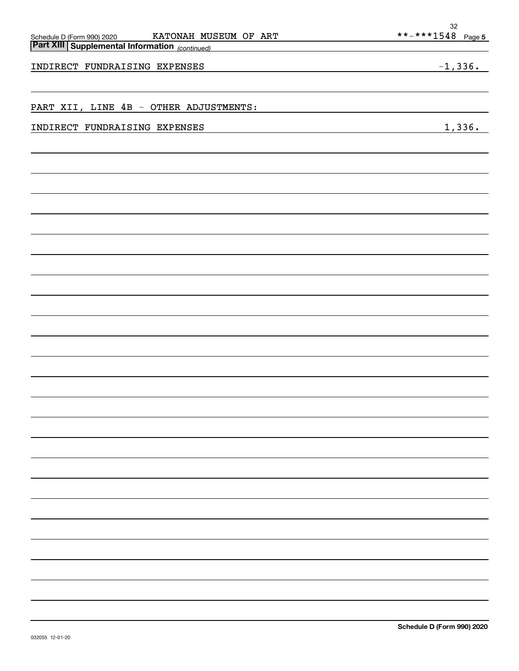|                                                                                                                   | 32                |
|-------------------------------------------------------------------------------------------------------------------|-------------------|
| KATONAH MUSEUM OF ART<br>Schedule D (Form 990) 2020 KATONAH MUS<br>Part XIII Supplemental Information (continued) | **-***1548 Page 5 |
| INDIRECT FUNDRAISING EXPENSES                                                                                     | $-1,336.$         |
|                                                                                                                   |                   |
| PART XII, LINE 4B - OTHER ADJUSTMENTS:                                                                            |                   |
| INDIRECT FUNDRAISING EXPENSES                                                                                     | 1,336.            |
|                                                                                                                   |                   |
|                                                                                                                   |                   |
|                                                                                                                   |                   |
|                                                                                                                   |                   |
|                                                                                                                   |                   |
|                                                                                                                   |                   |
|                                                                                                                   |                   |
|                                                                                                                   |                   |
|                                                                                                                   |                   |
|                                                                                                                   |                   |
|                                                                                                                   |                   |
|                                                                                                                   |                   |
|                                                                                                                   |                   |
|                                                                                                                   |                   |
|                                                                                                                   |                   |
|                                                                                                                   |                   |
|                                                                                                                   |                   |
|                                                                                                                   |                   |
|                                                                                                                   |                   |
|                                                                                                                   |                   |
|                                                                                                                   |                   |
|                                                                                                                   |                   |
|                                                                                                                   |                   |
|                                                                                                                   |                   |
|                                                                                                                   |                   |
|                                                                                                                   |                   |
|                                                                                                                   |                   |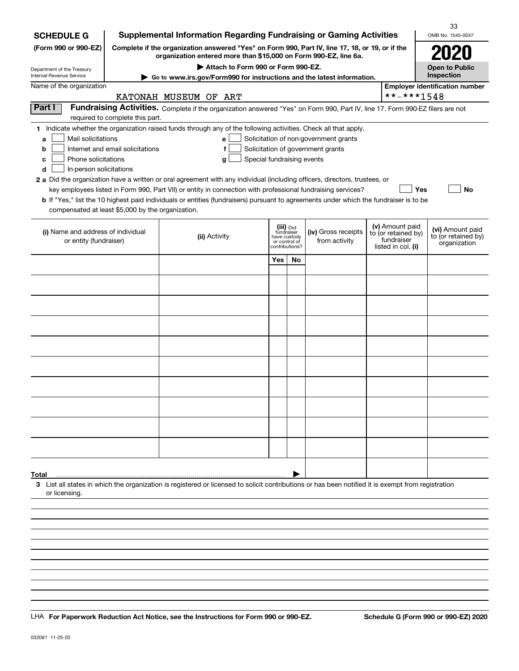| <b>SCHEDULE G</b>                                    |                                  | <b>Supplemental Information Regarding Fundraising or Gaming Activities</b>                                                                                          |                               |                         |                                       |            |                                        | 33<br>OMB No. 1545-0047                             |
|------------------------------------------------------|----------------------------------|---------------------------------------------------------------------------------------------------------------------------------------------------------------------|-------------------------------|-------------------------|---------------------------------------|------------|----------------------------------------|-----------------------------------------------------|
| (Form 990 or 990-EZ)                                 |                                  | Complete if the organization answered "Yes" on Form 990, Part IV, line 17, 18, or 19, or if the<br>organization entered more than \$15,000 on Form 990-EZ, line 6a. |                               |                         |                                       |            |                                        | 2020                                                |
| Department of the Treasury                           |                                  | Attach to Form 990 or Form 990-EZ.                                                                                                                                  |                               |                         |                                       |            |                                        | <b>Open to Public</b>                               |
| Internal Revenue Service<br>Name of the organization |                                  | $\triangleright$ Go to www.irs.gov/Form990 for instructions and the latest information.                                                                             |                               |                         |                                       |            |                                        | Inspection<br><b>Employer identification number</b> |
|                                                      |                                  | KATONAH MUSEUM OF ART                                                                                                                                               |                               |                         |                                       |            | **-***1548                             |                                                     |
| Part I                                               |                                  | Fundraising Activities. Complete if the organization answered "Yes" on Form 990, Part IV, line 17. Form 990-EZ filers are not                                       |                               |                         |                                       |            |                                        |                                                     |
|                                                      | required to complete this part.  |                                                                                                                                                                     |                               |                         |                                       |            |                                        |                                                     |
|                                                      |                                  | 1 Indicate whether the organization raised funds through any of the following activities. Check all that apply.                                                     |                               |                         |                                       |            |                                        |                                                     |
| Mail solicitations<br>a                              |                                  | е                                                                                                                                                                   |                               |                         | Solicitation of non-government grants |            |                                        |                                                     |
| b<br>Phone solicitations                             | Internet and email solicitations | f                                                                                                                                                                   | Special fundraising events    |                         | Solicitation of government grants     |            |                                        |                                                     |
| c<br>In-person solicitations<br>d                    |                                  | g                                                                                                                                                                   |                               |                         |                                       |            |                                        |                                                     |
|                                                      |                                  | 2 a Did the organization have a written or oral agreement with any individual (including officers, directors, trustees, or                                          |                               |                         |                                       |            |                                        |                                                     |
|                                                      |                                  | key employees listed in Form 990, Part VII) or entity in connection with professional fundraising services?                                                         |                               |                         |                                       |            | Yes                                    | No                                                  |
|                                                      |                                  | <b>b</b> If "Yes," list the 10 highest paid individuals or entities (fundraisers) pursuant to agreements under which the fundraiser is to be                        |                               |                         |                                       |            |                                        |                                                     |
| compensated at least \$5,000 by the organization.    |                                  |                                                                                                                                                                     |                               |                         |                                       |            |                                        |                                                     |
| (i) Name and address of individual                   |                                  |                                                                                                                                                                     |                               | (iii) Did<br>fundraiser | (iv) Gross receipts                   |            | (v) Amount paid<br>to (or retained by) | (vi) Amount paid                                    |
| or entity (fundraiser)                               |                                  | (ii) Activity                                                                                                                                                       | have custody<br>or control of |                         | from activity                         | fundraiser |                                        | to (or retained by)<br>organization                 |
|                                                      |                                  |                                                                                                                                                                     | contributions?                |                         |                                       |            | listed in col. (i)                     |                                                     |
|                                                      |                                  |                                                                                                                                                                     | <b>Yes</b>                    | <b>No</b>               |                                       |            |                                        |                                                     |
|                                                      |                                  |                                                                                                                                                                     |                               |                         |                                       |            |                                        |                                                     |
|                                                      |                                  |                                                                                                                                                                     |                               |                         |                                       |            |                                        |                                                     |
|                                                      |                                  |                                                                                                                                                                     |                               |                         |                                       |            |                                        |                                                     |
|                                                      |                                  |                                                                                                                                                                     |                               |                         |                                       |            |                                        |                                                     |
|                                                      |                                  |                                                                                                                                                                     |                               |                         |                                       |            |                                        |                                                     |
|                                                      |                                  |                                                                                                                                                                     |                               |                         |                                       |            |                                        |                                                     |
|                                                      |                                  |                                                                                                                                                                     |                               |                         |                                       |            |                                        |                                                     |
|                                                      |                                  |                                                                                                                                                                     |                               |                         |                                       |            |                                        |                                                     |
|                                                      |                                  |                                                                                                                                                                     |                               |                         |                                       |            |                                        |                                                     |
|                                                      |                                  |                                                                                                                                                                     |                               |                         |                                       |            |                                        |                                                     |
|                                                      |                                  |                                                                                                                                                                     |                               |                         |                                       |            |                                        |                                                     |
|                                                      |                                  |                                                                                                                                                                     |                               |                         |                                       |            |                                        |                                                     |
|                                                      |                                  |                                                                                                                                                                     |                               |                         |                                       |            |                                        |                                                     |
|                                                      |                                  |                                                                                                                                                                     |                               |                         |                                       |            |                                        |                                                     |
|                                                      |                                  |                                                                                                                                                                     |                               |                         |                                       |            |                                        |                                                     |
|                                                      |                                  |                                                                                                                                                                     |                               |                         |                                       |            |                                        |                                                     |
| Total                                                |                                  |                                                                                                                                                                     |                               |                         |                                       |            |                                        |                                                     |
| or licensing.                                        |                                  | 3 List all states in which the organization is registered or licensed to solicit contributions or has been notified it is exempt from registration                  |                               |                         |                                       |            |                                        |                                                     |
|                                                      |                                  |                                                                                                                                                                     |                               |                         |                                       |            |                                        |                                                     |
|                                                      |                                  |                                                                                                                                                                     |                               |                         |                                       |            |                                        |                                                     |
|                                                      |                                  |                                                                                                                                                                     |                               |                         |                                       |            |                                        |                                                     |
|                                                      |                                  |                                                                                                                                                                     |                               |                         |                                       |            |                                        |                                                     |

LHA For Paperwork Reduction Act Notice, see the Instructions for Form 990 or 990-EZ. Schedule G (Form 990 or 990-EZ) 2020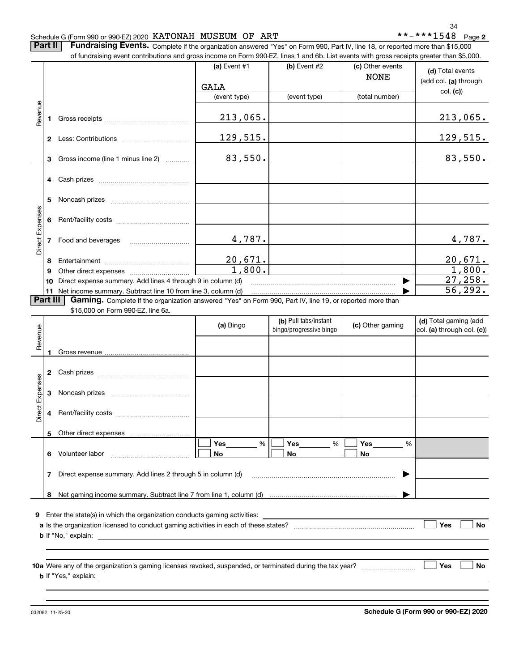#### Schedule G (Form 990 or 990-EZ) 2020 Page KATONAH MUSEUM OF ART \*\*-\*\*\*1548

34

**2**

| Part II   Fundraising Events. Complete if the organization answered "Yes" on Form 990, Part IV, line 18, or reported more than \$15,000   |
|-------------------------------------------------------------------------------------------------------------------------------------------|
| of fundraising event contributions and gross income on Form 990-EZ, lines 1 and 6b. List events with gross receipts greater than \$5,000. |

|                 |                | OF RITURNIY GVENT CONTINUUDIS ANU YROS INCOME ON FONN 330-EZ, INIES T ANU OD. EISE EVENTS WILH YROSS RECEIDIS YREATER LITAH \$0,000.          |                |                                                  |                                 |                                                     |
|-----------------|----------------|-----------------------------------------------------------------------------------------------------------------------------------------------|----------------|--------------------------------------------------|---------------------------------|-----------------------------------------------------|
|                 |                |                                                                                                                                               | $(a)$ Event #1 | $(b)$ Event #2                                   | (c) Other events<br><b>NONE</b> | (d) Total events<br>(add col. (a) through           |
|                 |                |                                                                                                                                               | GALA           |                                                  |                                 | col. (c)                                            |
|                 |                |                                                                                                                                               | (event type)   | (event type)                                     | (total number)                  |                                                     |
| Revenue         |                |                                                                                                                                               |                |                                                  |                                 |                                                     |
|                 | 1              |                                                                                                                                               | 213,065.       |                                                  |                                 | <u>213,065.</u>                                     |
|                 | $\mathbf{2}$   |                                                                                                                                               | 129,515.       |                                                  |                                 | 129,515.                                            |
|                 | 3              | Gross income (line 1 minus line 2)                                                                                                            | 83,550.        |                                                  |                                 | 83,550.                                             |
|                 |                |                                                                                                                                               |                |                                                  |                                 |                                                     |
| Direct Expenses | 5              |                                                                                                                                               |                |                                                  |                                 |                                                     |
|                 | 6              |                                                                                                                                               |                |                                                  |                                 |                                                     |
|                 | $\overline{7}$ | Food and beverages                                                                                                                            | 4,787.         |                                                  |                                 | 4,787.                                              |
|                 | 8              |                                                                                                                                               | 20,671.        |                                                  |                                 | 20,671.                                             |
|                 | 9              |                                                                                                                                               | 1,800.         |                                                  |                                 | 1,800.                                              |
|                 | 10.            | Direct expense summary. Add lines 4 through 9 in column (d)                                                                                   |                |                                                  |                                 | 27,258.                                             |
|                 |                | 11 Net income summary. Subtract line 10 from line 3, column (d)                                                                               |                | 56, 292.                                         |                                 |                                                     |
| Part III        |                | Gaming. Complete if the organization answered "Yes" on Form 990, Part IV, line 19, or reported more than<br>\$15,000 on Form 990-EZ, line 6a. |                |                                                  |                                 |                                                     |
|                 |                |                                                                                                                                               | (a) Bingo      | (b) Pull tabs/instant<br>bingo/progressive bingo | (c) Other gaming                | (d) Total gaming (add<br>col. (a) through col. (c)) |
| Revenue         | 1              |                                                                                                                                               |                |                                                  |                                 |                                                     |
|                 |                | $\Omega$ Cash $\Omega$                                                                                                                        |                |                                                  |                                 |                                                     |

| Direct Expenses                                                               |                            | Cash prizes                                                 |                                                                                                                                                                                                                                                                                                                                                                                                                          |                |                       |  |  |  |  |
|-------------------------------------------------------------------------------|----------------------------|-------------------------------------------------------------|--------------------------------------------------------------------------------------------------------------------------------------------------------------------------------------------------------------------------------------------------------------------------------------------------------------------------------------------------------------------------------------------------------------------------|----------------|-----------------------|--|--|--|--|
|                                                                               | з                          | Noncash prizes                                              |                                                                                                                                                                                                                                                                                                                                                                                                                          |                |                       |  |  |  |  |
|                                                                               | 4                          |                                                             |                                                                                                                                                                                                                                                                                                                                                                                                                          |                |                       |  |  |  |  |
|                                                                               | 5                          |                                                             |                                                                                                                                                                                                                                                                                                                                                                                                                          |                |                       |  |  |  |  |
|                                                                               | 6                          | Volunteer labor                                             | Yes<br>%<br>No                                                                                                                                                                                                                                                                                                                                                                                                           | Yes<br>%<br>No | <b>Yes</b><br>%<br>No |  |  |  |  |
|                                                                               |                            | Direct expense summary. Add lines 2 through 5 in column (d) | $\begin{minipage}{.4\linewidth} \begin{tabular}{l} \hline \textbf{11} & \textbf{12} & \textbf{13} & \textbf{15} & \textbf{16} & \textbf{17} & \textbf{18} & \textbf{19} & \textbf{19} & \textbf{19} & \textbf{19} & \textbf{19} & \textbf{19} & \textbf{19} & \textbf{19} \\ \hline \textbf{21} & \textbf{22} & \textbf{23} & \textbf{25} & \textbf{26} & \textbf{28} & \textbf{28} & \textbf{29} & \textbf{20} & \text$ |                |                       |  |  |  |  |
| 8                                                                             |                            |                                                             |                                                                                                                                                                                                                                                                                                                                                                                                                          |                |                       |  |  |  |  |
| Enter the state(s) in which the organization conducts gaming activities:<br>9 |                            |                                                             |                                                                                                                                                                                                                                                                                                                                                                                                                          |                |                       |  |  |  |  |
| No<br>Yes                                                                     |                            |                                                             |                                                                                                                                                                                                                                                                                                                                                                                                                          |                |                       |  |  |  |  |
|                                                                               | <b>b</b> If "No," explain: |                                                             |                                                                                                                                                                                                                                                                                                                                                                                                                          |                |                       |  |  |  |  |

**10a** Were any of the organization's gaming licenses revoked, suspended, or terminated during the tax year? \_\_\_\_\_\_\_\_\_\_\_\_\_\_\_\_ **b** If "Yes," explain: **Yes**

032082 11-25-20

 **No**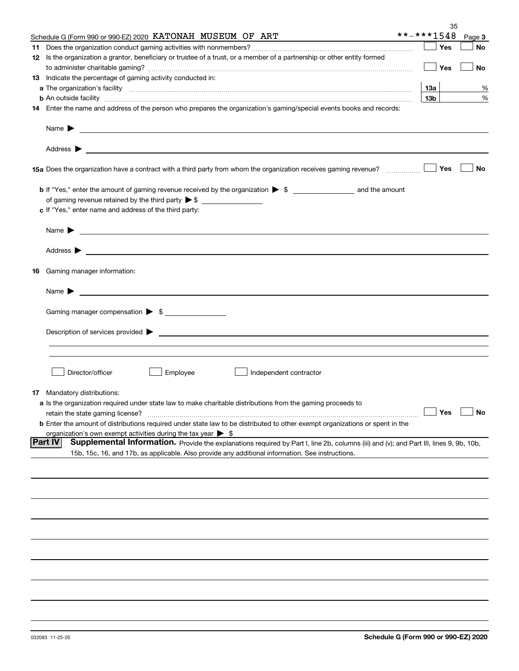|    |                                                                                                                                                                                                                                           |            |                 | 35  |        |
|----|-------------------------------------------------------------------------------------------------------------------------------------------------------------------------------------------------------------------------------------------|------------|-----------------|-----|--------|
|    | Schedule G (Form 990 or 990-EZ) 2020 KATONAH MUSEUM OF ART                                                                                                                                                                                | **-***1548 |                 |     | Page 3 |
|    |                                                                                                                                                                                                                                           |            |                 | Yes | No     |
|    | 12 Is the organization a grantor, beneficiary or trustee of a trust, or a member of a partnership or other entity formed                                                                                                                  |            |                 |     |        |
|    | 13 Indicate the percentage of gaming activity conducted in:                                                                                                                                                                               |            |                 | Yes | No     |
|    |                                                                                                                                                                                                                                           |            | 13а             |     | %      |
|    | <b>b</b> An outside facility <i>www.communically.communically.communically.communically.communically.communically.communically.communically.communically.communically.communically.communically.communically.communically.communicall</i> |            | 13 <sub>b</sub> |     | %      |
|    | 14 Enter the name and address of the person who prepares the organization's gaming/special events books and records:                                                                                                                      |            |                 |     |        |
|    | Name $\triangleright$ $\underbrace{\phantom{aaaa}}$                                                                                                                                                                                       |            |                 |     |        |
|    |                                                                                                                                                                                                                                           |            |                 |     |        |
|    |                                                                                                                                                                                                                                           |            |                 | Yes | No     |
|    |                                                                                                                                                                                                                                           |            |                 |     |        |
|    | of gaming revenue retained by the third party $\triangleright$ \$                                                                                                                                                                         |            |                 |     |        |
|    | c If "Yes," enter name and address of the third party:                                                                                                                                                                                    |            |                 |     |        |
|    | $Name \rightarrow$                                                                                                                                                                                                                        |            |                 |     |        |
|    |                                                                                                                                                                                                                                           |            |                 |     |        |
|    |                                                                                                                                                                                                                                           |            |                 |     |        |
| 16 | Gaming manager information:                                                                                                                                                                                                               |            |                 |     |        |
|    | Name $\blacktriangleright$                                                                                                                                                                                                                |            |                 |     |        |
|    | Gaming manager compensation > \$                                                                                                                                                                                                          |            |                 |     |        |
|    |                                                                                                                                                                                                                                           |            |                 |     |        |
|    | $Description of services provided \triangleright$                                                                                                                                                                                         |            |                 |     |        |
|    |                                                                                                                                                                                                                                           |            |                 |     |        |
|    | Director/officer<br>Employee<br>Independent contractor                                                                                                                                                                                    |            |                 |     |        |
|    | 17 Mandatory distributions:                                                                                                                                                                                                               |            |                 |     |        |
|    | a Is the organization required under state law to make charitable distributions from the gaming proceeds to                                                                                                                               |            |                 |     |        |
|    | retain the state gaming license?                                                                                                                                                                                                          |            |                 | Yes | No     |
|    | <b>b</b> Enter the amount of distributions required under state law to be distributed to other exempt organizations or spent in the                                                                                                       |            |                 |     |        |
|    | organization's own exempt activities during the tax year $\triangleright$ \$<br> Part IV<br>Supplemental Information. Provide the explanations required by Part I, line 2b, columns (iii) and (v); and Part III, lines 9, 9b, 10b,        |            |                 |     |        |
|    | 15b, 15c, 16, and 17b, as applicable. Also provide any additional information. See instructions.                                                                                                                                          |            |                 |     |        |
|    |                                                                                                                                                                                                                                           |            |                 |     |        |
|    |                                                                                                                                                                                                                                           |            |                 |     |        |
|    |                                                                                                                                                                                                                                           |            |                 |     |        |
|    |                                                                                                                                                                                                                                           |            |                 |     |        |
|    |                                                                                                                                                                                                                                           |            |                 |     |        |
|    |                                                                                                                                                                                                                                           |            |                 |     |        |
|    |                                                                                                                                                                                                                                           |            |                 |     |        |
|    |                                                                                                                                                                                                                                           |            |                 |     |        |
|    |                                                                                                                                                                                                                                           |            |                 |     |        |
|    |                                                                                                                                                                                                                                           |            |                 |     |        |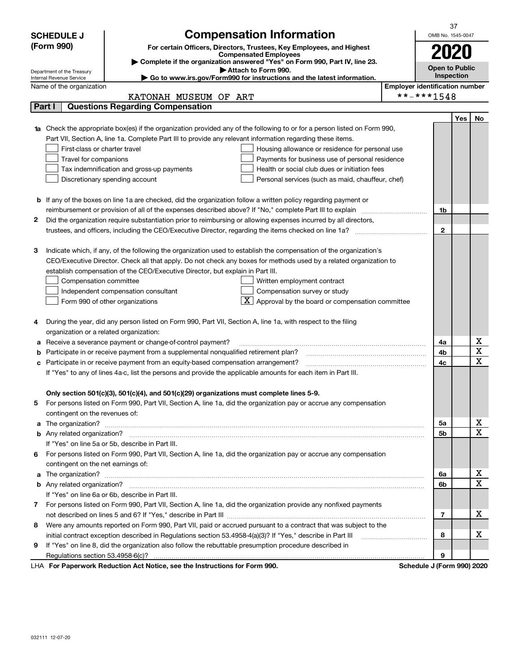|    | <b>SCHEDULE J</b>                                      | <b>Compensation Information</b>                                                                                        |                                       | 37<br>OMB No. 1545-0047    |     |                  |
|----|--------------------------------------------------------|------------------------------------------------------------------------------------------------------------------------|---------------------------------------|----------------------------|-----|------------------|
|    | (Form 990)                                             | For certain Officers, Directors, Trustees, Key Employees, and Highest                                                  |                                       |                            |     |                  |
|    |                                                        | <b>Compensated Employees</b>                                                                                           |                                       | 2020                       |     |                  |
|    |                                                        | Complete if the organization answered "Yes" on Form 990, Part IV, line 23.                                             |                                       | <b>Open to Public</b>      |     |                  |
|    | Department of the Treasury<br>Internal Revenue Service | Attach to Form 990.<br>► Go to www.irs.gov/Form990 for instructions and the latest information.                        |                                       | Inspection                 |     |                  |
|    | Name of the organization                               |                                                                                                                        | <b>Employer identification number</b> |                            |     |                  |
|    |                                                        | KATONAH MUSEUM OF ART                                                                                                  |                                       | **-***1548                 |     |                  |
|    | Part I                                                 | <b>Questions Regarding Compensation</b>                                                                                |                                       |                            |     |                  |
|    |                                                        |                                                                                                                        |                                       |                            | Yes | No               |
|    |                                                        | Check the appropriate box(es) if the organization provided any of the following to or for a person listed on Form 990, |                                       |                            |     |                  |
|    |                                                        | Part VII, Section A, line 1a. Complete Part III to provide any relevant information regarding these items.             |                                       |                            |     |                  |
|    | First-class or charter travel                          | Housing allowance or residence for personal use                                                                        |                                       |                            |     |                  |
|    | Travel for companions                                  | Payments for business use of personal residence                                                                        |                                       |                            |     |                  |
|    |                                                        | Health or social club dues or initiation fees<br>Tax indemnification and gross-up payments                             |                                       |                            |     |                  |
|    |                                                        | Discretionary spending account<br>Personal services (such as maid, chauffeur, chef)                                    |                                       |                            |     |                  |
|    |                                                        |                                                                                                                        |                                       |                            |     |                  |
|    |                                                        | <b>b</b> If any of the boxes on line 1a are checked, did the organization follow a written policy regarding payment or |                                       |                            |     |                  |
|    |                                                        |                                                                                                                        |                                       | 1b                         |     |                  |
| 2  |                                                        | Did the organization require substantiation prior to reimbursing or allowing expenses incurred by all directors,       |                                       |                            |     |                  |
|    |                                                        |                                                                                                                        |                                       | $\mathbf{2}$               |     |                  |
|    |                                                        |                                                                                                                        |                                       |                            |     |                  |
| з  |                                                        | Indicate which, if any, of the following the organization used to establish the compensation of the organization's     |                                       |                            |     |                  |
|    |                                                        | CEO/Executive Director. Check all that apply. Do not check any boxes for methods used by a related organization to     |                                       |                            |     |                  |
|    |                                                        | establish compensation of the CEO/Executive Director, but explain in Part III.                                         |                                       |                            |     |                  |
|    | Compensation committee                                 | Written employment contract                                                                                            |                                       |                            |     |                  |
|    |                                                        | Compensation survey or study<br>Independent compensation consultant                                                    |                                       |                            |     |                  |
|    |                                                        | Approval by the board or compensation committee<br>Form 990 of other organizations                                     |                                       |                            |     |                  |
|    |                                                        |                                                                                                                        |                                       |                            |     |                  |
| 4  |                                                        | During the year, did any person listed on Form 990, Part VII, Section A, line 1a, with respect to the filing           |                                       |                            |     |                  |
|    | organization or a related organization:                |                                                                                                                        |                                       |                            |     |                  |
| а  |                                                        | Receive a severance payment or change-of-control payment?                                                              |                                       | 4a                         |     | х<br>$\mathbf X$ |
|    |                                                        | Participate in or receive payment from a supplemental nonqualified retirement plan?                                    |                                       | 4b                         |     | X                |
|    |                                                        | Participate in or receive payment from an equity-based compensation arrangement?                                       |                                       | 4с                         |     |                  |
|    |                                                        | If "Yes" to any of lines 4a-c, list the persons and provide the applicable amounts for each item in Part III.          |                                       |                            |     |                  |
|    |                                                        | Only section 501(c)(3), 501(c)(4), and 501(c)(29) organizations must complete lines 5-9.                               |                                       |                            |     |                  |
| 5  |                                                        | For persons listed on Form 990, Part VII, Section A, line 1a, did the organization pay or accrue any compensation      |                                       |                            |     |                  |
|    | contingent on the revenues of:                         |                                                                                                                        |                                       |                            |     |                  |
| a  |                                                        |                                                                                                                        |                                       | 5а                         |     | х                |
|    |                                                        |                                                                                                                        |                                       | 5b                         |     | $\mathbf X$      |
|    |                                                        | If "Yes" on line 5a or 5b, describe in Part III.                                                                       |                                       |                            |     |                  |
| 6. |                                                        | For persons listed on Form 990, Part VII, Section A, line 1a, did the organization pay or accrue any compensation      |                                       |                            |     |                  |
|    | contingent on the net earnings of:                     |                                                                                                                        |                                       |                            |     |                  |
| a  |                                                        |                                                                                                                        |                                       | 6a                         |     | х                |
|    |                                                        |                                                                                                                        |                                       | 6b                         |     | $\mathbf X$      |
|    |                                                        | If "Yes" on line 6a or 6b, describe in Part III.                                                                       |                                       |                            |     |                  |
|    |                                                        | 7 For persons listed on Form 990, Part VII, Section A, line 1a, did the organization provide any nonfixed payments     |                                       |                            |     |                  |
|    |                                                        |                                                                                                                        |                                       | 7                          |     | х                |
| 8  |                                                        | Were any amounts reported on Form 990, Part VII, paid or accrued pursuant to a contract that was subject to the        |                                       |                            |     |                  |
|    |                                                        | initial contract exception described in Regulations section 53.4958-4(a)(3)? If "Yes," describe in Part III            |                                       | 8                          |     | х                |
| 9  |                                                        | If "Yes" on line 8, did the organization also follow the rebuttable presumption procedure described in                 |                                       |                            |     |                  |
|    |                                                        |                                                                                                                        |                                       | 9                          |     |                  |
|    |                                                        | LHA For Paperwork Reduction Act Notice, see the Instructions for Form 990.                                             |                                       | Schedule J (Form 990) 2020 |     |                  |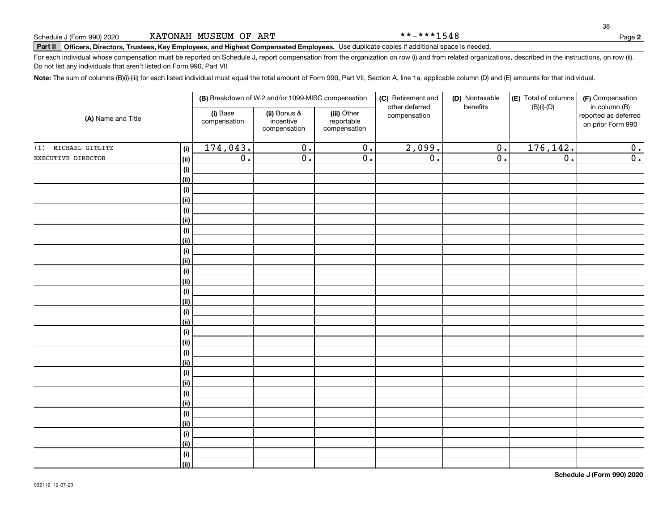#### \*\*-\*\*\*1548

# **Part II Officers, Directors, Trustees, Key Employees, and Highest Compensated Employees.**  Schedule J (Form 990) 2020 Page Use duplicate copies if additional space is needed.

For each individual whose compensation must be reported on Schedule J, report compensation from the organization on row (i) and from related organizations, described in the instructions, on row (ii). Do not list any individuals that aren't listed on Form 990, Part VII.

**Note:**  The sum of columns (B)(i)-(iii) for each listed individual must equal the total amount of Form 990, Part VII, Section A, line 1a, applicable column (D) and (E) amounts for that individual.

|                        |                    |                          | (B) Breakdown of W-2 and/or 1099-MISC compensation |                                           | (C) Retirement and             | (D) Nontaxable   | (E) Total of columns | (F) Compensation                                           |
|------------------------|--------------------|--------------------------|----------------------------------------------------|-------------------------------------------|--------------------------------|------------------|----------------------|------------------------------------------------------------|
| (A) Name and Title     |                    | (i) Base<br>compensation | (ii) Bonus &<br>incentive<br>compensation          | (iii) Other<br>reportable<br>compensation | other deferred<br>compensation | benefits         | $(B)(i)-(D)$         | in column (B)<br>reported as deferred<br>on prior Form 990 |
| MICHAEL GITLITZ<br>(1) | (i)                | 174,043.                 | $\overline{0}$ .                                   | $\overline{0}$ .                          | 2,099.                         | $\overline{0}$ . | 176, 142.            | 0.                                                         |
| EXECUTIVE DIRECTOR     | (ii)               | 0.                       | $\overline{0}$ .                                   | $\overline{0}$ .                          | $\overline{0}$ .               | $\overline{0}$ . | $\overline{0}$ .     | $\overline{0}$ .                                           |
|                        | $(\sf{i})$         |                          |                                                    |                                           |                                |                  |                      |                                                            |
|                        | (ii)               |                          |                                                    |                                           |                                |                  |                      |                                                            |
|                        | $(\sf{i})$         |                          |                                                    |                                           |                                |                  |                      |                                                            |
|                        | (ii)               |                          |                                                    |                                           |                                |                  |                      |                                                            |
|                        | (i)                |                          |                                                    |                                           |                                |                  |                      |                                                            |
|                        | (ii)               |                          |                                                    |                                           |                                |                  |                      |                                                            |
|                        | $(\sf{i})$         |                          |                                                    |                                           |                                |                  |                      |                                                            |
|                        | (ii)               |                          |                                                    |                                           |                                |                  |                      |                                                            |
|                        | $(\sf{i})$         |                          |                                                    |                                           |                                |                  |                      |                                                            |
|                        | (ii)               |                          |                                                    |                                           |                                |                  |                      |                                                            |
|                        | $(\sf{i})$<br>(ii) |                          |                                                    |                                           |                                |                  |                      |                                                            |
|                        | (i)                |                          |                                                    |                                           |                                |                  |                      |                                                            |
|                        | (ii)               |                          |                                                    |                                           |                                |                  |                      |                                                            |
|                        | (i)                |                          |                                                    |                                           |                                |                  |                      |                                                            |
|                        | (ii)               |                          |                                                    |                                           |                                |                  |                      |                                                            |
|                        | (i)                |                          |                                                    |                                           |                                |                  |                      |                                                            |
|                        | (ii)               |                          |                                                    |                                           |                                |                  |                      |                                                            |
|                        | (i)                |                          |                                                    |                                           |                                |                  |                      |                                                            |
|                        | (ii)               |                          |                                                    |                                           |                                |                  |                      |                                                            |
|                        | (i)                |                          |                                                    |                                           |                                |                  |                      |                                                            |
|                        | (ii)               |                          |                                                    |                                           |                                |                  |                      |                                                            |
|                        | (i)                |                          |                                                    |                                           |                                |                  |                      |                                                            |
|                        | (ii)               |                          |                                                    |                                           |                                |                  |                      |                                                            |
|                        | (i)                |                          |                                                    |                                           |                                |                  |                      |                                                            |
|                        | (ii)               |                          |                                                    |                                           |                                |                  |                      |                                                            |
|                        | $(\sf{i})$         |                          |                                                    |                                           |                                |                  |                      |                                                            |
|                        | (ii)               |                          |                                                    |                                           |                                |                  |                      |                                                            |
|                        | $(\sf{i})$<br>(ii) |                          |                                                    |                                           |                                |                  |                      |                                                            |
|                        |                    |                          |                                                    |                                           |                                |                  |                      |                                                            |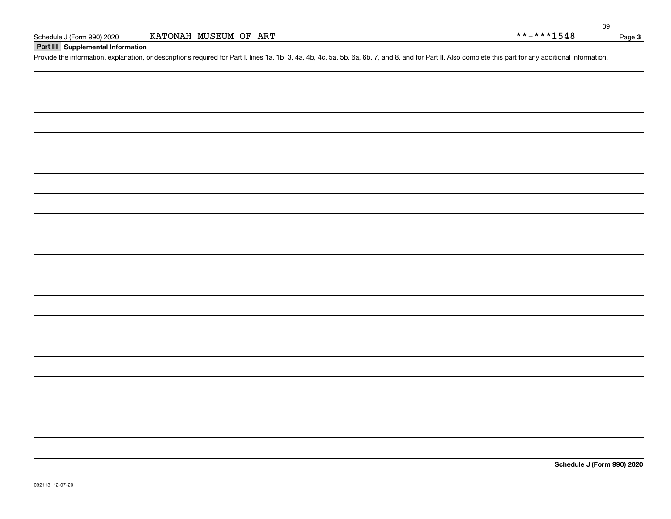Page 3

## **Part III Supplemental Information**

Schedule J (Form 990) 2020 KATONAH MUSEUM OF ART<br>Part III Supplemental Information<br>Provide the information, explanation, or descriptions required for Part I, lines 1a, 1b, 3, 4a, 4b, 4c, 5a, 5b, 6a, 6b, 7, and 8, and for P

**Schedule J (Form 990) 2020**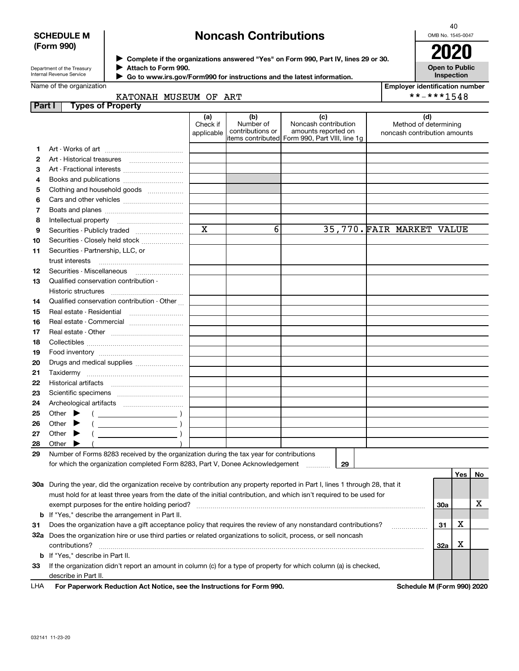## **SCHEDULE M (Form 990)**

# **Noncash Contributions**

OMB No. 1545-0047 40

| Department of the Treasury |  |
|----------------------------|--|
| Internal Revenue Service   |  |

**Complete if the organizations answered "Yes" on Form 990, Part IV, lines 29 or 30.** <sup>J</sup>**2020 Attach to Form 990.** J

**Open to Public Inspection**

 $\blacktriangleright$ 

| <b>Employer identification number</b> |  |  |  |  |  |  |  |  |
|---------------------------------------|--|--|--|--|--|--|--|--|
| $***$ $***$ 1548                      |  |  |  |  |  |  |  |  |

| מכ |                       |  |  |
|----|-----------------------|--|--|
|    | KATONAH MUSEUM OF ART |  |  |

| Part I   | <b>Types of Property</b>                                                                                                            |                               |                                      |                                                                                                      |                                                              |            |                  |    |
|----------|-------------------------------------------------------------------------------------------------------------------------------------|-------------------------------|--------------------------------------|------------------------------------------------------------------------------------------------------|--------------------------------------------------------------|------------|------------------|----|
|          |                                                                                                                                     | (a)<br>Check if<br>applicable | (b)<br>Number of<br>contributions or | (c)<br>Noncash contribution<br>amounts reported on<br>items contributed Form 990, Part VIII, line 1g | (d)<br>Method of determining<br>noncash contribution amounts |            |                  |    |
| 1.       |                                                                                                                                     |                               |                                      |                                                                                                      |                                                              |            |                  |    |
| 2        |                                                                                                                                     |                               |                                      |                                                                                                      |                                                              |            |                  |    |
| 3        |                                                                                                                                     |                               |                                      |                                                                                                      |                                                              |            |                  |    |
| 4        | Books and publications                                                                                                              |                               |                                      |                                                                                                      |                                                              |            |                  |    |
| 5        | Clothing and household goods                                                                                                        |                               |                                      |                                                                                                      |                                                              |            |                  |    |
| 6        |                                                                                                                                     |                               |                                      |                                                                                                      |                                                              |            |                  |    |
| 7        |                                                                                                                                     |                               |                                      |                                                                                                      |                                                              |            |                  |    |
| 8        | Intellectual property                                                                                                               |                               |                                      |                                                                                                      |                                                              |            |                  |    |
| 9        | Securities - Publicly traded                                                                                                        | $\mathbf X$                   | 6                                    |                                                                                                      | 35,770. FAIR MARKET VALUE                                    |            |                  |    |
| 10       | Securities - Closely held stock                                                                                                     |                               |                                      |                                                                                                      |                                                              |            |                  |    |
| 11       | Securities - Partnership, LLC, or<br>trust interests                                                                                |                               |                                      |                                                                                                      |                                                              |            |                  |    |
| 12       | Securities Miscellaneous                                                                                                            |                               |                                      |                                                                                                      |                                                              |            |                  |    |
| 13       | Qualified conservation contribution -<br><b>Historic structures</b>                                                                 |                               |                                      |                                                                                                      |                                                              |            |                  |    |
|          | Qualified conservation contribution - Other                                                                                         |                               |                                      |                                                                                                      |                                                              |            |                  |    |
| 14       |                                                                                                                                     |                               |                                      |                                                                                                      |                                                              |            |                  |    |
| 15       | Real estate - Residential                                                                                                           |                               |                                      |                                                                                                      |                                                              |            |                  |    |
| 16       | Real estate - Commercial                                                                                                            |                               |                                      |                                                                                                      |                                                              |            |                  |    |
| 17       |                                                                                                                                     |                               |                                      |                                                                                                      |                                                              |            |                  |    |
| 18       |                                                                                                                                     |                               |                                      |                                                                                                      |                                                              |            |                  |    |
| 19       |                                                                                                                                     |                               |                                      |                                                                                                      |                                                              |            |                  |    |
| 20       |                                                                                                                                     |                               |                                      |                                                                                                      |                                                              |            |                  |    |
| 21<br>22 |                                                                                                                                     |                               |                                      |                                                                                                      |                                                              |            |                  |    |
|          | Historical artifacts                                                                                                                |                               |                                      |                                                                                                      |                                                              |            |                  |    |
| 23       |                                                                                                                                     |                               |                                      |                                                                                                      |                                                              |            |                  |    |
| 24       | Other $\blacktriangleright$                                                                                                         |                               |                                      |                                                                                                      |                                                              |            |                  |    |
| 25       | Other                                                                                                                               |                               |                                      |                                                                                                      |                                                              |            |                  |    |
| 26<br>27 | $\overline{\phantom{a}}$<br>▶<br>Other<br>▶                                                                                         |                               |                                      |                                                                                                      |                                                              |            |                  |    |
| 28       | Other                                                                                                                               |                               |                                      |                                                                                                      |                                                              |            |                  |    |
| 29       | Number of Forms 8283 received by the organization during the tax year for contributions                                             |                               |                                      |                                                                                                      |                                                              |            |                  |    |
|          | for which the organization completed Form 8283, Part V, Donee Acknowledgement                                                       |                               |                                      | 29                                                                                                   |                                                              |            |                  |    |
|          |                                                                                                                                     |                               |                                      |                                                                                                      |                                                              |            | Yes <sub>1</sub> | No |
|          | 30a During the year, did the organization receive by contribution any property reported in Part I, lines 1 through 28, that it      |                               |                                      |                                                                                                      |                                                              |            |                  |    |
|          | must hold for at least three years from the date of the initial contribution, and which isn't required to be used for               |                               |                                      |                                                                                                      |                                                              |            |                  |    |
|          | exempt purposes for the entire holding period?                                                                                      |                               |                                      |                                                                                                      |                                                              | <b>30a</b> |                  | x  |
|          | <b>b</b> If "Yes," describe the arrangement in Part II.                                                                             |                               |                                      |                                                                                                      |                                                              |            |                  |    |
|          |                                                                                                                                     |                               |                                      |                                                                                                      |                                                              |            |                  |    |
|          | Does the organization have a gift acceptance policy that requires the review of any nonstandard contributions?<br>31                |                               |                                      |                                                                                                      |                                                              |            |                  |    |
|          | 32a Does the organization hire or use third parties or related organizations to solicit, process, or sell noncash<br>contributions? |                               |                                      |                                                                                                      |                                                              |            | X                |    |
|          | <b>b</b> If "Yes," describe in Part II.                                                                                             |                               |                                      |                                                                                                      |                                                              |            |                  |    |
| 33       | If the organization didn't report an amount in column (c) for a type of property for which column (a) is checked,                   |                               |                                      |                                                                                                      |                                                              |            |                  |    |
| ∣⊔∆      | describe in Part II.<br>For Paperwork Reduction Act Notice, see the Instructions for Form 000                                       |                               |                                      |                                                                                                      | Schodule M (Form 000) 2020                                   |            |                  |    |

**For Paperwork Reduction Act Notice, see the Instructions for Form 990. Schedule M (Form 990) 2020** LHA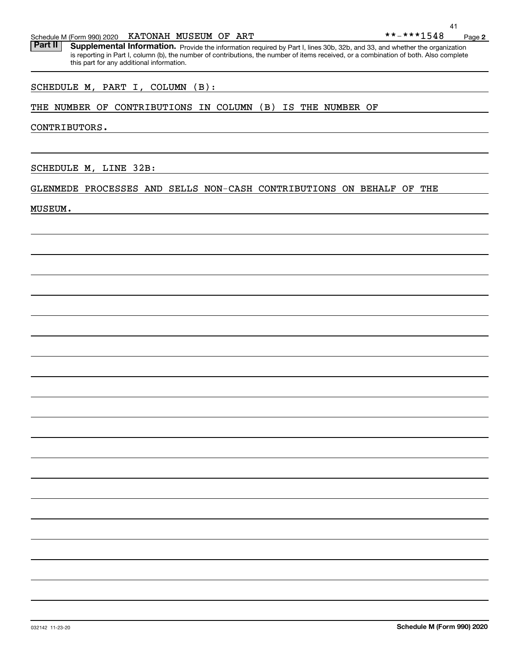### Schedule M (Form 990) 2020 Page KATONAH MUSEUM OF ART \*\*-\*\*\*1548

Part II | Supplemental Information. Provide the information required by Part I, lines 30b, 32b, and 33, and whether the organization is reporting in Part I, column (b), the number of contributions, the number of items received, or a combination of both. Also complete this part for any additional information.

### SCHEDULE M, PART I, COLUMN (B):

## THE NUMBER OF CONTRIBUTIONS IN COLUMN (B) IS THE NUMBER OF

CONTRIBUTORS.

SCHEDULE M, LINE 32B:

## GLENMEDE PROCESSES AND SELLS NON-CASH CONTRIBUTIONS ON BEHALF OF THE

MUSEUM.

**2**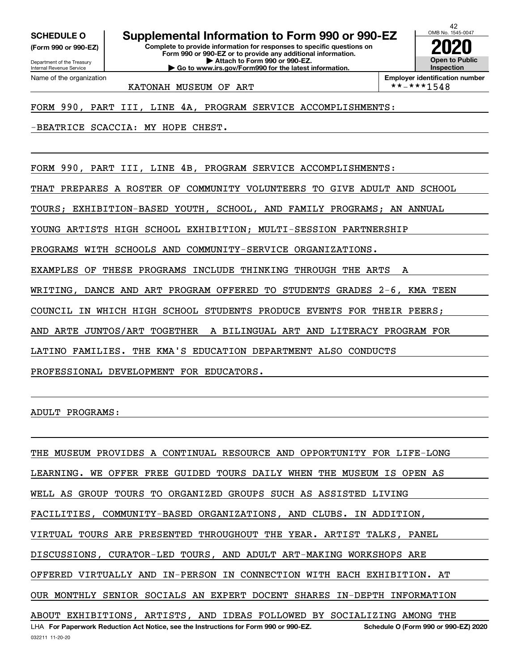**(Form 990 or 990-EZ)**

Department of the Treasury Internal Revenue Service Name of the organization

**Complete to provide information for responses to specific questions on Form 990 or 990-EZ or to provide any additional information. SCHEDULE O Supplemental Information to Form 990 or 990-EZ**

**| Attach to Form 990 or 990-EZ. | Go to www.irs.gov/Form990 for the latest information.** OMB No. 1545-0047 **Open to Public Inspection2020** 42

**Employer identification number**<br>\*\*-\*\*\*1548

KATONAH MUSEUM OF ART

FORM 990, PART III, LINE 4A, PROGRAM SERVICE ACCOMPLISHMENTS:

-BEATRICE SCACCIA: MY HOPE CHEST.

FORM 990, PART III, LINE 4B, PROGRAM SERVICE ACCOMPLISHMENTS:

THAT PREPARES A ROSTER OF COMMUNITY VOLUNTEERS TO GIVE ADULT AND SCHOOL

TOURS; EXHIBITION-BASED YOUTH, SCHOOL, AND FAMILY PROGRAMS; AN ANNUAL

YOUNG ARTISTS HIGH SCHOOL EXHIBITION; MULTI-SESSION PARTNERSHIP

PROGRAMS WITH SCHOOLS AND COMMUNITY-SERVICE ORGANIZATIONS.

EXAMPLES OF THESE PROGRAMS INCLUDE THINKING THROUGH THE ARTS A

WRITING, DANCE AND ART PROGRAM OFFERED TO STUDENTS GRADES 2-6, KMA TEEN

COUNCIL IN WHICH HIGH SCHOOL STUDENTS PRODUCE EVENTS FOR THEIR PEERS;

AND ARTE JUNTOS/ART TOGETHER A BILINGUAL ART AND LITERACY PROGRAM FOR

LATINO FAMILIES. THE KMA'S EDUCATION DEPARTMENT ALSO CONDUCTS

PROFESSIONAL DEVELOPMENT FOR EDUCATORS.

ADULT PROGRAMS:

032211 11-20-20 LHA For Paperwork Reduction Act Notice, see the Instructions for Form 990 or 990-EZ. Schedule O (Form 990 or 990-EZ) 2020 THE MUSEUM PROVIDES A CONTINUAL RESOURCE AND OPPORTUNITY FOR LIFE-LONG LEARNING. WE OFFER FREE GUIDED TOURS DAILY WHEN THE MUSEUM IS OPEN AS WELL AS GROUP TOURS TO ORGANIZED GROUPS SUCH AS ASSISTED LIVING FACILITIES, COMMUNITY-BASED ORGANIZATIONS, AND CLUBS. IN ADDITION, VIRTUAL TOURS ARE PRESENTED THROUGHOUT THE YEAR. ARTIST TALKS, PANEL DISCUSSIONS, CURATOR-LED TOURS, AND ADULT ART-MAKING WORKSHOPS ARE OFFERED VIRTUALLY AND IN-PERSON IN CONNECTION WITH EACH EXHIBITION. AT OUR MONTHLY SENIOR SOCIALS AN EXPERT DOCENT SHARES IN-DEPTH INFORMATION ABOUT EXHIBITIONS, ARTISTS, AND IDEAS FOLLOWED BY SOCIALIZING AMONG THE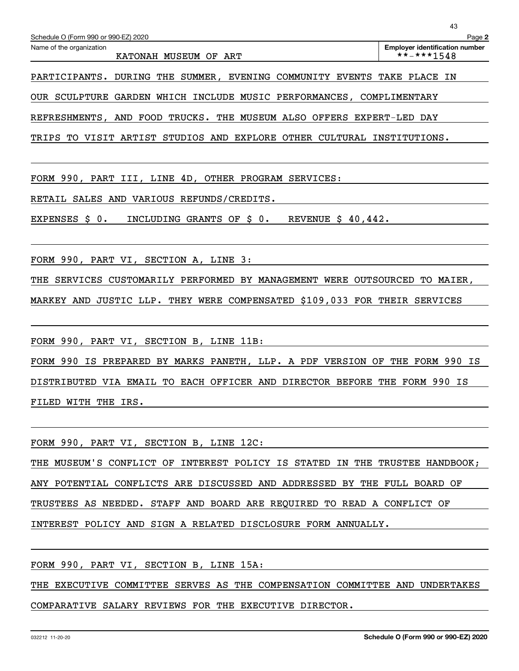OUR SCULPTURE GARDEN WHICH INCLUDE MUSIC PERFORMANCES, COMPLIMENTARY

REFRESHMENTS, AND FOOD TRUCKS. THE MUSEUM ALSO OFFERS EXPERT-LED DAY

TRIPS TO VISIT ARTIST STUDIOS AND EXPLORE OTHER CULTURAL INSTITUTIONS.

FORM 990, PART III, LINE 4D, OTHER PROGRAM SERVICES:

RETAIL SALES AND VARIOUS REFUNDS/CREDITS.

EXPENSES \$ 0. INCLUDING GRANTS OF \$ 0. REVENUE \$ 40,442.

FORM 990, PART VI, SECTION A, LINE 3:

THE SERVICES CUSTOMARILY PERFORMED BY MANAGEMENT WERE OUTSOURCED TO MAIER,

MARKEY AND JUSTIC LLP. THEY WERE COMPENSATED \$109,033 FOR THEIR SERVICES

FORM 990, PART VI, SECTION B, LINE 11B:

FORM 990 IS PREPARED BY MARKS PANETH, LLP. A PDF VERSION OF THE FORM 990 IS DISTRIBUTED VIA EMAIL TO EACH OFFICER AND DIRECTOR BEFORE THE FORM 990 IS FILED WITH THE IRS.

FORM 990, PART VI, SECTION B, LINE 12C:

THE MUSEUM'S CONFLICT OF INTEREST POLICY IS STATED IN THE TRUSTEE HANDBOOK;

ANY POTENTIAL CONFLICTS ARE DISCUSSED AND ADDRESSED BY THE FULL BOARD OF

TRUSTEES AS NEEDED. STAFF AND BOARD ARE REQUIRED TO READ A CONFLICT OF

INTEREST POLICY AND SIGN A RELATED DISCLOSURE FORM ANNUALLY.

FORM 990, PART VI, SECTION B, LINE 15A:

THE EXECUTIVE COMMITTEE SERVES AS THE COMPENSATION COMMITTEE AND UNDERTAKES COMPARATIVE SALARY REVIEWS FOR THE EXECUTIVE DIRECTOR.